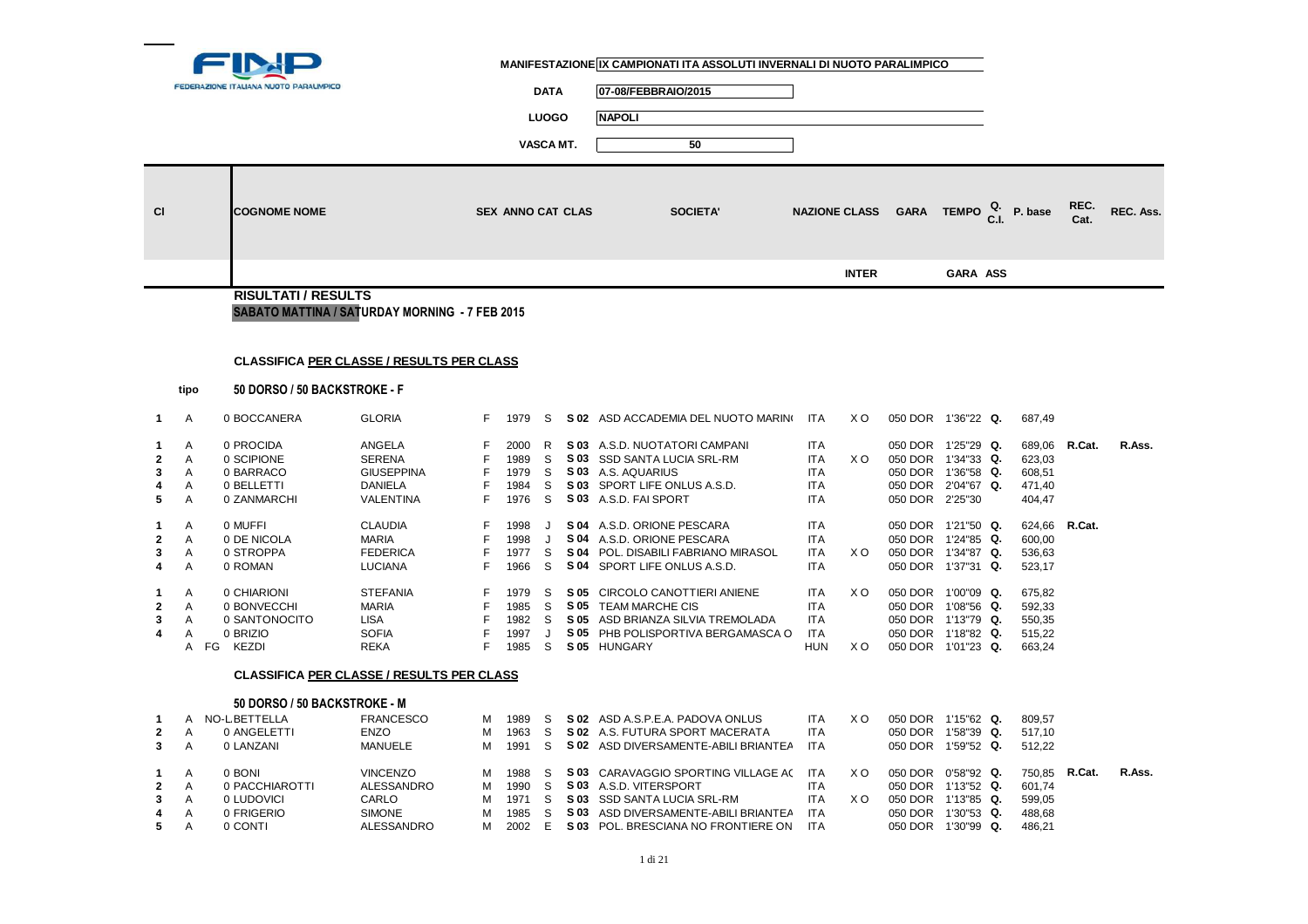

┑

**DATA 07-08/FEBBRAIO/2015**

**LUOGO NAPOLI**

| C1                                                                                  |                                                                    | <b>COGNOME NOME</b>                                                                                                                                                                                  |                                                                                                                                                                                                                                            |                                                                    | <b>SEX ANNO CAT CLAS</b>                                                                                     |                                                                                  | <b>SOCIETA'</b>                                                                                                                                                                                                                                                                                                                                                                                                                     |                                                                                                                                                                                                  | <b>NAZIONE CLASS</b>                | <b>GARA TEMPO</b>                                                                                                                                                                                                                                                                                             |                 | P. base                                                                                                                                  | REC.<br>Cat.     | REC. Ass. |
|-------------------------------------------------------------------------------------|--------------------------------------------------------------------|------------------------------------------------------------------------------------------------------------------------------------------------------------------------------------------------------|--------------------------------------------------------------------------------------------------------------------------------------------------------------------------------------------------------------------------------------------|--------------------------------------------------------------------|--------------------------------------------------------------------------------------------------------------|----------------------------------------------------------------------------------|-------------------------------------------------------------------------------------------------------------------------------------------------------------------------------------------------------------------------------------------------------------------------------------------------------------------------------------------------------------------------------------------------------------------------------------|--------------------------------------------------------------------------------------------------------------------------------------------------------------------------------------------------|-------------------------------------|---------------------------------------------------------------------------------------------------------------------------------------------------------------------------------------------------------------------------------------------------------------------------------------------------------------|-----------------|------------------------------------------------------------------------------------------------------------------------------------------|------------------|-----------|
|                                                                                     |                                                                    |                                                                                                                                                                                                      |                                                                                                                                                                                                                                            |                                                                    |                                                                                                              |                                                                                  |                                                                                                                                                                                                                                                                                                                                                                                                                                     |                                                                                                                                                                                                  | <b>INTER</b>                        |                                                                                                                                                                                                                                                                                                               | <b>GARA ASS</b> |                                                                                                                                          |                  |           |
|                                                                                     |                                                                    | <b>RISULTATI / RESULTS</b>                                                                                                                                                                           |                                                                                                                                                                                                                                            |                                                                    |                                                                                                              |                                                                                  |                                                                                                                                                                                                                                                                                                                                                                                                                                     |                                                                                                                                                                                                  |                                     |                                                                                                                                                                                                                                                                                                               |                 |                                                                                                                                          |                  |           |
|                                                                                     |                                                                    |                                                                                                                                                                                                      | SABATO MATTINA / SATURDAY MORNING - 7 FEB 2015                                                                                                                                                                                             |                                                                    |                                                                                                              |                                                                                  |                                                                                                                                                                                                                                                                                                                                                                                                                                     |                                                                                                                                                                                                  |                                     |                                                                                                                                                                                                                                                                                                               |                 |                                                                                                                                          |                  |           |
|                                                                                     |                                                                    |                                                                                                                                                                                                      |                                                                                                                                                                                                                                            |                                                                    |                                                                                                              |                                                                                  |                                                                                                                                                                                                                                                                                                                                                                                                                                     |                                                                                                                                                                                                  |                                     |                                                                                                                                                                                                                                                                                                               |                 |                                                                                                                                          |                  |           |
|                                                                                     |                                                                    |                                                                                                                                                                                                      | <b>CLASSIFICA PER CLASSE / RESULTS PER CLASS</b>                                                                                                                                                                                           |                                                                    |                                                                                                              |                                                                                  |                                                                                                                                                                                                                                                                                                                                                                                                                                     |                                                                                                                                                                                                  |                                     |                                                                                                                                                                                                                                                                                                               |                 |                                                                                                                                          |                  |           |
|                                                                                     |                                                                    |                                                                                                                                                                                                      |                                                                                                                                                                                                                                            |                                                                    |                                                                                                              |                                                                                  |                                                                                                                                                                                                                                                                                                                                                                                                                                     |                                                                                                                                                                                                  |                                     |                                                                                                                                                                                                                                                                                                               |                 |                                                                                                                                          |                  |           |
|                                                                                     | tipo                                                               | 50 DORSO / 50 BACKSTROKE - F                                                                                                                                                                         |                                                                                                                                                                                                                                            |                                                                    |                                                                                                              |                                                                                  |                                                                                                                                                                                                                                                                                                                                                                                                                                     |                                                                                                                                                                                                  |                                     |                                                                                                                                                                                                                                                                                                               |                 |                                                                                                                                          |                  |           |
| $\mathbf{1}$                                                                        | A                                                                  | 0 BOCCANERA                                                                                                                                                                                          | <b>GLORIA</b>                                                                                                                                                                                                                              | F                                                                  | 1979                                                                                                         | -S                                                                               | S 02 ASD ACCADEMIA DEL NUOTO MARINO                                                                                                                                                                                                                                                                                                                                                                                                 | ITA                                                                                                                                                                                              | X O                                 | 050 DOR 1'36"22 Q.                                                                                                                                                                                                                                                                                            |                 | 687,49                                                                                                                                   |                  |           |
| 1<br>$\mathbf{2}$<br>3<br>4<br>5<br>1<br>2<br>3<br>4<br>1<br>$\mathbf{2}$<br>3<br>4 | A<br>A<br>Α<br>A<br>A<br>A<br>A<br>A<br>A<br>A<br>A<br>A<br>A<br>A | 0 PROCIDA<br>0 SCIPIONE<br>0 BARRACO<br>0 BELLETTI<br>0 ZANMARCHI<br>0 MUFFI<br>0 DE NICOLA<br>0 STROPPA<br>0 ROMAN<br>0 CHIARIONI<br>0 BONVECCHI<br>0 SANTONOCITO<br>0 BRIZIO<br><b>KEZDI</b><br>FG | ANGELA<br><b>SERENA</b><br><b>GIUSEPPINA</b><br><b>DANIELA</b><br><b>VALENTINA</b><br><b>CLAUDIA</b><br><b>MARIA</b><br><b>FEDERICA</b><br><b>LUCIANA</b><br><b>STEFANIA</b><br><b>MARIA</b><br><b>LISA</b><br><b>SOFIA</b><br><b>REKA</b> | F<br>F<br>F<br>F<br>F<br>F<br>F<br>F<br>F<br>F<br>F<br>F<br>F<br>F | 2000<br>1989<br>1979<br>1984<br>1976<br>1998<br>1998<br>1977<br>1966<br>1979<br>1985<br>1982<br>1997<br>1985 | R<br>S<br>S<br>S<br>S<br>J.<br>J<br>S<br>S<br><sub>S</sub><br>S<br>-S<br>J<br>S. | S 03 A.S.D. NUOTATORI CAMPANI<br>S 03 SSD SANTA LUCIA SRL-RM<br>S 03 A.S. AQUARIUS<br>S 03 SPORT LIFE ONLUS A.S.D.<br>S 03 A.S.D. FAI SPORT<br>S 04 A.S.D. ORIONE PESCARA<br>S 04 A.S.D. ORIONE PESCARA<br>S 04 POL. DISABILI FABRIANO MIRASOL<br>S 04 SPORT LIFE ONLUS A.S.D.<br>S 05 CIRCOLO CANOTTIERI ANIENE<br>S 05 TEAM MARCHE CIS<br>S 05 ASD BRIANZA SILVIA TREMOLADA<br>S 05 PHB POLISPORTIVA BERGAMASCA O<br>S 05 HUNGARY | <b>ITA</b><br><b>ITA</b><br><b>ITA</b><br><b>ITA</b><br><b>ITA</b><br><b>ITA</b><br><b>ITA</b><br><b>ITA</b><br><b>ITA</b><br><b>ITA</b><br><b>ITA</b><br><b>ITA</b><br><b>ITA</b><br><b>HUN</b> | X O<br>X O<br>X <sub>O</sub><br>X O | 050 DOR 1'25"29 Q.<br>050 DOR 1'34"33 Q.<br>050 DOR 1'36"58 Q.<br>050 DOR 2'04"67 Q.<br>050 DOR 2'25"30<br>050 DOR 1'21"50 Q.<br>050 DOR 1'24"85 Q.<br>050 DOR 1'34"87 Q.<br>050 DOR 1'37"31 Q.<br>050 DOR 1'00"09 Q.<br>050 DOR 1'08"56 Q.<br>050 DOR 1'13"79 Q.<br>050 DOR 1'18"82 Q.<br>050 DOR 1'01"23 Q. |                 | 689,06<br>623,03<br>608,51<br>471,40<br>404,47<br>624,66<br>600,00<br>536,63<br>523,17<br>675,82<br>592,33<br>550,35<br>515,22<br>663,24 | R.Cat.<br>R.Cat. | R.Ass.    |
|                                                                                     |                                                                    |                                                                                                                                                                                                      | <b>CLASSIFICA PER CLASSE / RESULTS PER CLASS</b>                                                                                                                                                                                           |                                                                    |                                                                                                              |                                                                                  |                                                                                                                                                                                                                                                                                                                                                                                                                                     |                                                                                                                                                                                                  |                                     |                                                                                                                                                                                                                                                                                                               |                 |                                                                                                                                          |                  |           |
| 1<br>2<br>3                                                                         | A<br>A                                                             | 50 DORSO / 50 BACKSTROKE - M<br>A NO-L BETTELLA<br>0 ANGELETTI<br>0 LANZANI                                                                                                                          | <b>FRANCESCO</b><br>ENZO<br><b>MANUELE</b>                                                                                                                                                                                                 | M<br>M<br>м                                                        | 1989<br>1963<br>1991                                                                                         | S<br>S<br>S                                                                      | S 02 ASD A.S.P.E.A. PADOVA ONLUS<br>S 02 A.S. FUTURA SPORT MACERATA<br>S 02 ASD DIVERSAMENTE-ABILI BRIANTEA                                                                                                                                                                                                                                                                                                                         | <b>ITA</b><br><b>ITA</b><br><b>ITA</b>                                                                                                                                                           | X <sub>O</sub>                      | 050 DOR 1'15"62 Q.<br>050 DOR 1'58"39 Q.<br>050 DOR 1'59"52 Q.                                                                                                                                                                                                                                                |                 | 809,57<br>517,10<br>512,22                                                                                                               |                  |           |
| 1<br>$\mathbf 2$<br>3<br>4<br>5                                                     | A<br>A<br>A<br>Α<br>A                                              | 0 BONI<br>0 PACCHIAROTTI<br>0 LUDOVICI<br>0 FRIGERIO<br>0 CONTI                                                                                                                                      | <b>VINCENZO</b><br>ALESSANDRO<br>CARLO<br><b>SIMONE</b><br>ALESSANDRO                                                                                                                                                                      | м<br>м<br>м<br>м<br>м                                              | 1988<br>1990<br>1971<br>1985<br>2002                                                                         | S<br>S<br>S<br>S<br>E                                                            | S 03 CARAVAGGIO SPORTING VILLAGE AC<br>S 03 A.S.D. VITERSPORT<br>S 03 SSD SANTA LUCIA SRL-RM<br>S 03 ASD DIVERSAMENTE-ABILI BRIANTEA<br>S 03 POL. BRESCIANA NO FRONTIERE ON                                                                                                                                                                                                                                                         | <b>ITA</b><br><b>ITA</b><br><b>ITA</b><br><b>ITA</b><br><b>ITA</b>                                                                                                                               | X O<br>X O                          | 050 DOR 0'58"92 Q.<br>050 DOR 1'13"52 Q.<br>050 DOR 1'13"85 Q.<br>050 DOR 1'30"53 Q.<br>050 DOR 1'30"99 Q.                                                                                                                                                                                                    |                 | 750,85<br>601,74<br>599,05<br>488,68<br>486,21                                                                                           | R.Cat.           | R.Ass.    |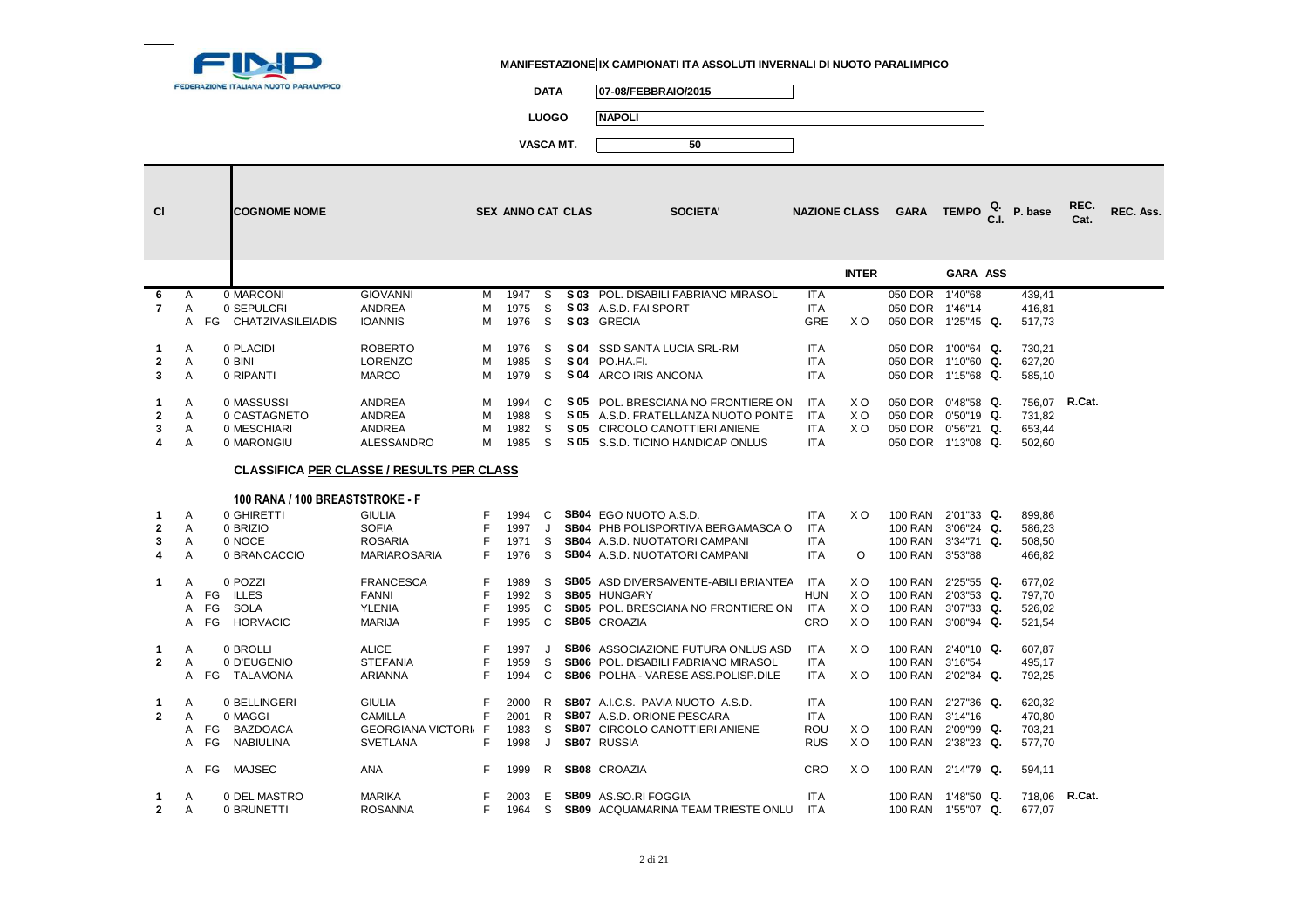

┑

**DATA 07-08/FEBBRAIO/2015**

**LUOGO NAPOLI**

| <b>CI</b>      |              |                    | <b>COGNOME NOME</b>             |                                                  |    | <b>SEX ANNO CAT CLAS</b> |         | SOCIETA'                                      | <b>NAZIONE CLASS</b> |                | GARA TEMPO         |                 | P. base       | REC.<br>Cat. | REC. Ass. |
|----------------|--------------|--------------------|---------------------------------|--------------------------------------------------|----|--------------------------|---------|-----------------------------------------------|----------------------|----------------|--------------------|-----------------|---------------|--------------|-----------|
|                |              |                    |                                 |                                                  |    |                          |         |                                               |                      | <b>INTER</b>   |                    | <b>GARA ASS</b> |               |              |           |
| 6              | A            |                    | 0 MARCONI                       | <b>GIOVANNI</b>                                  | M  | 1947                     | S.      | S 03 POL. DISABILI FABRIANO MIRASOL           | <b>ITA</b>           |                | 050 DOR 1'40"68    |                 | 439,41        |              |           |
| $\overline{7}$ | A            |                    | 0 SEPULCRI                      | <b>ANDREA</b>                                    | М  | 1975                     | S       | S 03 A.S.D. FAI SPORT                         | <b>ITA</b>           |                | 050 DOR 1'46"14    |                 | 416,81        |              |           |
|                | A            |                    | FG CHATZIVASILEIADIS            | <b>IOANNIS</b>                                   | м  | 1976                     | -S      | S 03 GRECIA                                   | <b>GRE</b>           | X O            | 050 DOR 1'25"45 Q. |                 | 517,73        |              |           |
|                |              |                    |                                 |                                                  |    |                          |         |                                               |                      |                |                    |                 |               |              |           |
| 1              | A            | 0 PLACIDI          |                                 | <b>ROBERTO</b>                                   | м  | 1976                     | S       | S 04 SSD SANTA LUCIA SRL-RM                   | <b>ITA</b>           |                | 050 DOR 1'00"64 Q. |                 | 730,21        |              |           |
| $\mathbf{2}$   | A            | 0 BINI             |                                 | <b>LORENZO</b>                                   | М  | 1985                     | S       | <b>S 04 PO.HA.FI.</b>                         | <b>ITA</b>           |                | 050 DOR 1'10"60 Q. |                 | 627,20        |              |           |
| 3              | A            | 0 RIPANTI          |                                 | <b>MARCO</b>                                     | M  | 1979                     | S.      | S 04 ARCO IRIS ANCONA                         | <b>ITA</b>           |                | 050 DOR 1'15"68 Q. |                 | 585,10        |              |           |
|                |              |                    |                                 |                                                  |    |                          |         |                                               |                      |                |                    |                 |               |              |           |
| 1              | A            |                    | 0 MASSUSSI                      | <b>ANDREA</b>                                    | м  | 1994                     | C       | S 05 POL. BRESCIANA NO FRONTIERE ON           | <b>ITA</b>           | X O            | 050 DOR 0'48"58 Q. |                 | 756,07        | R.Cat.       |           |
| $\mathbf{2}$   | A            |                    | 0 CASTAGNETO                    | <b>ANDREA</b>                                    | M  | 1988                     | S       | S 05 A.S.D. FRATELLANZA NUOTO PONTE           | ITA                  | X O            | 050 DOR 0'50"19 Q. |                 | 731,82        |              |           |
| 3              | Α            |                    | 0 MESCHIARI                     | <b>ANDREA</b>                                    | м  | 1982                     | S.      | S 05 CIRCOLO CANOTTIERI ANIENE                | <b>ITA</b>           | X <sub>O</sub> | 050 DOR 0'56"21 Q. |                 | 653,44        |              |           |
| 4              | A            |                    | 0 MARONGIU                      | <b>ALESSANDRO</b>                                | м  | 1985                     | S.      | S 05 S.S.D. TICINO HANDICAP ONLUS             | <b>ITA</b>           |                | 050 DOR 1'13"08 Q. |                 | 502,60        |              |           |
|                |              |                    |                                 |                                                  |    |                          |         |                                               |                      |                |                    |                 |               |              |           |
|                |              |                    |                                 | <b>CLASSIFICA PER CLASSE / RESULTS PER CLASS</b> |    |                          |         |                                               |                      |                |                    |                 |               |              |           |
|                |              |                    | 100 RANA / 100 BREASTSTROKE - F |                                                  |    |                          |         |                                               |                      |                |                    |                 |               |              |           |
| 1              | A            |                    | 0 GHIRETTI                      | <b>GIULIA</b>                                    | F  | 1994                     | C       | SB04 EGO NUOTO A.S.D.                         | <b>ITA</b>           | X <sub>O</sub> | 100 RAN 2'01"33 Q. |                 | 899,86        |              |           |
| $\mathbf{2}$   | $\mathsf{A}$ | 0 BRIZIO           |                                 | <b>SOFIA</b>                                     | F  | 1997                     | J.      | SB04 PHB POLISPORTIVA BERGAMASCA O            | <b>ITA</b>           |                | 100 RAN 3'06"24 Q. |                 | 586,23        |              |           |
| 3              | A            | 0 NOCE             |                                 | <b>ROSARIA</b>                                   | F  | 1971                     | S       | <b>SB04</b> A.S.D. NUOTATORI CAMPANI          | <b>ITA</b>           |                | 100 RAN 3'34"71 Q. |                 | 508,50        |              |           |
| 4              | A            |                    | 0 BRANCACCIO                    | <b>MARIAROSARIA</b>                              | F  | 1976                     | -S      | <b>SB04</b> A.S.D. NUOTATORI CAMPANI          | <b>ITA</b>           | $\circ$        | 100 RAN 3'53"88    |                 | 466,82        |              |           |
|                |              |                    |                                 |                                                  |    |                          |         |                                               |                      |                |                    |                 |               |              |           |
| $\mathbf{1}$   | A            | 0 POZZI            |                                 | <b>FRANCESCA</b>                                 | F  | 1989                     | S.      | <b>SB05</b> ASD DIVERSAMENTE-ABILI BRIANTEA   | <b>ITA</b>           | X O            | 100 RAN 2'25"55 Q. |                 | 677.02        |              |           |
|                | A            | FG<br><b>ILLES</b> |                                 | FANNI                                            | F  | 1992                     | S       | <b>SB05 HUNGARY</b>                           | <b>HUN</b>           | X O            | 100 RAN 2'03"53 Q. |                 | 797,70        |              |           |
|                | A            | FG<br><b>SOLA</b>  |                                 | <b>YLENIA</b>                                    | F  | 1995                     | C       | SB05 POL. BRESCIANA NO FRONTIERE ON           | <b>ITA</b>           | X O            | 100 RAN 3'07"33 Q. |                 | 526,02        |              |           |
|                | A            | FG                 | <b>HORVACIC</b>                 | <b>MARIJA</b>                                    | F  | 1995                     | C       | SB05 CROAZIA                                  | <b>CRO</b>           | X O            | 100 RAN 3'08"94 Q. |                 | 521,54        |              |           |
|                |              |                    |                                 |                                                  |    |                          |         |                                               |                      |                |                    |                 |               |              |           |
| 1              | A            | 0 BROLLI           |                                 | <b>ALICE</b>                                     | F  | 1997                     | $\cdot$ | <b>SB06</b> ASSOCIAZIONE FUTURA ONLUS ASD     | <b>ITA</b>           | X O            | 100 RAN 2'40"10 Q. |                 | 607,87        |              |           |
| $\mathbf{2}$   | A            |                    | 0 D'EUGENIO                     | <b>STEFANIA</b>                                  | F  | 1959                     | S       | <b>SB06 POL. DISABILI FABRIANO MIRASOL</b>    | <b>ITA</b>           |                | 100 RAN 3'16"54    |                 | 495.17        |              |           |
|                |              | A FG TALAMONA      |                                 | <b>ARIANNA</b>                                   | F  | 1994                     | C       | <b>SB06</b> POLHA - VARESE ASS. POLISP. DILE  | <b>ITA</b>           | X O            | 100 RAN 2'02"84 Q. |                 | 792,25        |              |           |
|                |              |                    |                                 |                                                  |    |                          |         |                                               |                      |                |                    |                 |               |              |           |
| 1              | A            |                    | 0 BELLINGERI                    | <b>GIULIA</b>                                    | F  | 2000                     | R       | <b>SB07</b> A.I.C.S. PAVIA NUOTO A.S.D.       | <b>ITA</b>           |                | 100 RAN 2'27"36 Q. |                 | 620,32        |              |           |
| $\mathbf{2}$   | A            | 0 MAGGI            |                                 | <b>CAMILLA</b>                                   | F  | 2001                     | R       | <b>SB07</b> A.S.D. ORIONE PESCARA             | <b>ITA</b>           |                | 100 RAN 3'14"16    |                 | 470,80        |              |           |
|                | A            | FG BAZDOACA        |                                 | <b>GEORGIANA VICTORI F</b>                       |    | 1983                     | S.      | <b>SB07 CIRCOLO CANOTTIERI ANIENE</b>         | ROU                  | X O            | 100 RAN 2'09"99 Q. |                 | 703,21        |              |           |
|                | A            | FG                 | <b>NABIULINA</b>                | <b>SVETLANA</b>                                  | F. | 1998                     | J       | <b>SB07 RUSSIA</b>                            | <b>RUS</b>           | X O            | 100 RAN 2'38"23 Q. |                 | 577,70        |              |           |
|                |              |                    |                                 |                                                  |    |                          |         |                                               |                      |                |                    |                 |               |              |           |
|                |              | A FG MAJSEC        |                                 | <b>ANA</b>                                       | F. | 1999                     | R       | <b>SB08 CROAZIA</b>                           | <b>CRO</b>           | X O            | 100 RAN 2'14"79 Q. |                 | 594,11        |              |           |
|                |              |                    |                                 |                                                  |    |                          |         |                                               |                      |                |                    |                 |               |              |           |
| 1              | Α            |                    | 0 DEL MASTRO                    | MARIKA                                           | F  | 2003                     | E       | <b>SB09</b> AS.SO.RI FOGGIA                   | <b>ITA</b>           |                | 100 RAN 1'48"50 Q. |                 | 718,06 R.Cat. |              |           |
| $\mathbf{2}$   | Α            |                    | 0 BRUNETTI                      | <b>ROSANNA</b>                                   | F. | 1964                     | S.      | <b>SB09</b> ACQUAMARINA TEAM TRIESTE ONLU ITA |                      |                | 100 RAN 1'55"07 Q. |                 | 677,07        |              |           |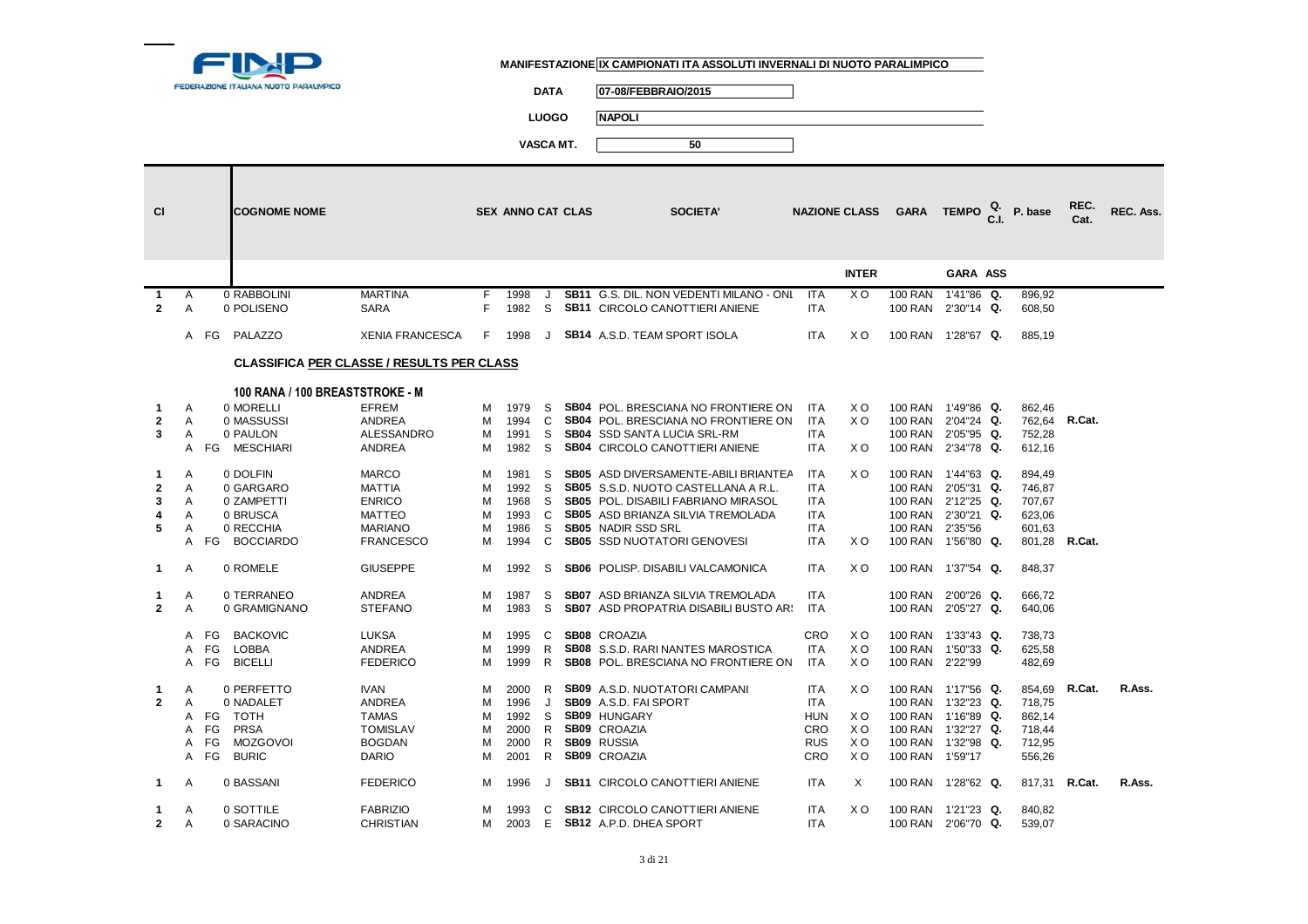

**DATA 07-08/FEBBRAIO/2015**

**LUOGO NAPOLI**

| <b>CI</b>            |        |      | <b>COGNOME NOME</b>                              |                               |         | <b>SEX ANNO CAT CLAS</b> |              | <b>SOCIETA'</b>                                                                  |                          | <b>NAZIONE CLASS</b> | <b>GARA</b>                      | <b>TEMPO</b>             | P. base          | REC.<br>Cat. | REC. Ass. |
|----------------------|--------|------|--------------------------------------------------|-------------------------------|---------|--------------------------|--------------|----------------------------------------------------------------------------------|--------------------------|----------------------|----------------------------------|--------------------------|------------------|--------------|-----------|
|                      |        |      |                                                  |                               |         |                          |              |                                                                                  |                          | <b>INTER</b>         |                                  | GARA ASS                 |                  |              |           |
| -1<br>$\overline{2}$ | A<br>A |      | 0 RABBOLINI<br>0 POLISENO                        | <b>MARTINA</b><br><b>SARA</b> | F.<br>F | 1998<br>1982             | $\cdot$<br>S | SB11 G.S. DIL. NON VEDENTI MILANO - ONI<br><b>SB11 CIRCOLO CANOTTIERI ANIENE</b> | <b>ITA</b><br><b>ITA</b> | X <sub>O</sub>       | <b>100 RAN</b><br><b>100 RAN</b> | 1'41"86 Q.<br>2'30"14 Q. | 896,92<br>608,50 |              |           |
|                      |        | A FG | PALAZZO                                          | <b>XENIA FRANCESCA</b>        | F       | 1998                     | J            | <b>SB14</b> A.S.D. TEAM SPORT ISOLA                                              | <b>ITA</b>               | X O                  | 100 RAN 1'28"67 Q.               |                          | 885,19           |              |           |
|                      |        |      | <b>CLASSIFICA PER CLASSE / RESULTS PER CLASS</b> |                               |         |                          |              |                                                                                  |                          |                      |                                  |                          |                  |              |           |
|                      |        |      | 100 RANA / 100 BREASTSTROKE - M                  |                               |         |                          |              |                                                                                  |                          |                      |                                  |                          |                  |              |           |
| $\mathbf{1}$         | A      |      | 0 MORELLI                                        | <b>EFREM</b>                  | м       | 1979                     | S            | <b>SB04 POL. BRESCIANA NO FRONTIERE ON</b>                                       | <b>ITA</b>               | X O                  | <b>100 RAN</b>                   | 1'49"86 Q.               | 862,46           |              |           |
| $\mathbf{2}$         | A      |      | 0 MASSUSSI                                       | <b>ANDREA</b>                 | м       | 1994                     | C            | <b>SB04 POL. BRESCIANA NO FRONTIERE ON</b>                                       | <b>ITA</b>               | X <sub>O</sub>       | <b>100 RAN</b>                   | 2'04"24 Q.               | 762,64           | R.Cat.       |           |
| 3                    | A      |      | 0 PAULON                                         | ALESSANDRO                    | м       | 1991                     | S            | <b>SB04</b> SSD SANTA LUCIA SRL-RM                                               | <b>ITA</b>               |                      | <b>100 RAN</b>                   | 2'05"95 Q.               | 752,28           |              |           |
|                      | A      |      | FG MESCHIARI                                     | <b>ANDREA</b>                 | м       | 1982                     | S            | <b>SB04 CIRCOLO CANOTTIERI ANIENE</b>                                            | <b>ITA</b>               | X <sub>O</sub>       | 100 RAN 2'34"78 Q.               |                          | 612,16           |              |           |
| 1                    | A      |      | 0 DOLFIN                                         | <b>MARCO</b>                  | м       | 1981                     | S            | <b>SB05</b> ASD DIVERSAMENTE-ABILI BRIANTEA                                      | <b>ITA</b>               | X <sub>O</sub>       | <b>100 RAN</b>                   | 1'44"63 Q.               | 894,49           |              |           |
| $\mathbf{2}$         | A      |      | 0 GARGARO                                        | <b>MATTIA</b>                 | м       | 1992                     | S            | SB05 S.S.D. NUOTO CASTELLANA A R.L.                                              | <b>ITA</b>               |                      | <b>100 RAN</b>                   | 2'05"31 Q.               | 746,87           |              |           |
| 3                    | A      |      | 0 ZAMPETTI                                       | <b>ENRICO</b>                 | м       | 1968                     | S            | <b>SB05</b> POL. DISABILI FABRIANO MIRASOL                                       | <b>ITA</b>               |                      | 100 RAN 2'12"25 Q.               |                          | 707,67           |              |           |
| 4                    | A      |      | 0 BRUSCA                                         | <b>MATTEO</b>                 | м       | 1993                     | C            | SB05 ASD BRIANZA SILVIA TREMOLADA                                                | <b>ITA</b>               |                      | <b>100 RAN</b>                   | 2'30"21 Q.               | 623,06           |              |           |
| 5                    | A      |      | 0 RECCHIA                                        | <b>MARIANO</b>                | M       | 1986                     | S            | <b>SB05</b> NADIR SSD SRL                                                        | <b>ITA</b>               |                      | <b>100 RAN</b>                   | 2'35"56                  | 601,63           |              |           |
|                      | A      |      | FG BOCCIARDO                                     | <b>FRANCESCO</b>              | м       | 1994                     | C            | <b>SB05 SSD NUOTATORI GENOVESI</b>                                               | <b>ITA</b>               | X O                  | <b>100 RAN</b>                   | 1'56"80 Q.               | 801,28 R.Cat.    |              |           |
| $\mathbf{1}$         | A      |      | 0 ROMELE                                         | <b>GIUSEPPE</b>               | м       | 1992                     | S            | <b>SB06 POLISP. DISABILI VALCAMONICA</b>                                         | <b>ITA</b>               | X O                  | <b>100 RAN</b>                   | 1'37"54 Q.               | 848,37           |              |           |
| 1                    | A      |      | 0 TERRANEO                                       | <b>ANDREA</b>                 | м       | 1987                     | S            | <b>SB07</b> ASD BRIANZA SILVIA TREMOLADA                                         | <b>ITA</b>               |                      | <b>100 RAN</b>                   | 2'00"26 Q.               | 666,72           |              |           |
| $\mathbf{2}$         | A      |      | 0 GRAMIGNANO                                     | <b>STEFANO</b>                | M       | 1983                     | S            | SB07 ASD PROPATRIA DISABILI BUSTO AR!                                            | <b>ITA</b>               |                      | <b>100 RAN</b>                   | 2'05"27 Q.               | 640,06           |              |           |
|                      |        |      |                                                  |                               |         |                          |              |                                                                                  |                          |                      |                                  |                          |                  |              |           |
|                      | A      | FG   | <b>BACKOVIC</b>                                  | <b>LUKSA</b>                  | м       | 1995                     | C            | SB08 CROAZIA                                                                     | CRO                      | X O                  | <b>100 RAN</b>                   | 1'33"43 Q.               | 738,73           |              |           |
|                      | A      | FG   | <b>LOBBA</b>                                     | <b>ANDREA</b>                 | M       | 1999                     | R            | SB08 S.S.D. RARI NANTES MAROSTICA                                                | <b>ITA</b>               | X O                  | <b>100 RAN</b>                   | 1'50"33 Q.               | 625,58           |              |           |
|                      | A      | FG   | <b>BICELLI</b>                                   | <b>FEDERICO</b>               | M       | 1999                     | R.           | SB08 POL. BRESCIANA NO FRONTIERE ON                                              | <b>ITA</b>               | X <sub>O</sub>       | <b>100 RAN</b>                   | 2'22"99                  | 482,69           |              |           |
| $\mathbf{1}$         | A      |      | 0 PERFETTO                                       | <b>IVAN</b>                   | м       | 2000                     | R            | <b>SB09</b> A.S.D. NUOTATORI CAMPANI                                             | <b>ITA</b>               | X <sub>O</sub>       | <b>100 RAN</b>                   | 1'17"56 Q.               | 854,69           | R.Cat.       | R.Ass.    |
| $\mathbf{2}$         | A      |      | 0 NADALET                                        | <b>ANDREA</b>                 | M       | 1996                     | $\cdot$      | SB09 A.S.D. FAI SPORT                                                            | <b>ITA</b>               |                      | <b>100 RAN</b>                   | 1'32"23 Q.               | 718,75           |              |           |
|                      | A      | FG   | TOTH                                             | <b>TAMAS</b>                  | м       | 1992                     | S            | <b>SB09 HUNGARY</b>                                                              | <b>HUN</b>               | X O                  | <b>100 RAN</b>                   | 1'16"89 Q.               | 862,14           |              |           |
|                      | A      | FG   | PRSA                                             | <b>TOMISLAV</b>               | M       | 2000                     | R            | <b>SB09 CROAZIA</b>                                                              | CRO                      | X <sub>O</sub>       | <b>100 RAN</b>                   | 1'32"27 Q.               | 718,44           |              |           |
|                      | A      | FG   | <b>MOZGOVOI</b>                                  | <b>BOGDAN</b>                 | M       | 2000                     | R            | <b>SB09 RUSSIA</b>                                                               | <b>RUS</b>               | X <sub>O</sub>       | <b>100 RAN</b>                   | 1'32"98 Q.               | 712,95           |              |           |
|                      | A      | FG   | <b>BURIC</b>                                     | <b>DARIO</b>                  | M       | 2001                     | R            | SB09 CROAZIA                                                                     | CRO                      | X <sub>O</sub>       | <b>100 RAN</b>                   | 1'59"17                  | 556,26           |              |           |
| $\mathbf{1}$         | A      |      | 0 BASSANI                                        | <b>FEDERICO</b>               | м       | 1996                     | J            | <b>SB11 CIRCOLO CANOTTIERI ANIENE</b>                                            | <b>ITA</b>               | X                    | 100 RAN 1'28"62 Q.               |                          | 817,31           | R.Cat.       | R.Ass.    |
| 1                    | A      |      | 0 SOTTILE                                        | <b>FABRIZIO</b>               | м       | 1993                     | C            | <b>SB12 CIRCOLO CANOTTIERI ANIENE</b>                                            | <b>ITA</b>               | X O                  | 100 RAN                          | 1'21"23 Q.               | 840,82           |              |           |
| $\mathbf{2}$         | Α      |      | 0 SARACINO                                       | CHRISTIAN                     | м       | 2003                     | E            | SB12 A.P.D. DHEA SPORT                                                           | <b>ITA</b>               |                      | 100 RAN 2'06"70 Q.               |                          | 539,07           |              |           |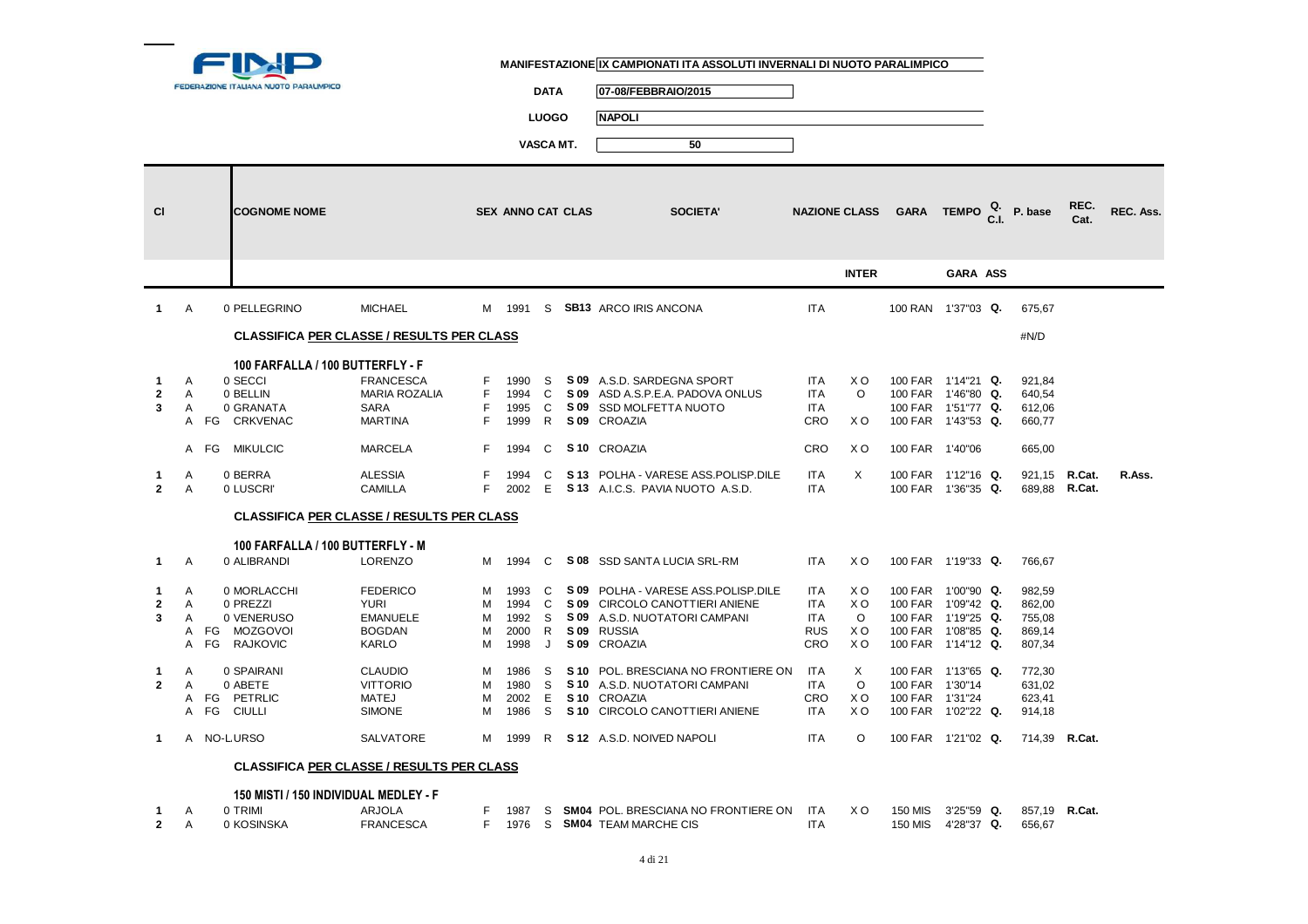

**DATA 07-08/FEBBRAIO/2015**

**LUOGO NAPOLI**

| <b>CI</b>      |              | <b>COGNOME NOME</b>                   |                                                  |    | <b>SEX ANNO CAT CLAS</b> |              | <b>SOCIETA'</b>                     |            |                | NAZIONE CLASS GARA TEMPO $_{\text{C.I.}}^{\text{Q.}}$ P. base |          |               | REC.<br>Cat. | REC. Ass. |
|----------------|--------------|---------------------------------------|--------------------------------------------------|----|--------------------------|--------------|-------------------------------------|------------|----------------|---------------------------------------------------------------|----------|---------------|--------------|-----------|
|                |              |                                       |                                                  |    |                          |              |                                     |            |                |                                                               |          |               |              |           |
|                |              |                                       |                                                  |    |                          |              |                                     |            | <b>INTER</b>   |                                                               | GARA ASS |               |              |           |
| $\mathbf{1}$   | $\mathsf{A}$ | 0 PELLEGRINO                          | <b>MICHAEL</b>                                   |    |                          |              | M 1991 S SB13 ARCO IRIS ANCONA      | <b>ITA</b> |                | 100 RAN 1'37"03 Q.                                            |          | 675.67        |              |           |
|                |              |                                       | <b>CLASSIFICA PER CLASSE / RESULTS PER CLASS</b> |    |                          |              |                                     |            |                |                                                               |          | #N/D          |              |           |
|                |              | 100 FARFALLA / 100 BUTTERFLY - F      |                                                  |    |                          |              |                                     |            |                |                                                               |          |               |              |           |
| $\mathbf{1}$   | A            | 0 SECCI                               | <b>FRANCESCA</b>                                 | F  | 1990                     | -S           | S 09 A.S.D. SARDEGNA SPORT          | <b>ITA</b> | X O            | 100 FAR 1'14"21 Q.                                            |          | 921,84        |              |           |
| $\mathbf{2}$   | A            | 0 BELLIN                              | <b>MARIA ROZALIA</b>                             | F. | 1994                     | C            | S 09 ASD A.S.P.E.A. PADOVA ONLUS    | <b>ITA</b> | $\circ$        | 100 FAR 1'46"80 Q.                                            |          | 640,54        |              |           |
| 3              | A            | 0 GRANATA                             | SARA                                             | F  | 1995                     | C.           | S 09 SSD MOLFETTA NUOTO             | ITA        |                | 100 FAR 1'51"77 Q.                                            |          | 612,06        |              |           |
|                |              | <b>CRKVENAC</b><br>A FG               | <b>MARTINA</b>                                   | F  | 1999                     | R            | S 09 CROAZIA                        | <b>CRO</b> | XO             | 100 FAR 1'43"53 Q.                                            |          | 660,77        |              |           |
|                |              | <b>MIKULCIC</b><br>A FG               | <b>MARCELA</b>                                   | F. | 1994                     | C            | S <sub>10</sub> CROAZIA             | CRO        | X O            | 100 FAR 1'40"06                                               |          | 665,00        |              |           |
| $\mathbf{1}$   | A            | 0 BERRA                               | <b>ALESSIA</b>                                   | F  | 1994                     | C            | S 13 POLHA - VARESE ASS.POLISP.DILE | <b>ITA</b> | $\times$       | 100 FAR 1'12"16 Q.                                            |          | 921,15 R.Cat. |              | R.Ass.    |
| $\overline{2}$ | A            | 0 LUSCRI'                             | <b>CAMILLA</b>                                   | F  | 2002                     | E            | S 13 A.I.C.S. PAVIA NUOTO A.S.D.    | <b>ITA</b> |                | 100 FAR 1'36"35 Q.                                            |          | 689,88 R.Cat. |              |           |
|                |              |                                       | <b>CLASSIFICA PER CLASSE / RESULTS PER CLASS</b> |    |                          |              |                                     |            |                |                                                               |          |               |              |           |
|                |              | 100 FARFALLA / 100 BUTTERFLY - M      |                                                  |    |                          |              |                                     |            |                |                                                               |          |               |              |           |
| $\mathbf 1$    | A            | 0 ALIBRANDI                           | <b>LORENZO</b>                                   |    | M 1994                   | C            | S 08 SSD SANTA LUCIA SRL-RM         | <b>ITA</b> | X <sub>O</sub> | 100 FAR 1'19"33 Q.                                            |          | 766,67        |              |           |
|                |              |                                       |                                                  |    |                          |              |                                     |            |                |                                                               |          |               |              |           |
| $\mathbf{1}$   | A            | 0 MORLACCHI                           | <b>FEDERICO</b>                                  | M  | 1993                     | C            | S 09 POLHA - VARESE ASS.POLISP.DILE | ITA        | X O            | 100 FAR 1'00"90 Q.                                            |          | 982,59        |              |           |
| $\mathbf{2}$   | A            | 0 PREZZI                              | <b>YURI</b>                                      | м  | 1994 C                   |              | S 09 CIRCOLO CANOTTIERI ANIENE      | <b>ITA</b> | X O            | 100 FAR 1'09"42 Q.                                            |          | 862,00        |              |           |
| 3              | Α            | 0 VENERUSO                            | <b>EMANUELE</b>                                  | М  | 1992                     | <sub>S</sub> | S 09 A.S.D. NUOTATORI CAMPANI       | <b>ITA</b> | $\circ$        | 100 FAR 1'19"25 Q.                                            |          | 755,08        |              |           |
|                |              | A FG MOZGOVOI                         | <b>BOGDAN</b>                                    | м  | 2000                     | R            | S 09 RUSSIA                         | <b>RUS</b> | X O            | 100 FAR 1'08"85 Q.                                            |          | 869,14        |              |           |
|                |              | A FG RAJKOVIC                         | KARLO                                            | M  | 1998                     | J            | S 09 CROAZIA                        | <b>CRO</b> | X <sub>O</sub> | 100 FAR 1'14"12 Q.                                            |          | 807,34        |              |           |
|                |              |                                       |                                                  |    |                          |              |                                     |            |                |                                                               |          |               |              |           |
| $\mathbf{1}$   | A            | 0 SPAIRANI                            | <b>CLAUDIO</b>                                   | M  | 1986                     | S            | S 10 POL. BRESCIANA NO FRONTIERE ON | ITA        | X              | 100 FAR 1'13"65 Q.                                            |          | 772,30        |              |           |
| $\mathbf{2}$   | $\mathsf{A}$ | 0 ABETE                               | <b>VITTORIO</b>                                  | M  | 1980                     | -S           | S 10 A.S.D. NUOTATORI CAMPANI       | <b>ITA</b> | $\circ$        | 100 FAR 1'30"14                                               |          | 631,02        |              |           |
|                |              | A FG PETRLIC                          | <b>MATEJ</b>                                     | M  | 2002                     | Ε            | S <sub>10</sub> CROAZIA             | CRO        | X O            | 100 FAR 1'31"24                                               |          | 623,41        |              |           |
|                |              | A FG<br><b>CIULLI</b>                 | <b>SIMONE</b>                                    | м  | 1986                     | -S           | S 10 CIRCOLO CANOTTIERI ANIENE      | <b>ITA</b> | XO             | 100 FAR 1'02"22 Q.                                            |          | 914,18        |              |           |
| $\mathbf{1}$   |              | A NO-LURSO                            | SALVATORE                                        | M  | 1999                     | R            | S 12 A.S.D. NOIVED NAPOLI           | <b>ITA</b> | $\circ$        | 100 FAR 1'21"02 Q.                                            |          | 714,39 R.Cat. |              |           |
|                |              |                                       | <b>CLASSIFICA PER CLASSE / RESULTS PER CLASS</b> |    |                          |              |                                     |            |                |                                                               |          |               |              |           |
|                |              | 150 MISTI / 150 INDIVIDUAL MEDLEY - F |                                                  |    |                          |              |                                     |            |                |                                                               |          |               |              |           |

|        | TRIMI      |           |  | 1987 S <b>SM04</b> POL. BRESCIANA NO FRONTIERE ON ITA A | X O |         | 150 MIS 3'25"59 Q. | 857.19 <b>R.Cat.</b> |
|--------|------------|-----------|--|---------------------------------------------------------|-----|---------|--------------------|----------------------|
| $\sim$ | I KOSINSKA | FRANCESCA |  | 1976 S SM04 TEAM MARCHE CIS                             |     | 150 MIS | 4'28"37 Q.         | 656.67               |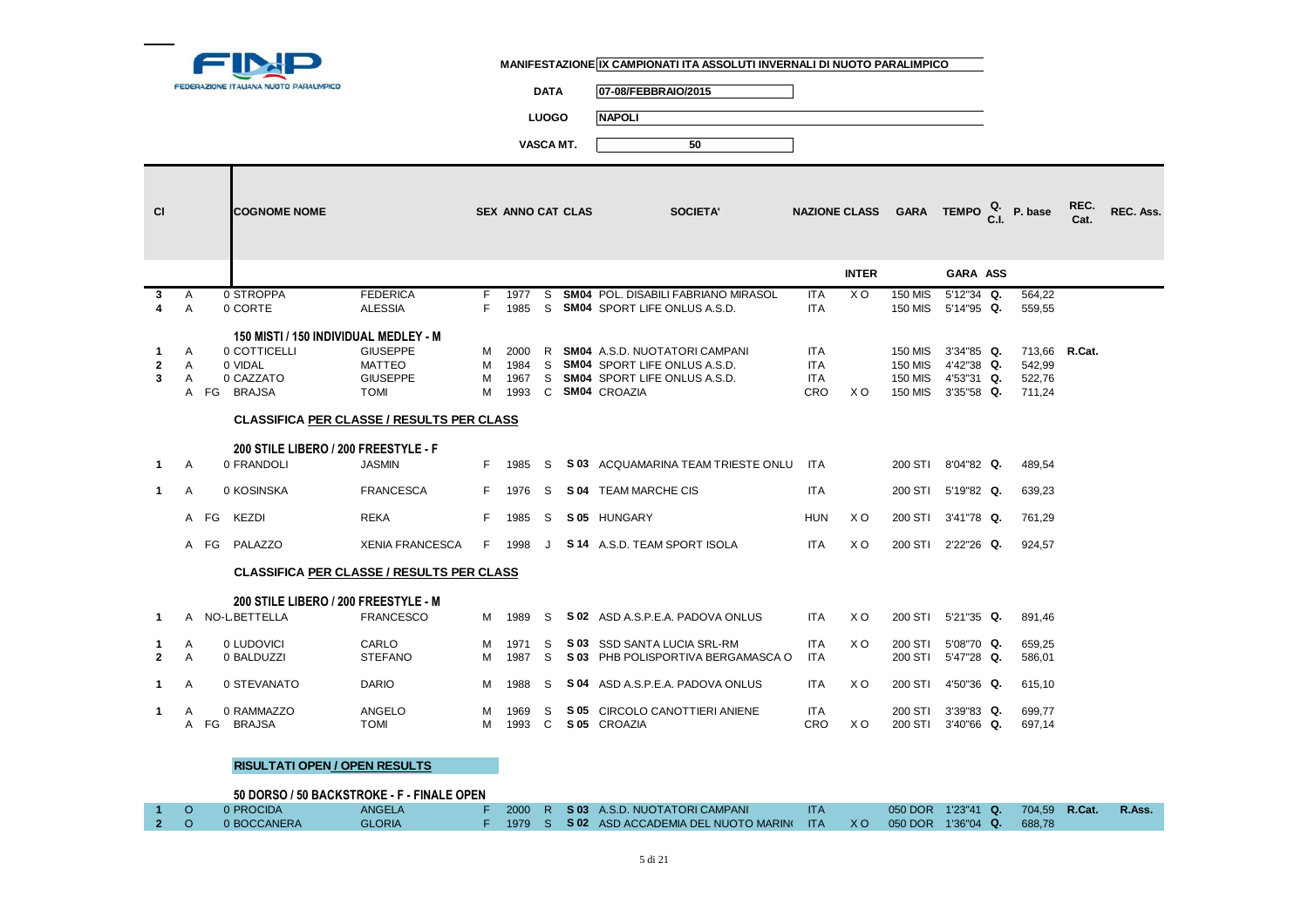

**DATA 07-08/FEBBRAIO/2015**

**LUOGO NAPOLI**

**VASCA MT. 50**

| <b>CI</b>                         |                          |      | <b>COGNOME NOME</b>                                 |                                                                    |        | <b>SEX ANNO CAT CLAS</b>         |                   | <b>SOCIETA'</b>                                                                                                       |                                        |                | NAZIONE CLASS GARA TEMPO $_{\text{C.L}}^{\text{Q.}}$ P. base  |                                                        |                                             | REC.<br>Cat. | REC. Ass. |
|-----------------------------------|--------------------------|------|-----------------------------------------------------|--------------------------------------------------------------------|--------|----------------------------------|-------------------|-----------------------------------------------------------------------------------------------------------------------|----------------------------------------|----------------|---------------------------------------------------------------|--------------------------------------------------------|---------------------------------------------|--------------|-----------|
|                                   |                          |      |                                                     |                                                                    |        |                                  |                   |                                                                                                                       |                                        | <b>INTER</b>   |                                                               | GARA ASS                                               |                                             |              |           |
| 3                                 | A<br>$\overline{A}$      |      | 0 STROPPA<br>0 CORTE                                | <b>FEDERICA</b><br><b>ALESSIA</b>                                  | F<br>F | 1977<br>1985                     | S<br>S.           | <b>SM04 POL. DISABILI FABRIANO MIRASOL</b><br><b>SM04 SPORT LIFE ONLUS A.S.D.</b>                                     | <b>ITA</b><br><b>ITA</b>               | X <sub>O</sub> | <b>150 MIS</b><br><b>150 MIS</b>                              | 5'12"34 Q.<br>5'14"95 Q.                               | 564.22<br>559,55                            |              |           |
|                                   |                          |      | 150 MISTI / 150 INDIVIDUAL MEDLEY - M               |                                                                    |        |                                  |                   |                                                                                                                       |                                        |                |                                                               |                                                        |                                             |              |           |
| $\mathbf{1}$<br>$\mathbf{2}$<br>3 | A<br>A<br>$\overline{A}$ |      | 0 COTTICELLI<br>0 VIDAL<br>0 CAZZATO<br>A FG BRAJSA | <b>GIUSEPPE</b><br><b>MATTEO</b><br><b>GIUSEPPE</b><br><b>TOMI</b> | м<br>M | M 2000<br>M 1984<br>1967<br>1993 |                   | R SM04 A.S.D. NUOTATORI CAMPANI<br>S SM04 SPORT LIFE ONLUS A.S.D.<br>S SM04 SPORT LIFE ONLUS A.S.D.<br>C SM04 CROAZIA | <b>ITA</b><br><b>ITA</b><br>ITA<br>CRO | X O            | <b>150 MIS</b><br><b>150 MIS</b><br><b>150 MIS</b><br>150 MIS | 3'34"85 Q.<br>4'42"38 Q.<br>4'53"31 Q.<br>$3'35"58$ Q. | 713,66 R.Cat.<br>542,99<br>522,76<br>711,24 |              |           |
|                                   |                          |      | <b>CLASSIFICA PER CLASSE / RESULTS PER CLASS</b>    |                                                                    |        |                                  |                   |                                                                                                                       |                                        |                |                                                               |                                                        |                                             |              |           |
| $\mathbf 1$                       | A                        |      | 200 STILE LIBERO / 200 FREESTYLE - F<br>0 FRANDOLI  | <b>JASMIN</b>                                                      |        | F 1985                           | S.                | S 03 ACQUAMARINA TEAM TRIESTE ONLU ITA                                                                                |                                        |                | 200 STI                                                       | 8'04"82 Q.                                             | 489,54                                      |              |           |
| $\mathbf{1}$                      | Α                        |      | 0 KOSINSKA                                          | <b>FRANCESCA</b>                                                   |        | F 1976                           | S                 | S 04 TEAM MARCHE CIS                                                                                                  | <b>ITA</b>                             |                | 200 STI                                                       | 5'19"82 Q.                                             | 639,23                                      |              |           |
|                                   |                          | A FG | <b>KEZDI</b>                                        | <b>REKA</b>                                                        |        | F 1985                           | S                 | S 05 HUNGARY                                                                                                          | <b>HUN</b>                             | X O            | 200 STI                                                       | 3'41"78 Q.                                             | 761.29                                      |              |           |
|                                   |                          | A FG | PALAZZO                                             | <b>XENIA FRANCESCA</b>                                             |        | F 1998                           |                   | J S 14 A.S.D. TEAM SPORT ISOLA                                                                                        | <b>ITA</b>                             | X <sub>O</sub> |                                                               | 200 STI 2'22"26 Q.                                     | 924.57                                      |              |           |
|                                   |                          |      | <b>CLASSIFICA PER CLASSE / RESULTS PER CLASS</b>    |                                                                    |        |                                  |                   |                                                                                                                       |                                        |                |                                                               |                                                        |                                             |              |           |
|                                   |                          |      | 200 STILE LIBERO / 200 FREESTYLE - M                |                                                                    |        |                                  |                   |                                                                                                                       |                                        |                |                                                               |                                                        |                                             |              |           |
|                                   |                          |      | A NO-LBETTELLA                                      | <b>FRANCESCO</b>                                                   |        | M 1989                           | S.                | S 02 ASD A.S.P.E.A. PADOVA ONLUS                                                                                      | <b>ITA</b>                             | X O            |                                                               | 200 STI 5'21"35 Q.                                     | 891.46                                      |              |           |
| 1.<br>$\overline{2}$              | A<br>$\overline{A}$      |      | 0 LUDOVICI<br>0 BALDUZZI                            | CARLO<br><b>STEFANO</b>                                            | M<br>M | 1971<br>1987                     | S.<br>S.          | S 03 SSD SANTA LUCIA SRL-RM<br>S 03 PHB POLISPORTIVA BERGAMASCA O                                                     | <b>ITA</b><br><b>ITA</b>               | X O            | 200 STI<br>200 STI                                            | 5'08"70 Q.<br>5'47"28 Q.                               | 659,25<br>586,01                            |              |           |
| $\mathbf{1}$                      | A                        |      | 0 STEVANATO                                         | <b>DARIO</b>                                                       |        | M 1988                           | S                 | S 04 ASD A.S.P.E.A. PADOVA ONLUS                                                                                      | <b>ITA</b>                             | X <sub>O</sub> | 200 STI                                                       | 4'50"36 Q.                                             | 615,10                                      |              |           |
| 1.                                | A                        |      | 0 RAMMAZZO<br>A FG BRAJSA                           | ANGELO<br><b>TOMI</b>                                              | M<br>M | 1969<br>1993                     | S<br>$\mathbf{C}$ | S 05 CIRCOLO CANOTTIERI ANIENE<br>S 05 CROAZIA                                                                        | ITA<br>CRO                             | X O            | 200 STI<br>200 STI                                            | 3'39"83 Q.<br>3'40"66 Q.                               | 699,77<br>697,14                            |              |           |

#### **RISULTATI OPEN / OPEN RESULTS**

|     | 50 DORSO / 50 BACKSTROKE - F - FINALE OPEN |               |  |  |                                                                              |            |  |                                  |        |
|-----|--------------------------------------------|---------------|--|--|------------------------------------------------------------------------------|------------|--|----------------------------------|--------|
|     | 0 PROCIDA                                  | ANGELA        |  |  | 2000 R S 03 A.S.D. NUOTATORI CAMPANI                                         | <b>ITA</b> |  | 050 DOR 1'23"41 Q. 704.59 R.Cat. | R.Ass. |
| 2 O | 0 BOCCANERA                                | <b>GLORIA</b> |  |  | 1979 S S 02 ASD ACCADEMIA DEL NUOTO MARIN( ITA X O 050 DOR 1'36"04 Q. 688.78 |            |  |                                  |        |
|     |                                            |               |  |  |                                                                              |            |  |                                  |        |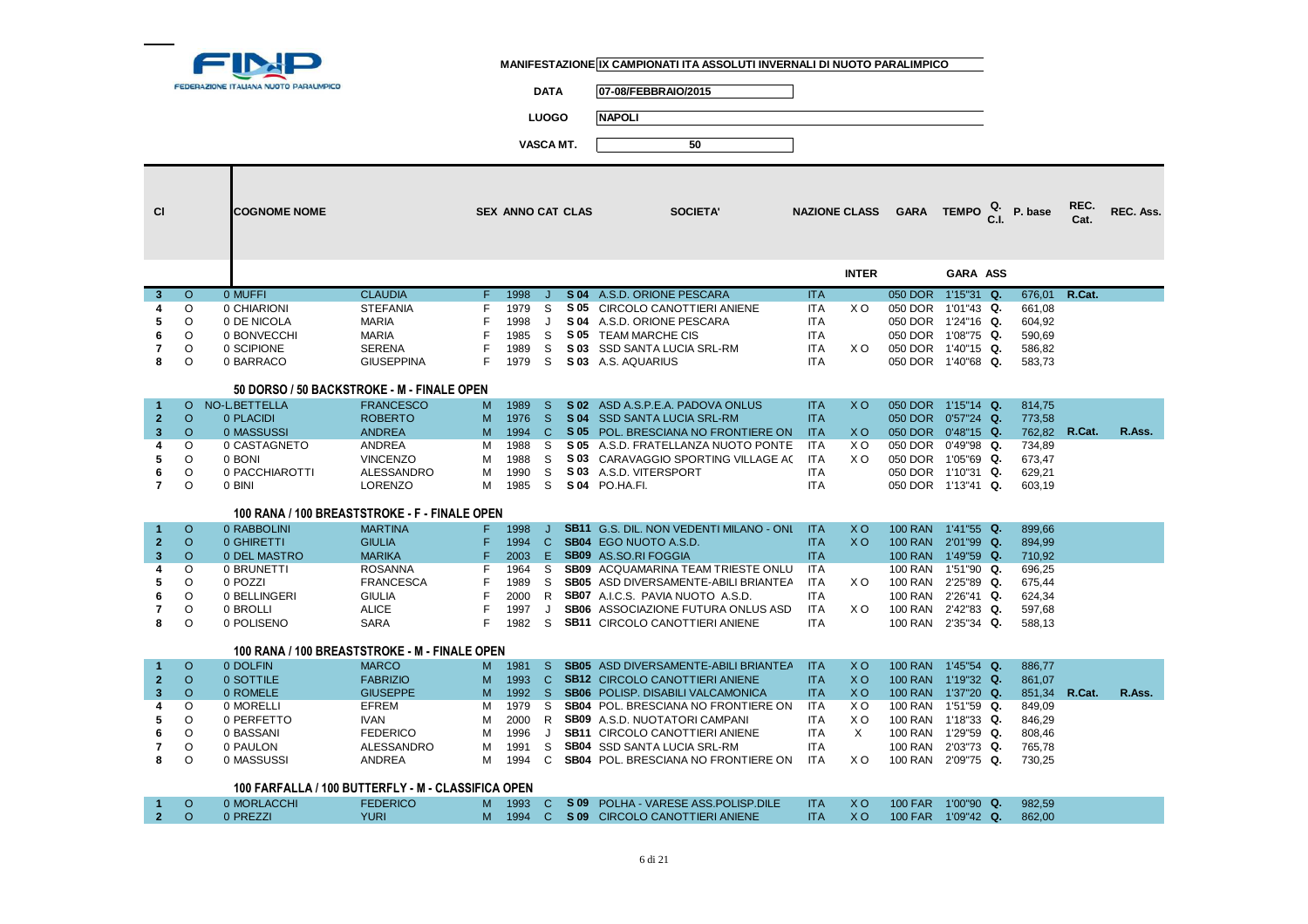

**DATA 07-08/FEBBRAIO/2015**

**LUOGO NAPOLI**

| <b>CI</b>               |          | <b>COGNOME NOME</b> |                                                    |    | <b>SEX ANNO CAT CLAS</b> |              |      | <b>SOCIETA'</b>                             |            | <b>NAZIONE CLASS</b> | GARA TEMPO $_{\text{C.I.}}^{\text{Q.}}$ P. base |               |        | REC.<br>Cat. | REC. Ass. |
|-------------------------|----------|---------------------|----------------------------------------------------|----|--------------------------|--------------|------|---------------------------------------------|------------|----------------------|-------------------------------------------------|---------------|--------|--------------|-----------|
|                         |          |                     |                                                    |    |                          |              |      |                                             |            | <b>INTER</b>         |                                                 | GARA ASS      |        |              |           |
| 3                       | $\Omega$ | 0 MUFFI             | <b>CLAUDIA</b>                                     | F. | 1998                     | J.           |      | S 04 A.S.D. ORIONE PESCARA                  | <b>ITA</b> |                      | 050 DOR 1'15"31 Q.                              |               | 676.01 | R.Cat.       |           |
| 4                       | O        | 0 CHIARIONI         | <b>STEFANIA</b>                                    | F  | 1979                     | <sub>S</sub> |      | S 05 CIRCOLO CANOTTIERI ANIENE              | <b>ITA</b> | X O                  | 050 DOR                                         | 1'01"43 Q.    | 661,08 |              |           |
| 5                       | $\Omega$ | 0 DE NICOLA         | <b>MARIA</b>                                       | F  | 1998                     | J            |      | S 04 A.S.D. ORIONE PESCARA                  | <b>ITA</b> |                      | 050 DOR 1'24"16 Q.                              |               | 604,92 |              |           |
| 6                       | O        | 0 BONVECCHI         | <b>MARIA</b>                                       |    | 1985                     | S            | S 05 | <b>TEAM MARCHE CIS</b>                      | <b>ITA</b> |                      | 050 DOR 1'08"75 Q.                              |               | 590,69 |              |           |
| 7                       | O        | 0 SCIPIONE          | <b>SERENA</b>                                      | F  | 1989                     | S            |      | S 03 SSD SANTA LUCIA SRL-RM                 | <b>ITA</b> | X O                  | 050 DOR 1'40"15 Q.                              |               | 586,82 |              |           |
| 8                       | O        | 0 BARRACO           | <b>GIUSEPPINA</b>                                  | F  | 1979                     | S            |      | S 03 A.S. AQUARIUS                          | <b>ITA</b> |                      | 050 DOR 1'40"68 Q.                              |               | 583,73 |              |           |
|                         |          |                     | 50 DORSO / 50 BACKSTROKE - M - FINALE OPEN         |    |                          |              |      |                                             |            |                      |                                                 |               |        |              |           |
| $\mathbf{1}$            | $\circ$  | NO-L BETTELLA       | <b>FRANCESCO</b>                                   | M  | 1989                     | <sub>S</sub> |      | S 02 ASD A.S.P.E.A. PADOVA ONLUS            | <b>ITA</b> | <b>XO</b>            | 050 DOR 1'15"14 Q.                              |               | 814,75 |              |           |
| $\overline{2}$          | $\circ$  | 0 PLACIDI           | <b>ROBERTO</b>                                     | M  | 1976                     | -S           |      | S 04 SSD SANTA LUCIA SRL-RM                 | <b>ITA</b> |                      | 050 DOR  0'57"24 Q.                             |               | 773,58 |              |           |
| $\overline{\mathbf{3}}$ | $\Omega$ | 0 MASSUSSI          | <b>ANDREA</b>                                      | M  | 1994                     | $\mathbf C$  |      | S 05 POL. BRESCIANA NO FRONTIERE ON         | <b>ITA</b> | <b>XO</b>            | 050 DOR 0'48"15 Q.                              |               | 762.82 | R.Cat.       | R.Ass.    |
| 4                       | O        | 0 CASTAGNETO        | ANDREA                                             | м  | 1988                     | -S           |      | <b>S 05</b> A.S.D. FRATELLANZA NUOTO PONTE  | <b>ITA</b> | X O                  | 050 DOR                                         | $0'49''98$ Q. | 734,89 |              |           |
| 5                       | $\circ$  | 0 BONI              | <b>VINCENZO</b>                                    | M  | 1988                     | S            |      | S 03 CARAVAGGIO SPORTING VILLAGE AC         | <b>ITA</b> | X O                  | 050 DOR                                         | 1'05"69 Q.    | 673,47 |              |           |
| 6                       | O        | 0 PACCHIAROTTI      | <b>ALESSANDRO</b>                                  | M  | 1990                     | S            |      | S 03 A.S.D. VITERSPORT                      | <b>ITA</b> |                      | 050 DOR 1'10"31 Q.                              |               | 629,21 |              |           |
| $\overline{7}$          | $\circ$  | 0 BINI              | LORENZO                                            | M  | 1985                     | S            |      | S 04 PO.HA.FI.                              | <b>ITA</b> |                      | 050 DOR 1'13"41 Q.                              |               | 603,19 |              |           |
|                         |          |                     | 100 RANA / 100 BREASTSTROKE - F - FINALE OPEN      |    |                          |              |      |                                             |            |                      |                                                 |               |        |              |           |
| $\blacktriangleleft$    | $\circ$  | 0 RABBOLINI         | <b>MARTINA</b>                                     | F. | 1998                     | J            |      | SB11 G.S. DIL. NON VEDENTI MILANO - ONI     | <b>ITA</b> | X <sub>O</sub>       | 100 RAN 1'41"55 Q.                              |               | 899,66 |              |           |
| $\overline{2}$          | $\circ$  | 0 GHIRETTI          | <b>GIULIA</b>                                      | F  | 1994                     | $\mathbf{C}$ |      | SB04 EGO NUOTO A.S.D.                       | <b>ITA</b> | <b>XO</b>            | 100 RAN 2'01"99 Q.                              |               | 894,99 |              |           |
| 3                       | O        | 0 DEL MASTRO        | <b>MARIKA</b>                                      | F  | 2003                     | E            |      | <b>SB09</b> AS.SO.RI FOGGIA                 | <b>ITA</b> |                      | 100 RAN 1'49"59 Q.                              |               | 710,92 |              |           |
| 4                       | $\Omega$ | 0 BRUNETTI          | <b>ROSANNA</b>                                     |    | 1964                     | S            |      | <b>SB09</b> ACQUAMARINA TEAM TRIESTE ONLU   | <b>ITA</b> |                      | <b>100 RAN</b>                                  | 1'51"90 Q.    | 696,25 |              |           |
| 5                       | O        | 0 POZZI             | <b>FRANCESCA</b>                                   | F  | 1989                     | S            |      | <b>SB05</b> ASD DIVERSAMENTE-ABILI BRIANTEA | <b>ITA</b> | X O                  | <b>100 RAN</b>                                  | 2'25"89 Q.    | 675,44 |              |           |
| 6                       | O        | 0 BELLINGERI        | <b>GIULIA</b>                                      |    | 2000                     | R            |      | <b>SB07</b> A.I.C.S. PAVIA NUOTO A.S.D.     | <b>ITA</b> |                      | <b>100 RAN</b>                                  | 2'26"41 Q.    | 624,34 |              |           |
| 7                       | O        | 0 BROLLI            | <b>ALICE</b>                                       | F  | 1997                     | J            |      | SB06 ASSOCIAZIONE FUTURA ONLUS ASD          | <b>ITA</b> | X O                  | 100 RAN                                         | 2'42"83 Q.    | 597,68 |              |           |
| 8                       | O        | 0 POLISENO          | <b>SARA</b>                                        | F  | 1982                     | S            |      | <b>SB11 CIRCOLO CANOTTIERI ANIENE</b>       | <b>ITA</b> |                      | 100 RAN 2'35"34 Q.                              |               | 588,13 |              |           |
|                         |          |                     | 100 RANA / 100 BREASTSTROKE - M - FINALE OPEN      |    |                          |              |      |                                             |            |                      |                                                 |               |        |              |           |
| $\mathbf{1}$            | $\circ$  | 0 DOLFIN            | <b>MARCO</b>                                       | M  | 1981                     | <sub>S</sub> |      | <b>SB05</b> ASD DIVERSAMENTE-ABILI BRIANTEA | <b>ITA</b> | <b>XO</b>            | 100 RAN 1'45"54 Q.                              |               | 886,77 |              |           |
| $\overline{2}$          | $\Omega$ | 0 SOTTILE           | <b>FABRIZIO</b>                                    | M  | 1993                     | <sub>C</sub> |      | <b>SB12 CIRCOLO CANOTTIERI ANIENE</b>       | <b>ITA</b> | X <sub>O</sub>       | 100 RAN 1'19"32 Q.                              |               | 861,07 |              |           |
| $\overline{\mathbf{3}}$ | $\Omega$ | 0 ROMELE            | <b>GIUSEPPE</b>                                    | M  | 1992                     | -S           |      | <b>SB06</b> POLISP. DISABILI VALCAMONICA    | <b>ITA</b> | X <sub>O</sub>       | 100 RAN 1'37"20 Q.                              |               | 851,34 | R.Cat.       | R.Ass.    |
| 4                       | O        | 0 MORELLI           | EFREM                                              | м  | 1979                     | <sub>S</sub> |      | <b>SB04 POL. BRESCIANA NO FRONTIERE ON</b>  | <b>ITA</b> | X O                  | 100 RAN 1'51"59 Q.                              |               | 849,09 |              |           |
| 5                       | O        | 0 PERFETTO          | <b>IVAN</b>                                        | м  | 2000                     | R            |      | <b>SB09</b> A.S.D. NUOTATORI CAMPANI        | <b>ITA</b> | X <sub>O</sub>       | <b>100 RAN</b>                                  | 1'18"33 Q.    | 846,29 |              |           |
| 6                       | $\circ$  | 0 BASSANI           | <b>FEDERICO</b>                                    | м  | 1996                     | J            |      | <b>SB11 CIRCOLO CANOTTIERI ANIENE</b>       | <b>ITA</b> | $\times$             | 100 RAN 1'29"59 Q.                              |               | 808,46 |              |           |
| 7                       | O        | 0 PAULON            | ALESSANDRO                                         | M  | 1991                     | S            |      | <b>SB04</b> SSD SANTA LUCIA SRL-RM          | <b>ITA</b> |                      | <b>100 RAN</b>                                  | 2'03"73 Q.    | 765,78 |              |           |
| 8                       | O        | 0 MASSUSSI          | ANDREA                                             | M  | 1994                     | C            |      | SB04 POL. BRESCIANA NO FRONTIERE ON         | <b>ITA</b> | X O                  | 100 RAN 2'09"75 Q.                              |               | 730,25 |              |           |
|                         |          |                     | 100 FARFALLA / 100 BUTTERFLY - M - CLASSIFICA OPEN |    |                          |              |      |                                             |            |                      |                                                 |               |        |              |           |
|                         | O        | 0 MORLACCHI         | <b>FEDERICO</b>                                    | M  | 1993                     | C            | S 09 | POLHA - VARESE ASS.POLISP.DILE              | <b>ITA</b> | <b>XO</b>            | 100 FAR 1'00"90 Q.                              |               | 982,59 |              |           |
| 2 <sup>2</sup>          | $\Omega$ | 0 PREZZI            | <b>YURI</b>                                        | M  | 1994                     | $\mathbf{C}$ |      | S 09 CIRCOLO CANOTTIERI ANIENE              | <b>ITA</b> | <b>XO</b>            | 100 FAR 1'09"42 Q.                              |               | 862.00 |              |           |
|                         |          |                     |                                                    |    |                          |              |      |                                             |            |                      |                                                 |               |        |              |           |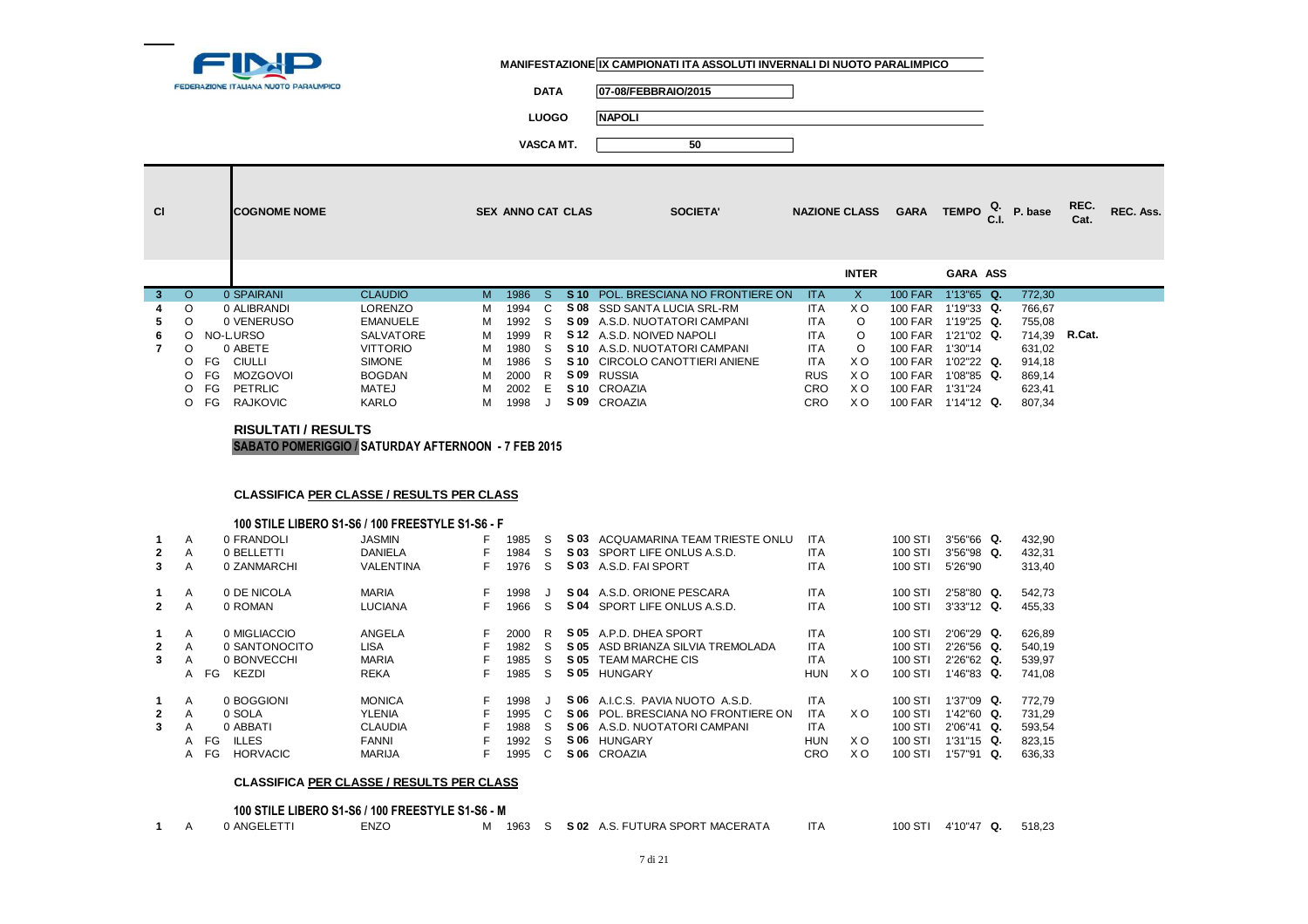

**DATA 07-08/FEBBRAIO/2015**

**LUOGO NAPOLI**

**VASCA MT. 50**

| <b>CI</b> |         | <b>COGNOME NOME</b>   |                 |   | <b>SEX ANNO CAT CLAS</b> |    |      | <b>SOCIETA'</b>                 |            | <b>NAZIONE CLASS</b> | <b>GARA</b>    | <b>TEMPO</b>    | $Q.$ P. base | REC.<br>Cat.  | REC. Ass. |
|-----------|---------|-----------------------|-----------------|---|--------------------------|----|------|---------------------------------|------------|----------------------|----------------|-----------------|--------------|---------------|-----------|
|           |         |                       |                 |   |                          |    |      |                                 |            | <b>INTER</b>         |                | <b>GARA ASS</b> |              |               |           |
| 3.        | $\circ$ | 0 SPAIRANI            | <b>CLAUDIO</b>  | M | 1986                     | S. | S 10 | POL. BRESCIANA NO FRONTIERE ON  | <b>ITA</b> | X                    | <b>100 FAR</b> | $1'13''65$ Q.   | 772,30       |               |           |
| 4         | $\circ$ | 0 ALIBRANDI           | <b>LORENZO</b>  | м | 1994                     | C. | S 08 | SSD SANTA LUCIA SRL-RM          | <b>ITA</b> | X O                  | <b>100 FAR</b> | $1'19''33$ Q.   | 766,67       |               |           |
| 5.        | $\circ$ | 0 VENERUSO            | <b>EMANUELE</b> | м | 1992                     | S. |      | S 09 A.S.D. NUOTATORI CAMPANI   | <b>ITA</b> | $\circ$              | <b>100 FAR</b> | $1'19''25$ Q.   | 755,08       |               |           |
| 6.        | ∩       | NO-LURSO              | SALVATORE       | м | 1999                     | R. |      | <b>S12</b> A.S.D. NOIVED NAPOLI | <b>ITA</b> | O                    | <b>100 FAR</b> | 1'21"02 Q.      |              | 714,39 R.Cat. |           |
|           | O       | 0 ABETE               | <b>VITTORIO</b> | м | 1980                     | S. |      | S 10 A.S.D. NUOTATORI CAMPANI   | <b>ITA</b> | O                    | <b>100 FAR</b> | 1'30"14         | 631,02       |               |           |
|           | $\circ$ | FG<br>CIULLI          | <b>SIMONE</b>   | м | 1986                     | S. |      | S 10 CIRCOLO CANOTTIERI ANIENE  | <b>ITA</b> | X O                  | <b>100 FAR</b> | $1'02''22$ Q.   | 914,18       |               |           |
|           | $\circ$ | <b>MOZGOVOI</b><br>FG | <b>BOGDAN</b>   | м | 2000                     | R  |      | S 09 RUSSIA                     | <b>RUS</b> | X O                  | <b>100 FAR</b> | $1'08''85$ Q.   | 869,14       |               |           |
|           | $\circ$ | FG<br>PETRLIC         | MATEJ           | м | 2002                     | F. |      | S <sub>10</sub> CROAZIA         | <b>CRO</b> | X O                  | <b>100 FAR</b> | 1'31"24         | 623,41       |               |           |
|           | $\circ$ | <b>RAJKOVIC</b><br>FG | KARLO           | м | 1998                     |    |      | S 09 CROAZIA                    | <b>CRO</b> | X <sub>O</sub>       | <b>100 FAR</b> | $1'14"12$ Q.    | 807,34       |               |           |

#### **RISULTATI / RESULTSSABATO POMERIGGIO / SATURDAY AFTERNOON - 7 FEB 2015**

## **CLASSIFICA PER CLASSE / RESULTS PER CLASS**

#### **100 STILE LIBERO S1-S6 / 100 FREESTYLE S1-S6 - F**

| $\mathbf{2}$<br>3                | A<br>A<br>A                       | 0 FRANDOLI<br>0 BELLETTI<br>0 ZANMARCHI                             | <b>JASMIN</b><br>DANIELA<br>VALENTINA                                      | F<br>F<br>F.       | 1985<br>1984<br>1976                 | S<br>S<br>S      | S 03<br>S 03                         | ACQUAMARINA TEAM TRIESTE ONLU<br>SPORT LIFE ONLUS A.S.D.<br>S 03 A.S.D. FAI SPORT                               | <b>ITA</b><br><b>ITA</b><br><b>ITA</b>                      |                   | 100 STI<br>100 STI<br>100 STI                       | $3'56''66$ Q.<br>$3'56''98$ Q.<br>5'26"90                        |          | 432,90<br>432,31<br>313,40                     |
|----------------------------------|-----------------------------------|---------------------------------------------------------------------|----------------------------------------------------------------------------|--------------------|--------------------------------------|------------------|--------------------------------------|-----------------------------------------------------------------------------------------------------------------|-------------------------------------------------------------|-------------------|-----------------------------------------------------|------------------------------------------------------------------|----------|------------------------------------------------|
| $\mathbf{2}$                     | A<br>A                            | 0 DE NICOLA<br>0 ROMAN                                              | <b>MARIA</b><br><b>LUCIANA</b>                                             | F<br>F.            | 1998<br>1966                         | S                | S 04                                 | S 04 A.S.D. ORIONE PESCARA<br>SPORT LIFE ONLUS A.S.D.                                                           | <b>ITA</b><br><b>ITA</b>                                    |                   | 100 STI<br>100 STI                                  | 2'58"80 Q.<br>$3'33''12$ Q.                                      |          | 542,73<br>455,33                               |
| $\mathbf{2}$<br>3                | A<br>A<br>A<br>FG<br>A            | 0 MIGLIACCIO<br>0 SANTONOCITO<br>0 BONVECCHI<br>KEZDI               | ANGELA<br><b>LISA</b><br>MARIA<br><b>REKA</b>                              | F<br>F<br>F.       | 2000<br>1982<br>1985<br>1985         | R<br>S<br>S<br>S | S 05<br>S 05<br>S 05<br>S 05         | A.P.D. DHEA SPORT<br>ASD BRIANZA SILVIA TREMOLADA<br><b>TEAM MARCHE CIS</b><br><b>HUNGARY</b>                   | <b>ITA</b><br><b>ITA</b><br><b>ITA</b><br><b>HUN</b>        | X O               | 100 STI<br>100 STI<br>100 STI<br>100 STI            | $2'06''29$ Q.<br>$2'26''56$ Q.<br>$2'26''62$ Q.<br>$1'46''83$ Q. |          | 626,89<br>540.19<br>539,97<br>741.08           |
| $\mathbf 1$<br>$\mathbf{2}$<br>3 | A<br>A<br>A<br>FG<br>A<br>FG<br>A | 0 BOGGIONI<br>0 SOLA<br>0 ABBATI<br><b>ILLES</b><br><b>HORVACIC</b> | <b>MONICA</b><br>YLENIA<br><b>CLAUDIA</b><br><b>FANNI</b><br><b>MARIJA</b> | F.<br>F<br>F<br>F. | 1998<br>1995<br>1988<br>1992<br>1995 | S<br>S           | S 06<br>S 06<br>S 06<br>S 06<br>S 06 | A.I.C.S. PAVIA NUOTO A.S.D.<br>POL. BRESCIANA NO FRONTIERE ON<br>A.S.D. NUOTATORI CAMPANI<br>HUNGARY<br>CROAZIA | <b>ITA</b><br><b>ITA</b><br><b>ITA</b><br><b>HUN</b><br>CRO | X O<br>X O<br>X O | 100 STI<br>100 STI<br>100 STI<br>100 STI<br>100 STI | 1'37"09 Q.<br>l'42"60 Q.<br>2'06"41<br>1'31"15 Q.<br>1'57"91     | Q.<br>Q. | 772.79<br>731,29<br>593,54<br>823,15<br>636,33 |

## **CLASSIFICA PER CLASSE / RESULTS PER CLASS**

**100 STILE LIBERO S1-S6 / 100 FREESTYLE S1-S6 - M**

|  |  | 0 ANGELETTI | ENZC | IVI. | 1963 S |  | S 02 A.S. FUTURA SPORT MACERATA |  | 100 STI | 4'10"47 Q. | 518,23 |
|--|--|-------------|------|------|--------|--|---------------------------------|--|---------|------------|--------|
|--|--|-------------|------|------|--------|--|---------------------------------|--|---------|------------|--------|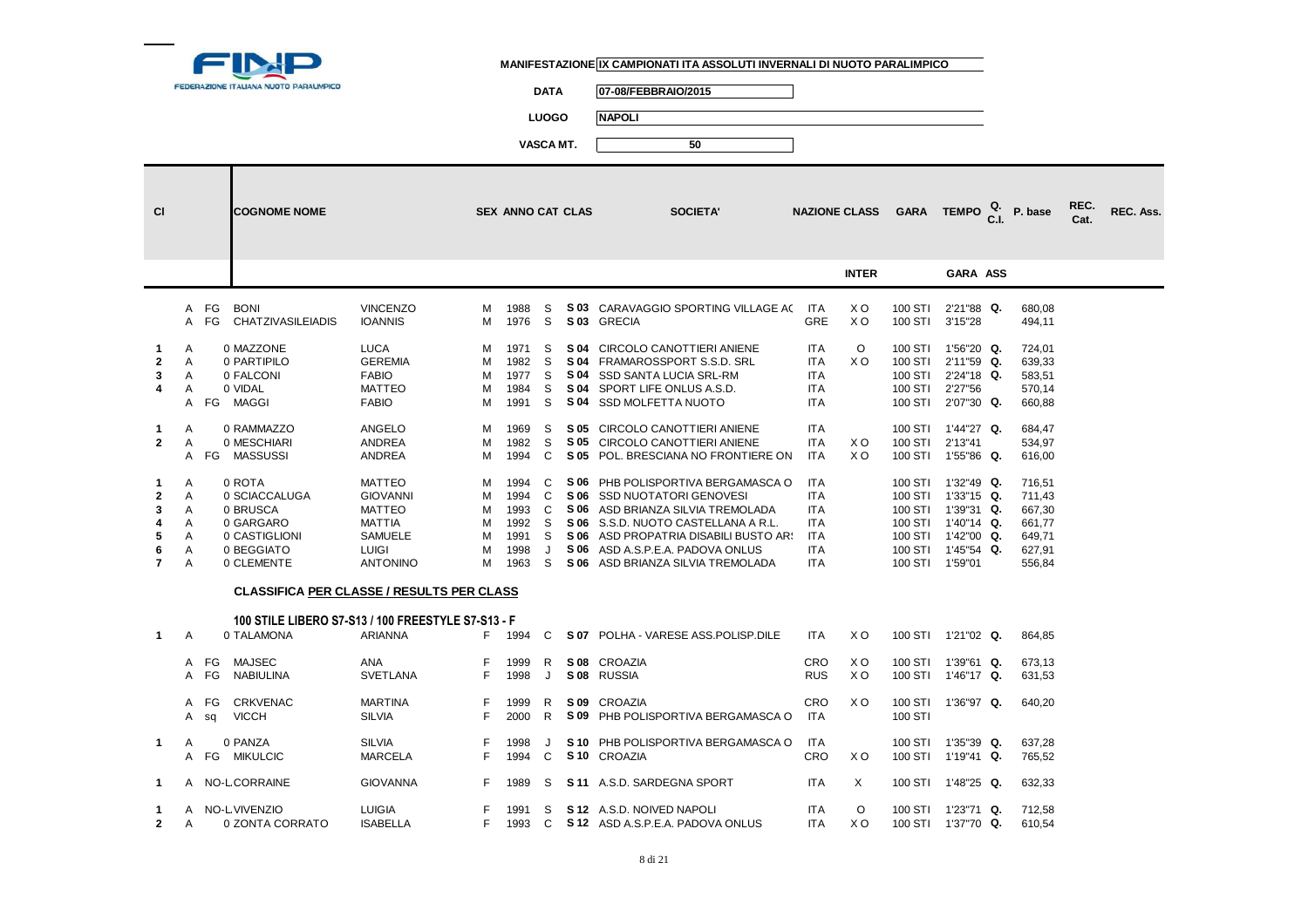

**DATA 07-08/FEBBRAIO/2015**

**LUOGO NAPOLI**

| <b>CI</b>                                               |                                 |                                                                 | <b>COGNOME NOME</b>            |                                                                                                                  |                                 | <b>SEX ANNO CAT CLAS</b>                             |                                 |              | <b>SOCIETA'</b>                                                                                                                                                                                                                                                 |                                                                                                | <b>NAZIONE CLASS</b>             | <b>GARA</b>                                      | TEMPO <sup>Q.</sup>                                                                                         | P. base                                                            | REC.<br>Cat. | REC. Ass. |
|---------------------------------------------------------|---------------------------------|-----------------------------------------------------------------|--------------------------------|------------------------------------------------------------------------------------------------------------------|---------------------------------|------------------------------------------------------|---------------------------------|--------------|-----------------------------------------------------------------------------------------------------------------------------------------------------------------------------------------------------------------------------------------------------------------|------------------------------------------------------------------------------------------------|----------------------------------|--------------------------------------------------|-------------------------------------------------------------------------------------------------------------|--------------------------------------------------------------------|--------------|-----------|
|                                                         |                                 |                                                                 |                                |                                                                                                                  |                                 |                                                      |                                 |              |                                                                                                                                                                                                                                                                 |                                                                                                | <b>INTER</b>                     |                                                  | <b>GARA ASS</b>                                                                                             |                                                                    |              |           |
|                                                         | $\mathsf{A}$                    | A FG<br><b>BONI</b><br>FG                                       | <b>CHATZIVASILEIADIS</b>       | <b>VINCENZO</b><br><b>IOANNIS</b>                                                                                | м<br>м                          | 1988<br>1976                                         | S<br>S                          |              | S 03 CARAVAGGIO SPORTING VILLAGE AC<br>S 03 GRECIA                                                                                                                                                                                                              | <b>ITA</b><br><b>GRE</b>                                                                       | X <sub>O</sub><br>X <sub>O</sub> | 100 STI<br>100 STI                               | 2'21"88 Q.<br>3'15"28                                                                                       | 680,08<br>494,11                                                   |              |           |
| 1<br>$\mathbf{2}$<br>3<br>4                             | A<br>A<br>Α<br>A<br>A           | 0 MAZZONE<br>0 PARTIPILO<br>0 FALCONI<br>0 VIDAL<br>MAGGI<br>FG |                                | <b>LUCA</b><br><b>GEREMIA</b><br><b>FABIO</b><br><b>MATTEO</b><br><b>FABIO</b>                                   | м<br>м<br>м<br>м<br>м           | 1971<br>1982<br>1977<br>1984<br>1991                 | S<br>S<br>S<br>S<br>S           | S 04<br>S 04 | S 04 CIRCOLO CANOTTIERI ANIENE<br>S 04 FRAMAROSSPORT S.S.D. SRL<br>SSD SANTA LUCIA SRL-RM<br>SPORT LIFE ONLUS A.S.D.<br>S 04 SSD MOLFETTA NUOTO                                                                                                                 | <b>ITA</b><br><b>ITA</b><br><b>ITA</b><br><b>ITA</b><br><b>ITA</b>                             | $\circ$<br>X <sub>O</sub>        | 100 STI<br>100 STI<br>100 STI<br>100 STI         | 100 STI 1'56"20 Q.<br>2'11"59 Q.<br>2'24"18 Q.<br>2'27"56<br>2'07"30 Q.                                     | 724,01<br>639,33<br>583,51<br>570,14<br>660,88                     |              |           |
| $\mathbf{1}$<br>$\mathbf{2}$                            | A<br>A                          | 0 RAMMAZZO<br>0 MESCHIARI<br>MASSUSSI<br>A FG                   |                                | ANGELO<br><b>ANDREA</b><br><b>ANDREA</b>                                                                         | M<br>м<br>м                     | 1969<br>1982<br>1994                                 | S<br>S<br>C                     |              | S 05 CIRCOLO CANOTTIERI ANIENE<br>S 05 CIRCOLO CANOTTIERI ANIENE<br>S 05 POL. BRESCIANA NO FRONTIERE ON                                                                                                                                                         | <b>ITA</b><br><b>ITA</b><br><b>ITA</b>                                                         | X <sub>O</sub><br>X <sub>O</sub> | 100 STI<br>100 STI<br>100 STI                    | 1'44"27 Q.<br>2'13"41<br>1'55"86 Q.                                                                         | 684,47<br>534,97<br>616,00                                         |              |           |
| 1<br>$\mathbf{2}$<br>3<br>4<br>5<br>6<br>$\overline{7}$ | A<br>A<br>A<br>A<br>A<br>A<br>A | 0 ROTA<br>0 BRUSCA<br>0 GARGARO<br>0 BEGGIATO<br>0 CLEMENTE     | 0 SCIACCALUGA<br>0 CASTIGLIONI | <b>MATTEO</b><br><b>GIOVANNI</b><br><b>MATTEO</b><br><b>MATTIA</b><br>SAMUELE<br><b>LUIGI</b><br><b>ANTONINO</b> | м<br>м<br>м<br>м<br>м<br>м<br>м | 1994<br>1994<br>1993<br>1992<br>1991<br>1998<br>1963 | C<br>C<br>C<br>S<br>S<br>J<br>S |              | S 06 PHB POLISPORTIVA BERGAMASCA O<br>S 06 SSD NUOTATORI GENOVESI<br>S 06 ASD BRIANZA SILVIA TREMOLADA<br>S 06 S.S.D. NUOTO CASTELLANA A R.L.<br>S 06 ASD PROPATRIA DISABILI BUSTO AR!<br>S 06 ASD A.S.P.E.A. PADOVA ONLUS<br>S 06 ASD BRIANZA SILVIA TREMOLADA | <b>ITA</b><br><b>ITA</b><br><b>ITA</b><br><b>ITA</b><br><b>ITA</b><br><b>ITA</b><br><b>ITA</b> |                                  | 100 STI<br>100 STI<br>100 STI<br>100 STI 1'59"01 | $1'32''49$ Q.<br>100 STI 1'33"15 Q.<br>1'39"31 Q.<br>100 STI 1'40"14 Q.<br>1'42"00 Q.<br>100 STI 1'45"54 Q. | 716,51<br>711,43<br>667,30<br>661,77<br>649,71<br>627,91<br>556,84 |              |           |
|                                                         |                                 |                                                                 |                                | <b>CLASSIFICA PER CLASSE / RESULTS PER CLASS</b>                                                                 |                                 |                                                      |                                 |              |                                                                                                                                                                                                                                                                 |                                                                                                |                                  |                                                  |                                                                                                             |                                                                    |              |           |
| $\mathbf{1}$                                            | A                               | 0 TALAMONA                                                      |                                | 100 STILE LIBERO S7-S13 / 100 FREESTYLE S7-S13 - F<br><b>ARIANNA</b>                                             | F                               | 1994                                                 | C                               |              | S 07 POLHA - VARESE ASS. POLISP. DILE                                                                                                                                                                                                                           | <b>ITA</b>                                                                                     | X <sub>O</sub>                   |                                                  | 100 STI 1'21"02 Q.                                                                                          | 864,85                                                             |              |           |
|                                                         | A                               | <b>MAJSEC</b><br>FG<br><b>NABIULINA</b><br>A FG                 |                                | <b>ANA</b><br><b>SVETLANA</b>                                                                                    | F<br>F                          | 1999<br>1998                                         | R.<br>J                         |              | S 08 CROAZIA<br>S 08 RUSSIA                                                                                                                                                                                                                                     | <b>CRO</b><br><b>RUS</b>                                                                       | X O<br>X <sub>O</sub>            | 100 STI                                          | 1'39"61 Q.<br>100 STI 1'46"17 Q.                                                                            | 673,13<br>631,53                                                   |              |           |
|                                                         |                                 | A FG<br><b>VICCH</b><br>A sq                                    | <b>CRKVENAC</b>                | <b>MARTINA</b><br><b>SILVIA</b>                                                                                  | F<br>F                          | 1999<br>2000                                         | R<br>R.                         |              | S 09 CROAZIA<br>S 09 PHB POLISPORTIVA BERGAMASCA O                                                                                                                                                                                                              | CRO<br><b>ITA</b>                                                                              | X O                              | 100 STI                                          | 100 STI 1'36"97 Q.                                                                                          | 640,20                                                             |              |           |
| $\mathbf{1}$                                            | $\overline{A}$                  | 0 PANZA<br><b>MIKULCIC</b><br>A FG                              |                                | <b>SILVIA</b><br><b>MARCELA</b>                                                                                  | F<br>F                          | 1998<br>1994                                         | J<br>C                          |              | S 10 PHB POLISPORTIVA BERGAMASCA O<br>S <sub>10</sub> CROAZIA                                                                                                                                                                                                   | ITA<br><b>CRO</b>                                                                              | X O                              | 100 STI<br>100 STI                               | 1'35"39 Q.<br>1'19"41 Q.                                                                                    | 637,28<br>765,52                                                   |              |           |
| 1                                                       | A                               | NO-L CORRAINE                                                   |                                | <b>GIOVANNA</b>                                                                                                  | F.                              | 1989                                                 | S                               |              | S 11 A.S.D. SARDEGNA SPORT                                                                                                                                                                                                                                      | <b>ITA</b>                                                                                     | X                                |                                                  | 100 STI 1'48"25 Q.                                                                                          | 632,33                                                             |              |           |
| 1<br>$\mathbf{2}$                                       | A<br>A                          | NO-L VIVENZIO                                                   | 0 ZONTA CORRATO                | <b>LUIGIA</b><br><b>ISABELLA</b>                                                                                 | F.                              | 1991<br>1993                                         | S<br>C                          |              | S 12 A.S.D. NOIVED NAPOLI<br>S 12 ASD A.S.P.E.A. PADOVA ONLUS                                                                                                                                                                                                   | <b>ITA</b><br><b>ITA</b>                                                                       | O<br>X <sub>O</sub>              | 100 STI                                          | 1'23"71 Q.<br>100 STI 1'37"70 Q.                                                                            | 712,58<br>610,54                                                   |              |           |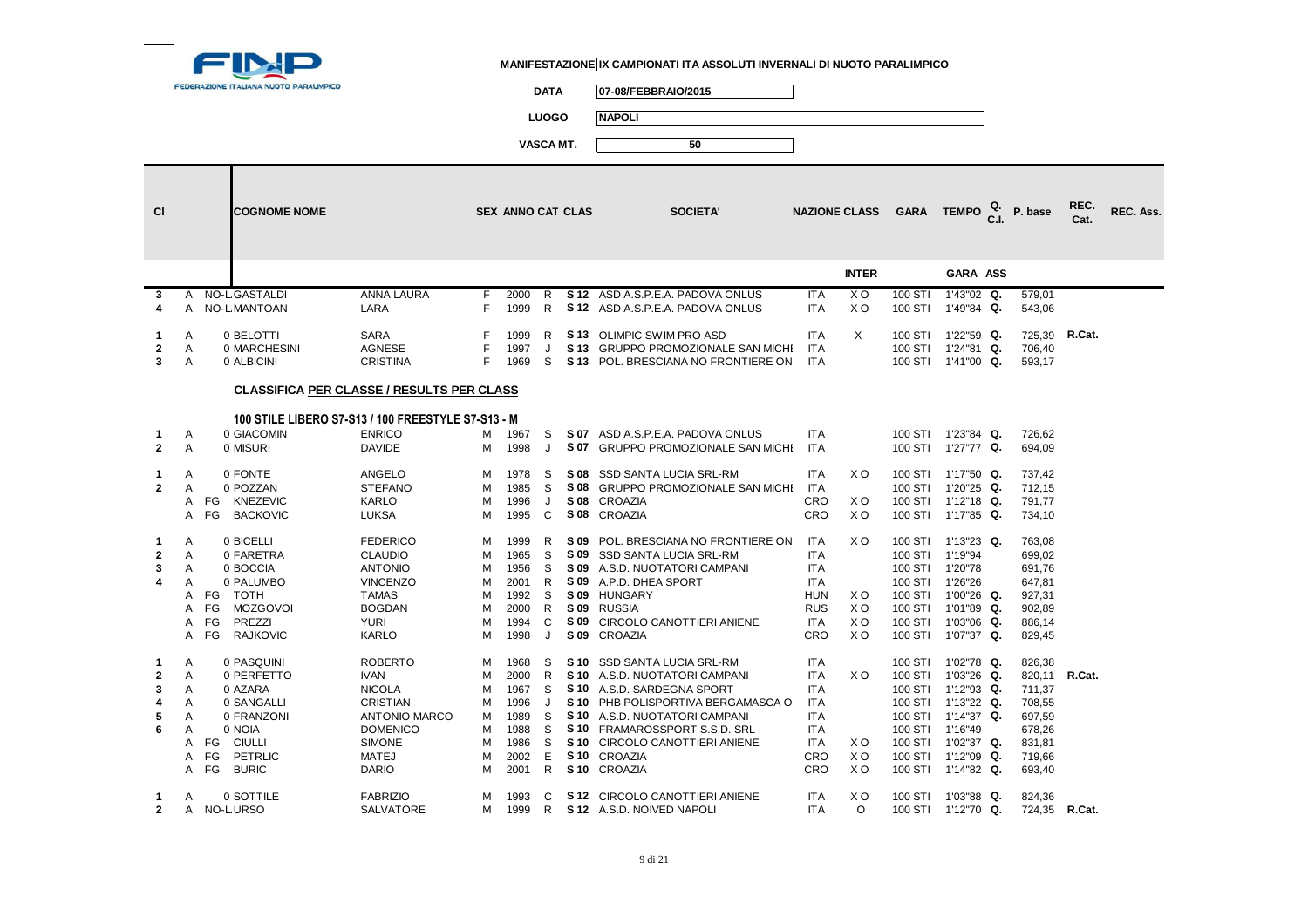

**DATA 07-08/FEBBRAIO/2015**

**LUOGO NAPOLI**

| <b>CI</b>    |              | <b>COGNOME NOME</b>     |                                                    |        | <b>SEX ANNO CAT CLAS</b> |              |      | <b>SOCIETA'</b>                                                |                          | <b>NAZIONE CLASS</b> |                    | GARA TEMPO $_{\rm GL}^{\rm Q.}$ | P. base          | REC.<br>Cat. | REC. Ass. |
|--------------|--------------|-------------------------|----------------------------------------------------|--------|--------------------------|--------------|------|----------------------------------------------------------------|--------------------------|----------------------|--------------------|---------------------------------|------------------|--------------|-----------|
|              |              |                         |                                                    |        |                          |              |      |                                                                |                          | <b>INTER</b>         |                    | <b>GARA ASS</b>                 |                  |              |           |
| 3            | A            | <b>NO-L GASTALDI</b>    | <b>ANNA LAURA</b>                                  | F.     | 2000                     | R            |      | S 12 ASD A.S.P.E.A. PADOVA ONLUS                               | <b>ITA</b>               | X <sub>O</sub>       | 100 STI            | 1'43"02 Q.                      | 579,01           |              |           |
| 4            |              | A NO-LMANTOAN           | LARA                                               | F      | 1999                     | R            |      | S 12 ASD A.S.P.E.A. PADOVA ONLUS                               | <b>ITA</b>               | X <sub>O</sub>       | 100 STI            | 1'49"84 Q.                      | 543,06           |              |           |
| 1.           | Α            | 0 BELOTTI               | <b>SARA</b>                                        | F      | 1999                     | R            |      | S 13 OLIMPIC SWIM PRO ASD                                      | <b>ITA</b>               | X                    | 100 STI            | 1'22"59 Q.                      | 725,39 R.Cat.    |              |           |
| $\mathbf{2}$ | Α            | 0 MARCHESINI            | <b>AGNESE</b>                                      | F      | 1997                     | J            |      | S 13 GRUPPO PROMOZIONALE SAN MICHI                             | <b>ITA</b>               |                      | 100 STI            | 1'24"81 Q.                      | 706,40           |              |           |
| 3            | A            | 0 ALBICINI              | <b>CRISTINA</b>                                    | F.     | 1969                     | S            |      | S 13 POL. BRESCIANA NO FRONTIERE ON                            | <b>ITA</b>               |                      |                    | 100 STI 1'41"00 Q.              | 593,17           |              |           |
|              |              |                         | <b>CLASSIFICA PER CLASSE / RESULTS PER CLASS</b>   |        |                          |              |      |                                                                |                          |                      |                    |                                 |                  |              |           |
|              |              |                         | 100 STILE LIBERO S7-S13 / 100 FREESTYLE S7-S13 - M |        |                          |              |      |                                                                |                          |                      |                    |                                 |                  |              |           |
| 1.           | Α            | 0 GIACOMIN              | <b>ENRICO</b>                                      | М      | 1967                     | S            |      | S 07 ASD A.S.P.E.A. PADOVA ONLUS                               | <b>ITA</b>               |                      |                    | 100 STI 1'23"84 Q.              | 726,62           |              |           |
| $\mathbf{2}$ | A            | 0 MISURI                | <b>DAVIDE</b>                                      | м      | 1998                     | J            |      | S 07 GRUPPO PROMOZIONALE SAN MICHI                             | <b>ITA</b>               |                      |                    | 100 STI 1'27"77 Q.              | 694,09           |              |           |
| 1            | A            | 0 FONTE                 | <b>ANGELO</b>                                      | м      | 1978                     | S            |      | S 08 SSD SANTA LUCIA SRL-RM                                    | <b>ITA</b>               | X <sub>O</sub>       |                    | 100 STI 1'17"50 Q.              | 737,42           |              |           |
| $\mathbf{2}$ | A            | 0 POZZAN                | <b>STEFANO</b>                                     | M      | 1985                     | S            |      | S 08 GRUPPO PROMOZIONALE SAN MICHI                             | ITA                      |                      | 100 STI            | 1'20"25 Q.                      | 712,15           |              |           |
|              | A            | FG KNEZEVIC             | <b>KARLO</b>                                       | M      | 1996                     | J            |      | S 08 CROAZIA                                                   | CRO                      | XO                   |                    | 100 STI 1'12"18 Q.              | 791,77           |              |           |
|              | $\mathsf{A}$ | <b>BACKOVIC</b><br>FG   | <b>LUKSA</b>                                       | м      | 1995                     | C            |      | S 08 CROAZIA                                                   | CRO                      | X O                  | 100 STI            | 1'17"85 Q.                      | 734,10           |              |           |
| 1            | A            | 0 BICELLI               | <b>FEDERICO</b>                                    | м      | 1999                     | R            | S 09 | POL. BRESCIANA NO FRONTIERE ON                                 | ITA                      | X O                  | 100 STI            | 1'13"23 Q.                      | 763,08           |              |           |
| $\mathbf{2}$ | Α            | 0 FARETRA               | <b>CLAUDIO</b>                                     | M      | 1965                     | S            |      | S 09 SSD SANTA LUCIA SRL-RM                                    | <b>ITA</b>               |                      | 100 STI            | 1'19"94                         | 699,02           |              |           |
| 3            | A            | 0 BOCCIA                | <b>ANTONIO</b>                                     | м      | 1956                     | S            |      | S 09 A.S.D. NUOTATORI CAMPANI                                  | <b>ITA</b>               |                      | 100 STI            | 1'20"78                         | 691,76           |              |           |
| 4            | A<br>A       | 0 PALUMBO<br>TOTH<br>FG | <b>VINCENZO</b><br><b>TAMAS</b>                    | M<br>M | 2001<br>1992             | R<br>S       |      | S 09 A.P.D. DHEA SPORT<br>S 09 HUNGARY                         | <b>ITA</b><br><b>HUN</b> | X O                  | 100 STI            | 100 STI 1'26"26<br>1'00"26 Q.   | 647,81<br>927,31 |              |           |
|              | A            | FG<br><b>MOZGOVOI</b>   | <b>BOGDAN</b>                                      | M      | 2000                     | R            |      | S 09 RUSSIA                                                    | <b>RUS</b>               | X <sub>O</sub>       | 100 STI            | 1'01"89 Q.                      | 902,89           |              |           |
|              | Α            | FG<br>PREZZI            | <b>YURI</b>                                        | M      | 1994                     | C            |      | S 09 CIRCOLO CANOTTIERI ANIENE                                 | <b>ITA</b>               | X O                  | 100 STI            | 1'03"06 Q.                      | 886,14           |              |           |
|              | A            | <b>RAJKOVIC</b><br>FG   | <b>KARLO</b>                                       | M      | 1998                     | J            |      | S 09 CROAZIA                                                   | CRO                      | X <sub>O</sub>       | 100 STI            | 1'07"37 Q.                      | 829,45           |              |           |
| 1            | A            | 0 PASQUINI              | <b>ROBERTO</b>                                     | м      | 1968                     | S            |      | S 10 SSD SANTA LUCIA SRL-RM                                    | <b>ITA</b>               |                      | 100 STI            | 1'02"78 Q.                      | 826,38           |              |           |
| $\mathbf{2}$ | A            | 0 PERFETTO              | <b>IVAN</b>                                        | M      | 2000                     | R            |      | S 10 A.S.D. NUOTATORI CAMPANI                                  | <b>ITA</b>               | X O                  | 100 STI            | 1'03"26 Q.                      | 820,11 R.Cat.    |              |           |
| 3            | A            | 0 AZARA                 | <b>NICOLA</b>                                      | M      | 1967                     | <sub>S</sub> |      | S 10 A.S.D. SARDEGNA SPORT                                     | <b>ITA</b>               |                      | 100 STI            | 1'12"93 Q.                      | 711,37           |              |           |
| 4            | A            | 0 SANGALLI              | <b>CRISTIAN</b>                                    | M      | 1996                     | J            |      | S 10 PHB POLISPORTIVA BERGAMASCA O                             | <b>ITA</b><br><b>ITA</b> |                      | 100 STI<br>100 STI | 1'13"22 Q.<br>1'14"37 Q.        | 708,55           |              |           |
| 5<br>6       | A<br>A       | 0 FRANZONI<br>0 NOIA    | <b>ANTONIO MARCO</b><br><b>DOMENICO</b>            | м<br>м | 1989<br>1988             | S<br>S       |      | S 10 A.S.D. NUOTATORI CAMPANI<br>S 10 FRAMAROSSPORT S.S.D. SRL | <b>ITA</b>               |                      | 100 STI            | 1'16"49                         | 697,59<br>678,26 |              |           |
|              |              | A FG<br>CIULLI          | <b>SIMONE</b>                                      | м      | 1986                     | S            |      | S 10 CIRCOLO CANOTTIERI ANIENE                                 | <b>ITA</b>               | X O                  | 100 STI            | 1'02"37 Q.                      | 831,81           |              |           |
|              | A            | PETRLIC<br>FG           | <b>MATEJ</b>                                       | M      | 2002                     | Е            |      | S <sub>10</sub> CROAZIA                                        | <b>CRO</b>               | X O                  | 100 STI            | 1'12"09 Q.                      | 719,66           |              |           |
|              | A            | FG<br><b>BURIC</b>      | <b>DARIO</b>                                       | M      | 2001                     | R            |      | S 10 CROAZIA                                                   | CRO                      | X O                  | 100 STI            | 1'14"82 Q.                      | 693,40           |              |           |
| 1            | A            | 0 SOTTILE               | <b>FABRIZIO</b>                                    | м      | 1993                     | C            |      | S 12 CIRCOLO CANOTTIERI ANIENE                                 | ITA                      | X O                  | 100 STI            | 1'03"88 Q.                      | 824,36           |              |           |
| $\mathbf{2}$ |              | A NO-LURSO              | <b>SALVATORE</b>                                   | M      | 1999                     | R.           |      | S 12 A.S.D. NOIVED NAPOLI                                      | <b>ITA</b>               | $\circ$              |                    | 100 STI 1'12"70 Q.              | 724,35 R.Cat.    |              |           |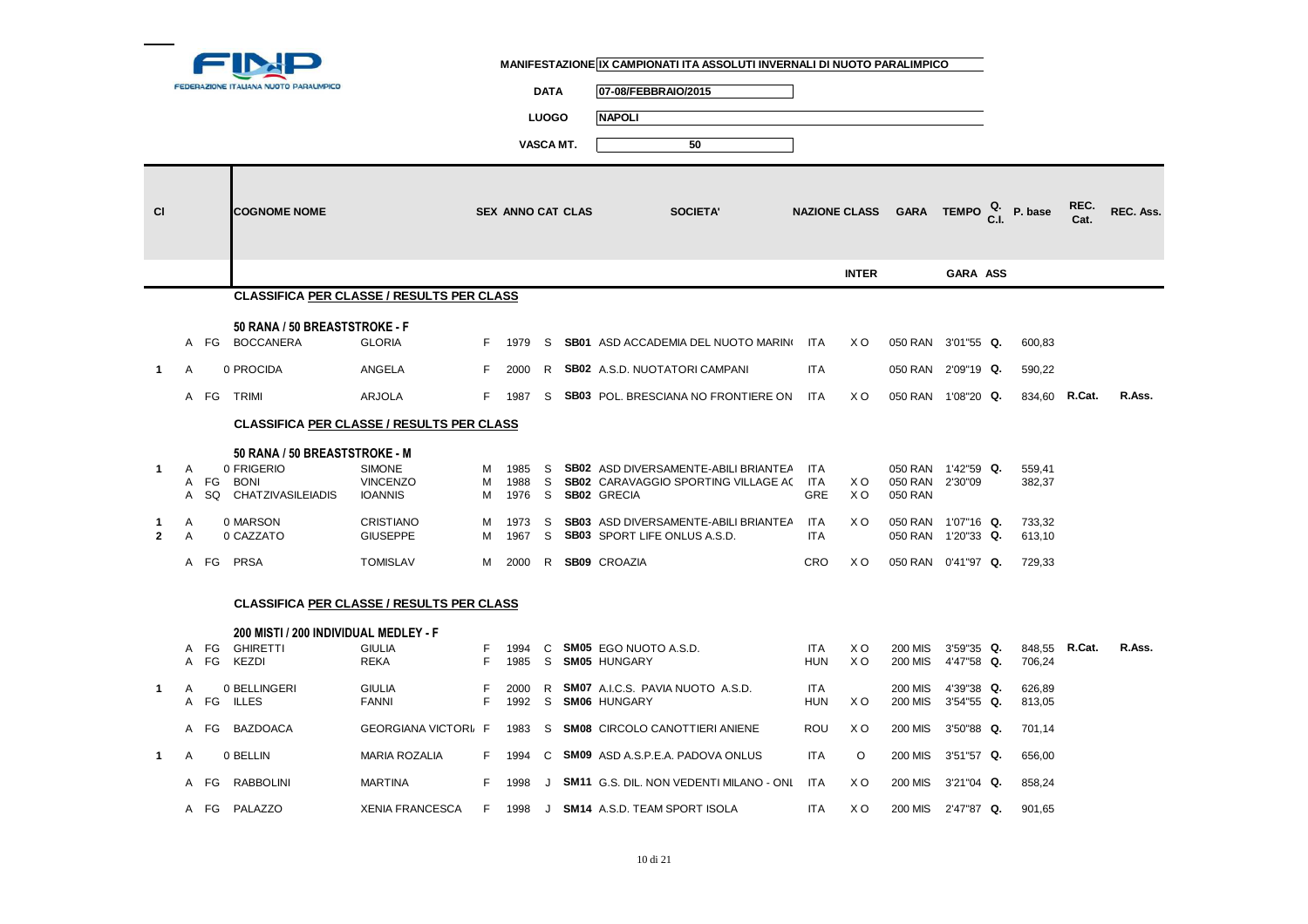

**DATA 07-08/FEBBRAIO/2015**

**LUOGO NAPOLI**

| <b>CI</b>         |        |            | <b>COGNOME NOME</b>                                                                    |                                                    |             | SEX ANNO CAT CLAS    |               | <b>SOCIETA'</b>                                                                                                 |                                        | <b>NAZIONE CLASS</b>  |                                          | GARA TEMPO $_{\text{C.I.}}^{\text{Q.}}$ P. base |                  | REC.<br>Cat. | REC. Ass. |
|-------------------|--------|------------|----------------------------------------------------------------------------------------|----------------------------------------------------|-------------|----------------------|---------------|-----------------------------------------------------------------------------------------------------------------|----------------------------------------|-----------------------|------------------------------------------|-------------------------------------------------|------------------|--------------|-----------|
|                   |        |            |                                                                                        |                                                    |             |                      |               |                                                                                                                 |                                        | <b>INTER</b>          |                                          | <b>GARA ASS</b>                                 |                  |              |           |
|                   |        |            |                                                                                        | <b>CLASSIFICA PER CLASSE / RESULTS PER CLASS</b>   |             |                      |               |                                                                                                                 |                                        |                       |                                          |                                                 |                  |              |           |
|                   |        |            | 50 RANA / 50 BREASTSTROKE - F                                                          |                                                    |             |                      |               |                                                                                                                 |                                        |                       |                                          |                                                 |                  |              |           |
|                   |        |            | A FG BOCCANERA                                                                         | <b>GLORIA</b>                                      | F.          | 1979                 | S             | <b>SB01</b> ASD ACCADEMIA DEL NUOTO MARINO                                                                      | <b>ITA</b>                             | X O                   | 050 RAN 3'01"55 Q.                       |                                                 | 600,83           |              |           |
| $\mathbf{1}$      | A      |            | 0 PROCIDA                                                                              | ANGELA                                             | F.          | 2000                 | R             | SB02 A.S.D. NUOTATORI CAMPANI                                                                                   | <b>ITA</b>                             |                       | 050 RAN                                  | 2'09"19 Q.                                      | 590,22           |              |           |
|                   |        | A FG       | <b>TRIMI</b>                                                                           | <b>ARJOLA</b>                                      | F.          | 1987                 | -S            | <b>SB03</b> POL. BRESCIANA NO FRONTIERE ON                                                                      | ITA                                    | X O                   | 050 RAN 1'08"20 Q.                       |                                                 | 834,60 R.Cat.    |              | R.Ass.    |
|                   |        |            |                                                                                        | <b>CLASSIFICA PER CLASSE / RESULTS PER CLASS</b>   |             |                      |               |                                                                                                                 |                                        |                       |                                          |                                                 |                  |              |           |
| 1.                | A<br>A | A FG<br>SQ | 50 RANA / 50 BREASTSTROKE - M<br>0 FRIGERIO<br><b>BONI</b><br><b>CHATZIVASILEIADIS</b> | <b>SIMONE</b><br><b>VINCENZO</b><br><b>IOANNIS</b> | м<br>м<br>м | 1985<br>1988<br>1976 | -S<br>S.<br>S | <b>SB02</b> ASD DIVERSAMENTE-ABILI BRIANTEA<br><b>SB02</b> CARAVAGGIO SPORTING VILLAGE AC<br><b>SB02 GRECIA</b> | <b>ITA</b><br><b>ITA</b><br><b>GRE</b> | X O<br>X <sub>O</sub> | 050 RAN<br>050 RAN<br>050 RAN            | 1'42"59 Q.<br>2'30"09                           | 559,41<br>382,37 |              |           |
| 1<br>$\mathbf{2}$ | Α<br>A |            | 0 MARSON<br>0 CAZZATO                                                                  | <b>CRISTIANO</b><br><b>GIUSEPPE</b>                | м<br>M      | 1973<br>1967         | S<br>S        | SB03 ASD DIVERSAMENTE-ABILI BRIANTEA<br><b>SB03</b> SPORT LIFE ONLUS A.S.D.                                     | <b>ITA</b><br><b>ITA</b>               | X <sub>O</sub>        | 050 RAN 1'07"16 Q.<br>050 RAN 1'20"33 Q. |                                                 | 733,32<br>613,10 |              |           |
|                   |        | A FG       | <b>PRSA</b>                                                                            | <b>TOMISLAV</b>                                    | M           | 2000                 | R.            | <b>SB09 CROAZIA</b>                                                                                             | <b>CRO</b>                             | X <sub>O</sub>        | 050 RAN 0'41"97 Q.                       |                                                 | 729,33           |              |           |
|                   |        |            |                                                                                        | <b>CLASSIFICA PER CLASSE / RESULTS PER CLASS</b>   |             |                      |               |                                                                                                                 |                                        |                       |                                          |                                                 |                  |              |           |
|                   |        | A FG       | 200 MISTI / 200 INDIVIDUAL MEDLEY - F<br><b>GHIRETTI</b>                               | <b>GIULIA</b>                                      | F.          | 1994                 | C             | <b>SM05</b> EGO NUOTO A.S.D.                                                                                    | <b>ITA</b>                             | X O                   | <b>200 MIS</b>                           | 3'59"35 Q.                                      | 848,55 R.Cat.    |              | R.Ass.    |
|                   | A      | FG         | <b>KEZDI</b>                                                                           | <b>REKA</b>                                        | F           | 1985                 | S             | <b>SM05 HUNGARY</b>                                                                                             | <b>HUN</b>                             | X <sub>O</sub>        | <b>200 MIS</b>                           | 4'47"58 Q.                                      | 706,24           |              |           |
| $\mathbf{1}$      | A      |            | 0 BELLINGERI<br>A FG ILLES                                                             | <b>GIULIA</b><br><b>FANNI</b>                      | F<br>F.     | 2000<br>1992         | R<br>S        | <b>SM07</b> A.I.C.S. PAVIA NUOTO A.S.D.<br><b>SM06 HUNGARY</b>                                                  | <b>ITA</b><br><b>HUN</b>               | X O                   | <b>200 MIS</b><br><b>200 MIS</b>         | 4'39"38 Q.<br>3'54"55 Q.                        | 626,89<br>813,05 |              |           |
|                   | A      | FG         | <b>BAZDOACA</b>                                                                        | <b>GEORGIANA VICTORI F</b>                         |             | 1983                 | S             | <b>SM08 CIRCOLO CANOTTIERI ANIENE</b>                                                                           | ROU                                    | X O                   | <b>200 MIS</b>                           | 3'50"88 Q.                                      | 701,14           |              |           |
| $\mathbf{1}$      | Α      |            | 0 BELLIN                                                                               | <b>MARIA ROZALIA</b>                               | F.          | 1994                 | C             | <b>SM09</b> ASD A.S.P.E.A. PADOVA ONLUS                                                                         | <b>ITA</b>                             | O                     | <b>200 MIS</b>                           | 3'51"57 Q.                                      | 656,00           |              |           |
|                   |        | A FG       | <b>RABBOLINI</b>                                                                       | <b>MARTINA</b>                                     | F.          | 1998                 | J             | <b>SM11</b> G.S. DIL. NON VEDENTI MILANO - ONL                                                                  | <b>ITA</b>                             | X O                   | <b>200 MIS</b>                           | $3'21''04$ Q.                                   | 858,24           |              |           |
|                   |        |            | A FG PALAZZO                                                                           | <b>XENIA FRANCESCA</b>                             | F.          | 1998                 |               | J SM14 A.S.D. TEAM SPORT ISOLA                                                                                  | <b>ITA</b>                             | X <sub>O</sub>        | <b>200 MIS</b>                           | 2'47"87 Q.                                      | 901,65           |              |           |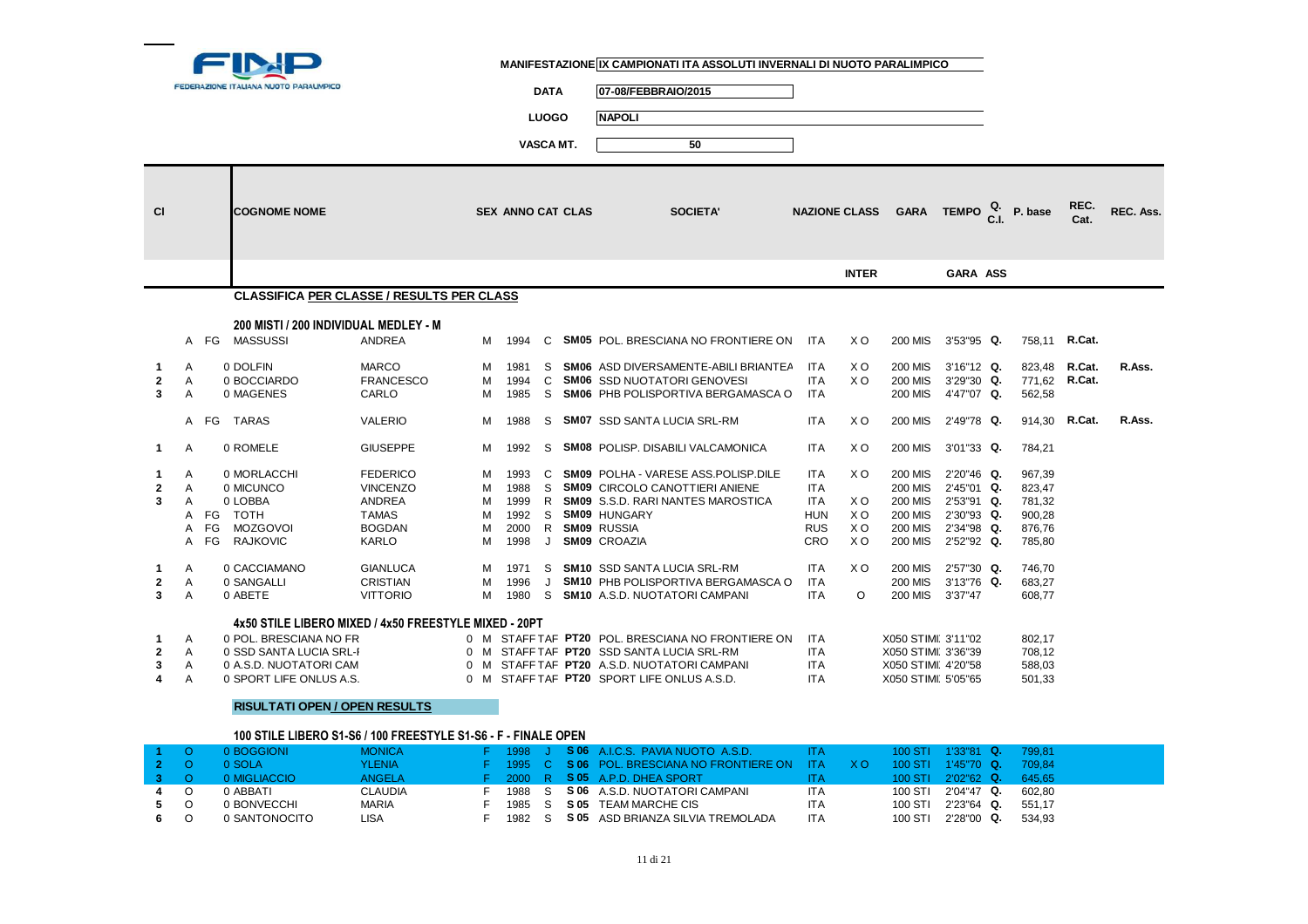

**5**

**6**

0 SANTONOCITO

#### **MANIFESTAZIONE IX CAMPIONATI ITA ASSOLUTI INVERNALI DI NUOTO PARALIMPICO**

**DATA 07-08/FEBBRAIO/2015**

**LUOGO NAPOLI**

|                         |                |      |                                                                |                           |        |                          | VASCA MT. |      | 50                                                                       |                          |                |                                                               |                          |                      |              |           |
|-------------------------|----------------|------|----------------------------------------------------------------|---------------------------|--------|--------------------------|-----------|------|--------------------------------------------------------------------------|--------------------------|----------------|---------------------------------------------------------------|--------------------------|----------------------|--------------|-----------|
| <b>CI</b>               |                |      | <b>COGNOME NOME</b>                                            |                           |        | <b>SEX ANNO CAT CLAS</b> |           |      | <b>SOCIETA'</b>                                                          |                          |                | NAZIONE CLASS GARA TEMPO $_{\text{C.I.}}^{\text{Q.}}$ P. base |                          |                      | REC.<br>Cat. | REC. Ass. |
|                         |                |      |                                                                |                           |        |                          |           |      |                                                                          |                          | <b>INTER</b>   |                                                               | <b>GARA ASS</b>          |                      |              |           |
|                         |                |      | CLASSIFICA PER CLASSE / RESULTS PER CLASS                      |                           |        |                          |           |      |                                                                          |                          |                |                                                               |                          |                      |              |           |
|                         |                |      | 200 MISTI / 200 INDIVIDUAL MEDLEY - M                          |                           |        |                          |           |      |                                                                          |                          |                |                                                               |                          |                      |              |           |
|                         |                | A FG | MASSUSSI                                                       | ANDREA                    | M      | 1994                     | C         |      | <b>SM05</b> POL. BRESCIANA NO FRONTIERE ON                               | ITA                      | X O            | <b>200 MIS</b>                                                | 3'53"95 Q.               | 758,11 <b>R.Cat.</b> |              |           |
| 1                       | A              |      | 0 DOLFIN                                                       | <b>MARCO</b>              | м      | 1981                     | S         |      | <b>SM06</b> ASD DIVERSAMENTE-ABILI BRIANTEA                              | <b>ITA</b>               | X <sub>O</sub> | <b>200 MIS</b>                                                | 3'16"12 Q.               | 823.48               | R.Cat.       | R.Ass.    |
| 2<br>3                  | Α<br>Α         |      | 0 BOCCIARDO<br>0 MAGENES                                       | <b>FRANCESCO</b><br>CARLO | м<br>M | 1994<br>1985             | C<br>S    |      | <b>SM06 SSD NUOTATORI GENOVESI</b><br>SM06 PHB POLISPORTIVA BERGAMASCA O | <b>ITA</b><br><b>ITA</b> | X <sub>O</sub> | <b>200 MIS</b><br><b>200 MIS</b>                              | 3'29"30 Q.<br>4'47"07 Q. | 771,62<br>562,58     | R.Cat.       |           |
|                         |                |      |                                                                |                           |        |                          |           |      |                                                                          |                          |                |                                                               |                          |                      |              |           |
|                         |                |      | A FG TARAS                                                     | <b>VALERIO</b>            | м      | 1988                     | S         |      | <b>SM07</b> SSD SANTA LUCIA SRL-RM                                       | <b>ITA</b>               | X <sub>O</sub> | <b>200 MIS</b>                                                | 2'49"78 Q.               | 914,30               | R.Cat.       | R.Ass.    |
| $\mathbf{1}$            | A              |      | 0 ROMELE                                                       | <b>GIUSEPPE</b>           | м      | 1992                     | S         |      | <b>SM08 POLISP. DISABILI VALCAMONICA</b>                                 | <b>ITA</b>               | X <sub>O</sub> | <b>200 MIS</b>                                                | 3'01"33 Q.               | 784,21               |              |           |
| 1                       | A              |      | 0 MORLACCHI                                                    | <b>FEDERICO</b>           | м      | 1993                     | C         |      | <b>SM09 POLHA - VARESE ASS.POLISP.DILE</b>                               | <b>ITA</b>               | X O            | <b>200 MIS</b>                                                | 2'20"46 Q.               | 967,39               |              |           |
| $\mathbf{2}$            | A              |      | 0 MICUNCO                                                      | <b>VINCENZO</b>           | M      | 1988                     | S.        |      | <b>SM09 CIRCOLO CANOTTIERI ANIENE</b>                                    | <b>ITA</b>               |                | <b>200 MIS</b>                                                | 2'45"01 Q.               | 823,47               |              |           |
| 3                       | A              |      | 0 LOBBA                                                        | <b>ANDREA</b>             | м      | 1999                     | R.        |      | <b>SM09</b> S.S.D. RARI NANTES MAROSTICA                                 | <b>ITA</b>               | X <sub>O</sub> | <b>200 MIS</b>                                                | 2'53"91 Q.               | 781,32               |              |           |
|                         | A              |      | FG TOTH                                                        | TAMAS                     | м      | 1992                     | S.        |      | <b>SM09 HUNGARY</b>                                                      | <b>HUN</b>               | X O            | <b>200 MIS</b>                                                | 2'30"93 Q.               | 900,28               |              |           |
|                         | A              | FG   | <b>MOZGOVOI</b>                                                | <b>BOGDAN</b>             | м      | 2000                     | R.        |      | <b>SM09 RUSSIA</b>                                                       | <b>RUS</b>               | X <sub>O</sub> | <b>200 MIS</b>                                                | 2'34"98 Q.               | 876,76               |              |           |
|                         | A              | FG   | <b>RAJKOVIC</b>                                                | KARLO                     | м      | 1998                     | J         |      | <b>SM09 CROAZIA</b>                                                      | CRO                      | X <sub>O</sub> | <b>200 MIS</b>                                                | 2'52"92 Q.               | 785,80               |              |           |
| 1                       | Α              |      | 0 CACCIAMANO                                                   | <b>GIANLUCA</b>           | м      | 1971                     | S         |      | <b>SM10 SSD SANTA LUCIA SRL-RM</b>                                       | <b>ITA</b>               | X <sub>O</sub> | <b>200 MIS</b>                                                | 2'57"30 Q.               | 746,70               |              |           |
| $\mathbf{2}$            | Α              |      | 0 SANGALLI                                                     | <b>CRISTIAN</b>           | м      | 1996                     | J         |      | <b>SM10 PHB POLISPORTIVA BERGAMASCA O</b>                                | <b>ITA</b>               |                | <b>200 MIS</b>                                                | 3'13"76 Q.               | 683,27               |              |           |
| 3                       | A              |      | 0 ABETE                                                        | <b>VITTORIO</b>           | м      | 1980                     |           |      | S SM10 A.S.D. NUOTATORI CAMPANI                                          | <b>ITA</b>               | O              | <b>200 MIS</b>                                                | 3'37"47                  | 608,77               |              |           |
|                         |                |      | 4x50 STILE LIBERO MIXED / 4x50 FREESTYLE MIXED - 20PT          |                           |        |                          |           |      |                                                                          |                          |                |                                                               |                          |                      |              |           |
| 1                       | A              |      | 0 POL. BRESCIANA NO FR                                         |                           |        |                          |           |      | 0 M STAFF TAF PT20 POL. BRESCIANA NO FRONTIERE ON                        | <b>ITA</b>               |                | X050 STIMI 3'11"02                                            |                          | 802,17               |              |           |
| $\mathbf{2}$            | Α              |      | 0 SSD SANTA LUCIA SRL-I                                        |                           |        |                          |           |      | 0 M STAFF TAF PT20 SSD SANTA LUCIA SRL-RM                                | <b>ITA</b>               |                | X050 STIMI 3'36"39                                            |                          | 708,12               |              |           |
| 3                       | Α              |      | 0 A.S.D. NUOTATORI CAM                                         |                           |        |                          |           |      | 0 M STAFF TAF PT20 A.S.D. NUOTATORICAMPANI                               | <b>ITA</b>               |                | X050 STIMI 4'20"58                                            |                          | 588,03               |              |           |
| 4                       | $\overline{A}$ |      | 0 SPORT LIFE ONLUS A.S.                                        |                           |        |                          |           |      | 0 M STAFF TAF PT20 SPORT LIFE ONLUS A.S.D.                               | <b>ITA</b>               |                | X050 STIMI 5'05"65                                            |                          | 501,33               |              |           |
|                         |                |      | <b>RISULTATI OPEN / OPEN RESULTS</b>                           |                           |        |                          |           |      |                                                                          |                          |                |                                                               |                          |                      |              |           |
|                         |                |      | 100 STILE LIBERO S1-S6 / 100 FREESTYLE S1-S6 - F - FINALE OPEN |                           |        |                          |           |      |                                                                          |                          |                |                                                               |                          |                      |              |           |
|                         | $\circ$        |      | 0 BOGGIONI                                                     | <b>MONICA</b>             | F.     | 1998                     | ы.        |      | S 06 A.I.C.S. PAVIA NUOTO A.S.D.                                         | <b>ITA</b>               |                | 100 STI                                                       | $1'33''81$ Q.            | 799,81               |              |           |
| $\mathbf{2}$            | $\circ$        |      | 0 SOLA                                                         | <b>YLENIA</b>             | F      | 1995                     | C.        | S 06 | POL. BRESCIANA NO FRONTIERE ON                                           | <b>ITA</b>               | XO.            | 100 STI                                                       | 1'45"70 Q.               | 709,84               |              |           |
| $\overline{\mathbf{3}}$ | $\circ$        |      | 0 MIGLIACCIO                                                   | <b>ANGELA</b>             | F      | 2000                     | R         |      | S 05 A.P.D. DHEA SPORT                                                   | <b>ITA</b>               |                | 100 STI                                                       | 2'02"62 Q.               | 645,65               |              |           |
|                         | $\Omega$       |      | 0 ABBATI                                                       | <b>CLAUDIA</b>            | F.     | 1988                     | S         |      | S 06 A.S.D. NUOTATORI CAMPANI                                            | <b>ITA</b>               |                | 100 STI                                                       | 2'04"47 Q.               | 602.80               |              |           |

F 1982 S **S 05** ASD BRIANZA SILVIA TREMOLADA

**ITA** 100 STI 2'23"64 **Q.** 551,17<br>**ITA** 100 STI 2'28"00 **Q.** 534,93

<sup>O</sup> <sup>0</sup> BONVECCHI MARIA <sup>F</sup> <sup>1985</sup> <sup>S</sup>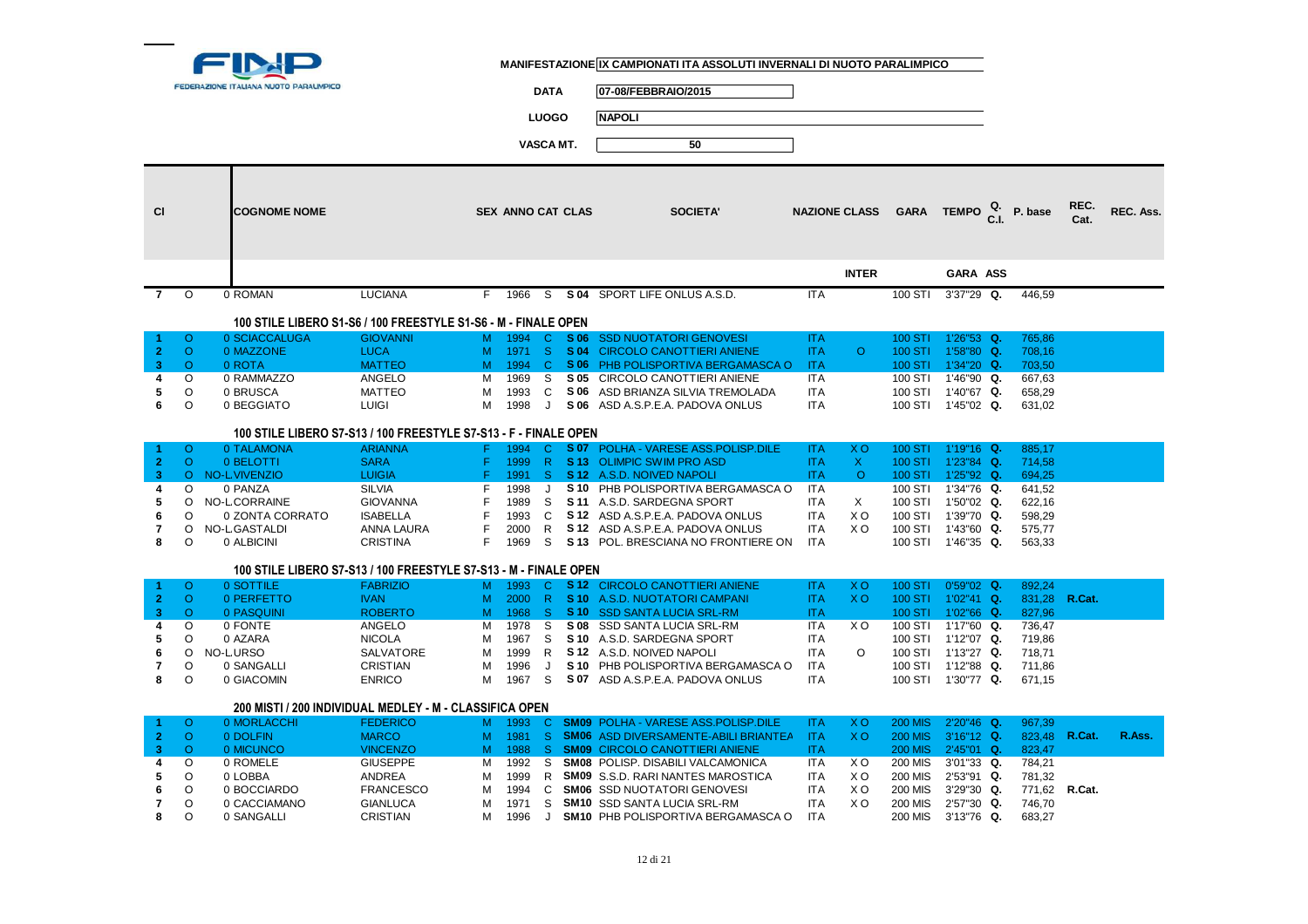

**DATA 07-08/FEBBRAIO/2015**

**LUOGO NAPOLI**

| <b>CI</b>      |                     | <b>COGNOME NOME</b>         |                                                                  |        | <b>SEX ANNO CAT CLAS</b> |                     |              | <b>SOCIETA'</b>                                                        |                          | <b>NAZIONE CLASS</b> | <b>GARA</b>        | TEMPO $_{\text{C,I.}}^{\text{Q.}}$ P. base |                  | REC.<br>Cat. | REC. Ass. |
|----------------|---------------------|-----------------------------|------------------------------------------------------------------|--------|--------------------------|---------------------|--------------|------------------------------------------------------------------------|--------------------------|----------------------|--------------------|--------------------------------------------|------------------|--------------|-----------|
|                |                     |                             |                                                                  |        |                          |                     |              |                                                                        |                          | <b>INTER</b>         |                    | GARA ASS                                   |                  |              |           |
| $\overline{7}$ | $\circ$             | 0 ROMAN                     | <b>LUCIANA</b>                                                   | F.     | 1966                     | S                   |              | S 04 SPORT LIFE ONLUS A.S.D.                                           | <b>ITA</b>               |                      | 100 STI            | 3'37"29 Q.                                 | 446,59           |              |           |
|                |                     |                             |                                                                  |        |                          |                     |              |                                                                        |                          |                      |                    |                                            |                  |              |           |
|                |                     |                             | 100 STILE LIBERO S1-S6 / 100 FREESTYLE S1-S6 - M - FINALE OPEN   |        |                          |                     |              |                                                                        |                          |                      |                    |                                            |                  |              |           |
| 1              | $\circ$             | 0 SCIACCALUGA               | <b>GIOVANNI</b>                                                  | M      | 1994                     | $\mathbf{C}$        | S 06         | <b>SSD NUOTATORI GENOVESI</b>                                          | <b>ITA</b>               |                      | 100 STI            | 1'26"53 Q.                                 | 765,86           |              |           |
| $\overline{2}$ | $\circ$             | 0 MAZZONE                   | <b>LUCA</b>                                                      | M      | 1971                     | -S                  | S 04         | <b>CIRCOLO CANOTTIERI ANIENE</b>                                       | <b>ITA</b>               | $\circ$              | <b>100 STI</b>     | 1'58"80 Q.                                 | 708,16           |              |           |
| 3<br>4         | $\circ$<br>$\circ$  | 0 ROTA<br>0 RAMMAZZO        | <b>MATTEO</b><br>ANGELO                                          | м<br>м | 1994<br>1969             | $\overline{c}$<br>S | S 05         | S 06 PHB POLISPORTIVA BERGAMASCA O<br>CIRCOLO CANOTTIERI ANIENE        | <b>ITA</b><br><b>ITA</b> |                      | 100 STI<br>100 STI | 1'34"20 Q.<br>1'46"90 Q.                   | 703,50<br>667,63 |              |           |
| 5              | O                   | 0 BRUSCA                    | <b>MATTEO</b>                                                    | M      | 1993                     | C                   | S 06         | ASD BRIANZA SILVIA TREMOLADA                                           | <b>ITA</b>               |                      | 100 STI            | 1'40"67 Q.                                 | 658,29           |              |           |
| 6              | $\circ$             | 0 BEGGIATO                  | <b>LUIGI</b>                                                     | м      | 1998                     | $\cdot$             | S 06         | ASD A.S.P.E.A. PADOVA ONLUS                                            | <b>ITA</b>               |                      |                    | 100 STI 1'45"02 Q.                         | 631,02           |              |           |
|                |                     |                             |                                                                  |        |                          |                     |              |                                                                        |                          |                      |                    |                                            |                  |              |           |
|                |                     |                             | 100 STILE LIBERO S7-S13 / 100 FREESTYLE S7-S13 - F - FINALE OPEN |        |                          |                     |              |                                                                        |                          |                      |                    |                                            |                  |              |           |
| 1              | $\circ$             | 0 TALAMONA                  | <b>ARIANNA</b>                                                   | F.     | 1994                     | C                   | S 07         | <b>POLHA - VARESE ASS.POLISP.DILE</b>                                  | <b>ITA</b>               | X <sub>O</sub>       | 100 STI            | $1'19"16$ Q.                               | 885.17           |              |           |
| $\mathbf{2}$   | $\circ$             | 0 BELOTTI                   | <b>SARA</b>                                                      | F      | 1999                     | $\mathsf{R}$        |              | S 13 OLIMPIC SWIM PRO ASD                                              | <b>ITA</b>               | $\mathsf{X}$         | <b>100 STI</b>     | 1'23"84 Q.                                 | 714,58           |              |           |
| 3              | $\circ$             | NO-LVIVENZIO                | <b>LUIGIA</b>                                                    |        | 1991                     | -S                  |              | S 12 A.S.D. NOIVED NAPOLI                                              | <b>ITA</b>               | $\circ$              | 100 STI            | $1'25''92$ Q.                              | 694,25           |              |           |
| 4              | O                   | 0 PANZA                     | <b>SILVIA</b>                                                    | F      | 1998                     | J                   | S 10         | PHB POLISPORTIVA BERGAMASCA O                                          | <b>ITA</b>               |                      | 100 STI            | 1'34"76 Q.                                 | 641,52           |              |           |
| 5              | $\Omega$            | NO-L CORRAINE               | <b>GIOVANNA</b>                                                  |        | 1989                     | S                   |              | S 11 A.S.D. SARDEGNA SPORT                                             | <b>ITA</b>               | X                    | 100 STI            | 1'50"02 Q.                                 | 622,16           |              |           |
| 6              | $\Omega$            | 0 ZONTA CORRATO             | <b>ISABELLA</b>                                                  | F      | 1993                     | C                   | S 12         | ASD A.S.P.E.A. PADOVA ONLUS                                            | <b>ITA</b>               | X O                  | 100 STI            | 1'39"70 Q.                                 | 598,29           |              |           |
| 7<br>8         | O<br>$\Omega$       | NO-L GASTALDI<br>0 ALBICINI | <b>ANNA LAURA</b><br><b>CRISTINA</b>                             | F<br>F | 2000<br>1969             | R<br>S.             | S 12<br>S 13 | ASD A.S.P.E.A. PADOVA ONLUS<br>POL. BRESCIANA NO FRONTIERE ON          | <b>ITA</b><br><b>ITA</b> | X <sub>O</sub>       | 100 STI            | 1'43"60 Q.<br>100 STI 1'46"35 Q.           | 575,77<br>563,33 |              |           |
|                |                     |                             |                                                                  |        |                          |                     |              |                                                                        |                          |                      |                    |                                            |                  |              |           |
|                |                     |                             | 100 STILE LIBERO S7-S13 / 100 FREESTYLE S7-S13 - M - FINALE OPEN |        |                          |                     |              |                                                                        |                          |                      |                    |                                            |                  |              |           |
| 1              | $\circ$             | 0 SOTTILE                   | <b>FABRIZIO</b>                                                  | M      | 1993                     | $\mathbf{C}$        |              | S 12 CIRCOLO CANOTTIERI ANIENE                                         | <b>ITA</b>               | X O                  | 100 STI            | $0'59''02$ Q.                              | 892,24           |              |           |
| $\mathbf{2}$   | $\circ$             | 0 PERFETTO                  | <b>IVAN</b>                                                      | M      | 2000                     | $\mathsf{R}$        |              | S 10 A.S.D. NUOTATORI CAMPANI                                          | <b>ITA</b>               | X <sub>O</sub>       | 100 STI            | $1'02''41$ Q.                              | 831,28           | R.Cat.       |           |
| 3              | $\circ$             | 0 PASQUINI                  | <b>ROBERTO</b>                                                   | M      | 1968                     | <sub>S</sub>        |              | S 10 SSD SANTA LUCIA SRL-RM                                            | <b>ITA</b>               |                      | 100 STI            | 1'02"66 Q.                                 | 827,96           |              |           |
| 4              | $\circ$             | 0 FONTE                     | <b>ANGELO</b>                                                    | M      | 1978                     | S                   | S 08         | <b>SSD SANTA LUCIA SRL-RM</b>                                          | <b>ITA</b>               | X <sub>O</sub>       | 100 STI            | 1'17"60 Q.                                 | 736,47           |              |           |
| 5              | $\circ$             | 0 AZARA                     | <b>NICOLA</b>                                                    | м      | 1967                     | S                   |              | S 10 A.S.D. SARDEGNA SPORT                                             | <b>ITA</b>               |                      | 100 STI            | 1'12"07 Q.                                 | 719,86           |              |           |
| 6              | O                   | NO-LURSO                    | SALVATORE                                                        | м      | 1999                     | R                   |              | S 12 A.S.D. NOIVED NAPOLI                                              | <b>ITA</b>               | $\circ$              | 100 STI            | 1'13"27 Q.                                 | 718,71           |              |           |
| 7<br>8         | O<br>O              | 0 SANGALLI<br>0 GIACOMIN    | <b>CRISTIAN</b><br><b>ENRICO</b>                                 | м      | 1996<br>1967             | J<br>S              |              | S 10 PHB POLISPORTIVA BERGAMASCA O<br>S 07 ASD A.S.P.E.A. PADOVA ONLUS | <b>ITA</b><br><b>ITA</b> |                      | 100 STI            | 1'12"88 Q.<br>1'30"77 Q.                   | 711,86           |              |           |
|                |                     |                             |                                                                  | м      |                          |                     |              |                                                                        |                          |                      | 100 STI            |                                            | 671,15           |              |           |
|                |                     |                             | 200 MISTI / 200 INDIVIDUAL MEDLEY - M - CLASSIFICA OPEN          |        |                          |                     |              |                                                                        |                          |                      |                    |                                            |                  |              |           |
| -1.            | $\circ$             | 0 MORLACCHI                 | <b>FEDERICO</b>                                                  | M      | 1993                     | C.                  |              | <b>SM09 POLHA - VARESE ASS.POLISP.DILE</b>                             | <b>ITA</b>               | X <sub>O</sub>       | <b>200 MIS</b>     | 2'20"46 Q.                                 | 967.39           |              |           |
| $\mathbf{2}$   | $\circ$             | 0 DOLFIN                    | <b>MARCO</b>                                                     | M      | 1981                     | -S                  |              | <b>SM06</b> ASD DIVERSAMENTE-ABILI BRIANTEA                            | <b>ITA</b>               | X <sub>O</sub>       | <b>200 MIS</b>     | 3'16"12 Q.                                 | 823,48 R.Cat.    |              | R.Ass.    |
| 3              | $\circ$             | 0 MICUNCO                   | <b>VINCENZO</b>                                                  | M      | 1988                     | -S                  |              | <b>SM09 CIRCOLO CANOTTIERI ANIENE</b>                                  | <b>ITA</b>               |                      | <b>200 MIS</b>     | 2'45"01 Q.                                 | 823,47           |              |           |
| 4              | O                   | 0 ROMELE                    | <b>GIUSEPPE</b>                                                  | M      | 1992                     | S                   |              | SM08 POLISP. DISABILI VALCAMONICA                                      | ITA                      | X O                  | <b>200 MIS</b>     | 3'01"33 Q.                                 | 784,21           |              |           |
| 5              | O                   | 0 LOBBA                     | <b>ANDREA</b>                                                    | м      | 1999                     | R                   |              | <b>SM09 S.S.D. RARI NANTES MAROSTICA</b>                               | <b>ITA</b>               | X O                  | <b>200 MIS</b>     | 2'53"91 Q.                                 | 781,32           |              |           |
| 6              | O                   | 0 BOCCIARDO                 | <b>FRANCESCO</b>                                                 | м      | 1994                     | C                   |              | <b>SM06 SSD NUOTATORI GENOVESI</b>                                     | <b>ITA</b>               | X O                  | 200 MIS            | $3'29''30$ Q.                              | 771,62 R.Cat.    |              |           |
| 7              | $\circ$<br>$\Omega$ | 0 CACCIAMANO                | <b>GIANLUCA</b>                                                  | M      | 1971                     | S                   |              | <b>SM10</b> SSD SANTA LUCIA SRL-RM                                     | <b>ITA</b>               | X <sub>O</sub>       | 200 MIS            | 2'57"30 Q.                                 | 746,70           |              |           |
| 8              |                     | 0 SANGALLI                  | <b>CRISTIAN</b>                                                  | M      | 1996                     | J                   |              | SM10 PHB POLISPORTIVA BERGAMASCA O                                     | <b>ITA</b>               |                      | 200 MIS            | 3'13"76 Q.                                 | 683,27           |              |           |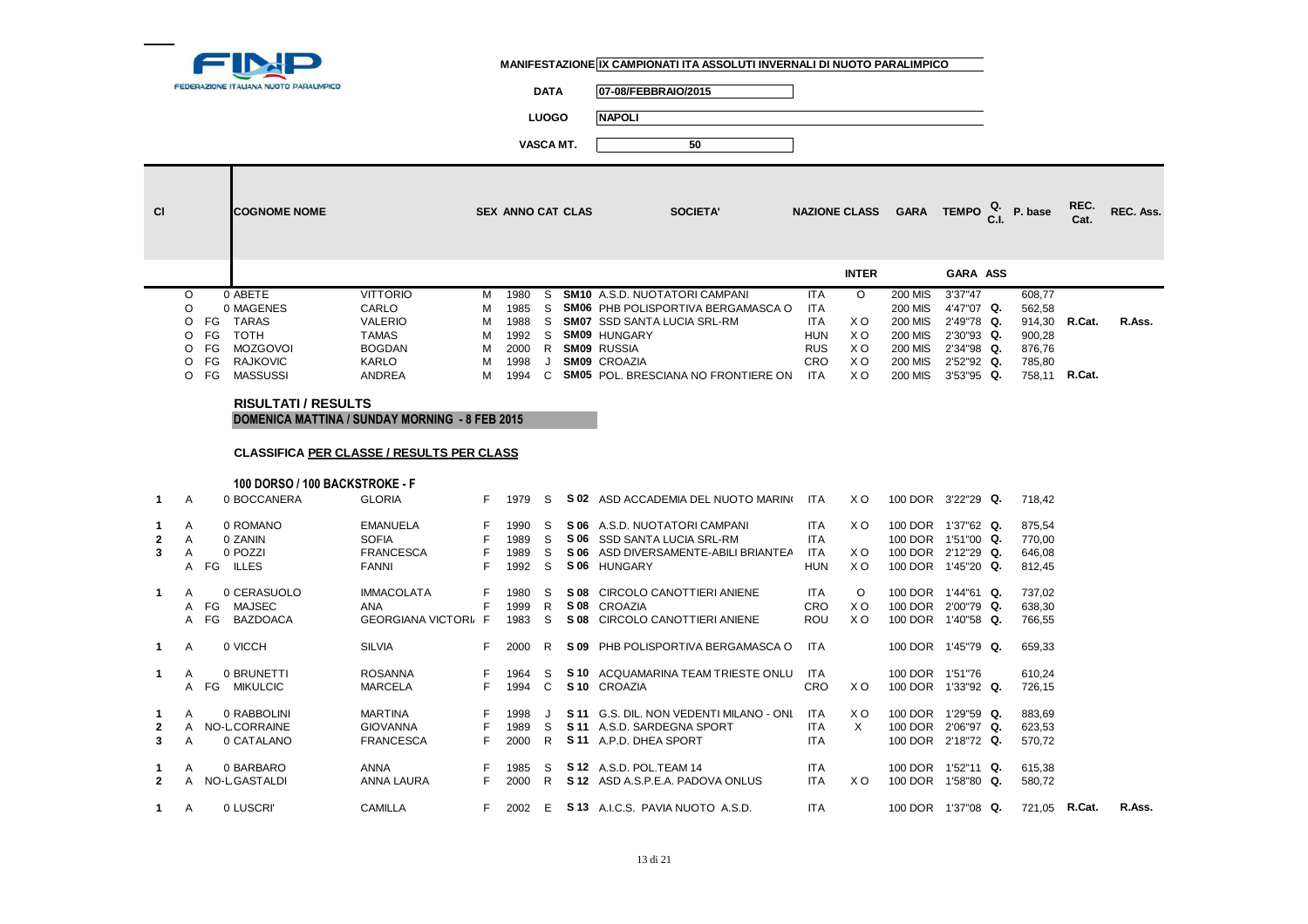

**DATA 07-08/FEBBRAIO/2015**

**LUOGO NAPOLI**

**VASCA MT. 50**

| <b>CI</b> |    | <b>COGNOME NOME</b>       |                 |   | <b>SEX ANNO CAT CLAS</b> |    | <b>SOCIETA'</b>                            |            | <b>NAZIONE CLASS</b> | <b>GARA</b> | TEMPO $_{\text{C.I.}}^{\text{Q.}}$ P. base |               | REC.<br>Cat. | REC. Ass. |
|-----------|----|---------------------------|-----------------|---|--------------------------|----|--------------------------------------------|------------|----------------------|-------------|--------------------------------------------|---------------|--------------|-----------|
|           |    |                           |                 |   |                          |    |                                            |            | <b>INTER</b>         |             | <b>GARA ASS</b>                            |               |              |           |
| $\circ$   |    | 0 ABETE                   | <b>VITTORIO</b> | м | 1980                     | S. | <b>SM10</b> A.S.D. NUOTATORI CAMPANI       | <b>ITA</b> | $\Omega$             | 200 MIS     | 3'37"47                                    | 608,77        |              |           |
| O         |    | 0 MAGENES                 | CARLO           | м | 1985                     | S. | <b>SM06 PHB POLISPORTIVA BERGAMASCA O</b>  | <b>ITA</b> |                      | 200 MIS     | 4'47"07 Q.                                 | 562,58        |              |           |
| O FG      |    | TARAS                     | <b>VALERIO</b>  | м | 1988                     | S. | <b>SM07 SSD SANTA LUCIA SRL-RM</b>         | ITA.       | X O                  | 200 MIS     | 2'49"78 Q.                                 | 914,30 R.Cat. |              | R.Ass.    |
| O FG      |    | тотн                      | <b>TAMAS</b>    | м | 1992                     | S. | <b>SM09 HUNGARY</b>                        | <b>HUN</b> | X O                  | 200 MIS     | 2'30"93 Q.                                 | 900,28        |              |           |
| O FG      |    | MOZGOVOI                  | <b>BOGDAN</b>   | м | 2000                     | R  | <b>SM09 RUSSIA</b>                         | <b>RUS</b> | X O                  | 200 MIS     | 2'34"98 Q.                                 | 876,76        |              |           |
| O FG      |    | <b>RAJKOVIC</b>           | KARLO           | м | 1998                     | J  | <b>SM09 CROAZIA</b>                        | <b>CRO</b> | X O                  | 200 MIS     | 2'52"92 Q.                                 | 785,80        |              |           |
| ∩         | FG | MASSUSSI                  | ANDREA          | м | 1994                     | C. | <b>SM05</b> POL. BRESCIANA NO FRONTIERE ON | <b>ITA</b> | X O                  | 200 MIS     | 3'53"95 Q.                                 | 758.11        | R.Cat.       |           |
|           |    | <b>DICULTATLI DECLUTC</b> |                 |   |                          |    |                                            |            |                      |             |                                            |               |              |           |

#### **RISULTATI / RESULTSDOMENICA MATTINA / SUNDAY MORNING - 8 FEB 2015**

**1** <sup>A</sup> <sup>0</sup> LUSCRI' CAMILLA <sup>F</sup> <sup>2002</sup> <sup>E</sup>

#### **CLASSIFICA PER CLASSE / RESULTS PER CLASS**

|              |   | 100 DORSO / 100 BACKSTROKE - F |                            |    |      |              |      |                                         |            |         |                    |            |        |        |        |
|--------------|---|--------------------------------|----------------------------|----|------|--------------|------|-----------------------------------------|------------|---------|--------------------|------------|--------|--------|--------|
| 1.           | A | 0 BOCCANERA                    | <b>GLORIA</b>              | F. | 1979 | S.           |      | S 02 ASD ACCADEMIA DEL NUOTO MARINO     | ITA        | X O     | 100 DOR 3'22"29 Q. |            | 718.42 |        |        |
|              | A | 0 ROMANO                       | <b>EMANUELA</b>            | F. | 1990 | -S           |      | S 06 A.S.D. NUOTATORI CAMPANI           | <b>ITA</b> | X O     | 100 DOR            | 1'37"62 Q. | 875,54 |        |        |
| $\mathbf{2}$ | A | 0 ZANIN                        | <b>SOFIA</b>               |    | 1989 | S            | S 06 | <b>SSD SANTA LUCIA SRL-RM</b>           | <b>ITA</b> |         | 100 DOR            | 1'51"00 Q. | 770,00 |        |        |
| 3            | A | 0 POZZI                        | <b>FRANCESCA</b>           |    | 1989 | S            |      | S 06 ASD DIVERSAMENTE-ABILI BRIANTEA    | <b>ITA</b> | X O     | 100 DOR            | 2'12"29 Q. | 646,08 |        |        |
|              |   | A FG<br>ILLES                  | <b>FANNI</b>               | F. | 1992 | S            |      | S 06 HUNGARY                            | HUN        | X O     | 100 DOR            | 1'45"20 Q. | 812,45 |        |        |
| -1           | A | 0 CERASUOLO                    | <b>IMMACOLATA</b>          | F. | 1980 | -S           |      | S 08 CIRCOLO CANOTTIERI ANIENE          | <b>ITA</b> | $\circ$ | 100 DOR            | 1'44"61 Q. | 737,02 |        |        |
|              |   | A FG<br>MAJSEC                 | ANA                        |    | 1999 | R            |      | S 08 CROAZIA                            | <b>CRO</b> | X O     | 100 DOR            | 2'00"79 Q. | 638,30 |        |        |
|              |   | A FG<br>BAZDOACA               | <b>GEORGIANA VICTORI F</b> |    | 1983 | <sub>S</sub> | S 08 | CIRCOLO CANOTTIERI ANIENE               | ROU        | X O     | 100 DOR            | 1'40"58 Q. | 766,55 |        |        |
| -1           | A | 0 VICCH                        | <b>SILVIA</b>              | F. | 2000 | R.           |      | S 09 PHB POLISPORTIVA BERGAMASCA O      | ITA        |         | 100 DOR 1'45"79 Q. |            | 659,33 |        |        |
|              | A | 0 BRUNETTI                     | <b>ROSANNA</b>             |    | 1964 | -S           |      | S 10 ACQUAMARINA TEAM TRIESTE ONLU      | <b>ITA</b> |         | 100 DOR            | 1'51"76    | 610,24 |        |        |
|              |   | <b>MIKULCIC</b><br>A FG        | MARCELA                    |    | 1994 | C            |      | S <sub>10</sub> CROAZIA                 | <b>CRO</b> | X O     | 100 DOR            | 1'33"92 Q. | 726,15 |        |        |
|              | A | 0 RABBOLINI                    | <b>MARTINA</b>             |    | 1998 |              |      | S 11 G.S. DIL. NON VEDENTI MILANO - ONL | <b>ITA</b> | X O     | 100 DOR            | 1'29"59 Q. | 883,69 |        |        |
| 2            |   | A NO-LCORRAINE                 | <b>GIOVANNA</b>            |    | 1989 | S            |      | S 11 A.S.D. SARDEGNA SPORT              | <b>ITA</b> | X       | 100 DOR            | 2'06"97 Q. | 623,53 |        |        |
| 3            | A | 0 CATALANO                     | <b>FRANCESCA</b>           | F. | 2000 | R            |      | S 11 A.P.D. DHEA SPORT                  | <b>ITA</b> |         | 100 DOR 2'18"72 Q. |            | 570,72 |        |        |
|              | A | 0 BARBARO                      | ANNA                       |    | 1985 | S.           |      | S 12 A.S.D. POL.TEAM 14                 | <b>ITA</b> |         | 100 DOR            | 1'52"11 Q. | 615,38 |        |        |
| 2            |   | A NO-LGASTALDI                 | ANNA LAURA                 | F. | 2000 | R            |      | S 12 ASD A.S.P.E.A. PADOVA ONLUS        | <b>ITA</b> | X O     | 100 DOR            | 1'58"80 Q. | 580,72 |        |        |
|              | A | 0 LUSCRI'                      | CAMILLA                    | F. | 2002 | E            |      | S 13 A.I.C.S. PAVIA NUOTO A.S.D.        | <b>ITA</b> |         | 100 DOR 1'37"08 Q. |            | 721,05 | R.Cat. | R.Ass. |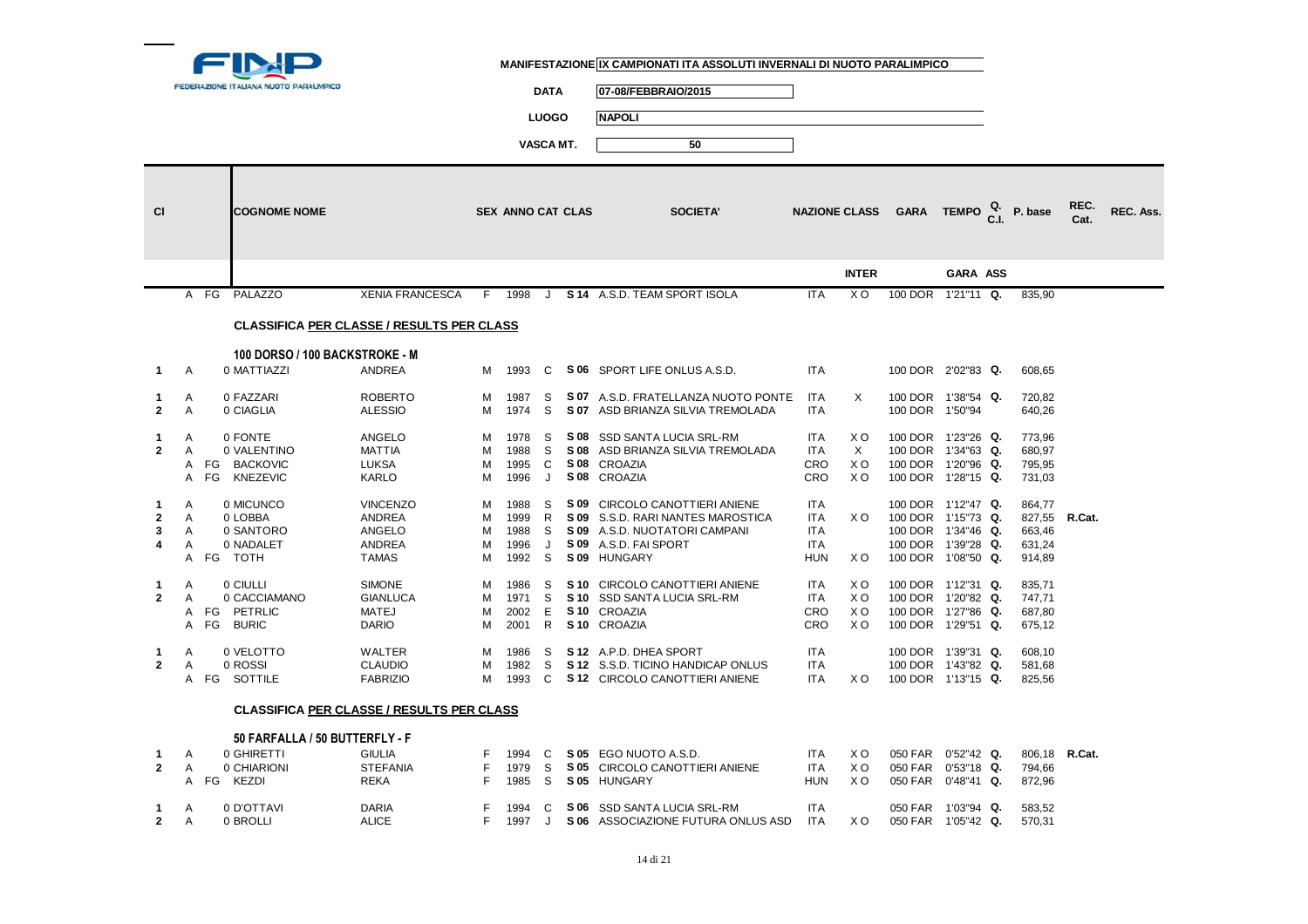

**DATA 07-08/FEBBRAIO/2015**

**LUOGO NAPOLI**

| <b>CI</b>      |              |              | <b>COGNOME NOME</b>                              |                        |     | <b>SEX ANNO CAT CLAS</b> |              | <b>SOCIETA'</b>                     |            | <b>NAZIONE CLASS</b> | GARA TEMPO $_{\text{CL}}^{\text{Q}}$ P. base |                 |               | REC.<br>Cat. | REC. Ass. |
|----------------|--------------|--------------|--------------------------------------------------|------------------------|-----|--------------------------|--------------|-------------------------------------|------------|----------------------|----------------------------------------------|-----------------|---------------|--------------|-----------|
|                |              |              |                                                  |                        |     |                          |              |                                     |            | <b>INTER</b>         |                                              | <b>GARA ASS</b> |               |              |           |
|                |              | A FG         | PALAZZO                                          | <b>XENIA FRANCESCA</b> | - F | 1998                     | . J          | S 14 A.S.D. TEAM SPORT ISOLA        | <b>ITA</b> | X O                  | 100 DOR 1'21"11 Q.                           |                 | 835,90        |              |           |
|                |              |              | <b>CLASSIFICA PER CLASSE / RESULTS PER CLASS</b> |                        |     |                          |              |                                     |            |                      |                                              |                 |               |              |           |
|                |              |              | 100 DORSO / 100 BACKSTROKE - M                   |                        |     |                          |              |                                     |            |                      |                                              |                 |               |              |           |
| $\mathbf 1$    | A            |              | 0 MATTIAZZI                                      | <b>ANDREA</b>          | M   | 1993                     | C            | S 06 SPORT LIFE ONLUS A.S.D.        | <b>ITA</b> |                      | 100 DOR 2'02"83 Q.                           |                 | 608,65        |              |           |
| $\mathbf 1$    | A            |              | 0 FAZZARI                                        | <b>ROBERTO</b>         | м   | 1987                     | S            | S 07 A.S.D. FRATELLANZA NUOTO PONTE | <b>ITA</b> | X                    | 100 DOR 1'38"54 Q.                           |                 | 720,82        |              |           |
| $\overline{2}$ | A            |              | 0 CIAGLIA                                        | <b>ALESSIO</b>         | M   | 1974                     | S            | S 07 ASD BRIANZA SILVIA TREMOLADA   | <b>ITA</b> |                      | 100 DOR 1'50"94                              |                 | 640,26        |              |           |
| 1              | A            |              | 0 FONTE                                          | <b>ANGELO</b>          | м   | 1978                     | S            | S 08 SSD SANTA LUCIA SRL-RM         | ITA        | X O                  | 100 DOR 1'23"26 Q.                           |                 | 773,96        |              |           |
| $\mathbf{2}$   | A            |              | 0 VALENTINO                                      | <b>MATTIA</b>          | м   | 1988                     | S            | S 08 ASD BRIANZA SILVIA TREMOLADA   | <b>ITA</b> | $\times$             | 100 DOR 1'34"63 Q.                           |                 | 680,97        |              |           |
|                |              |              | A FG BACKOVIC                                    | <b>LUKSA</b>           | м   | 1995                     | C            | S 08 CROAZIA                        | CRO        | X O                  | 100 DOR 1'20"96 Q.                           |                 | 795,95        |              |           |
|                | A            |              | FG KNEZEVIC                                      | <b>KARLO</b>           | м   | 1996                     | J            | S 08 CROAZIA                        | CRO        | X <sub>O</sub>       | 100 DOR 1'28"15 Q.                           |                 | 731,03        |              |           |
| -1             | $\mathsf{A}$ |              | 0 MICUNCO                                        | <b>VINCENZO</b>        | м   | 1988                     | -S           | S 09 CIRCOLO CANOTTIERI ANIENE      | <b>ITA</b> |                      | 100 DOR 1'12"47 Q.                           |                 | 864,77        |              |           |
| $\mathbf{2}$   | A            |              | 0 LOBBA                                          | <b>ANDREA</b>          | м   | 1999                     | R            | S 09 S.S.D. RARI NANTES MAROSTICA   | <b>ITA</b> | X O                  | 100 DOR 1'15"73 Q.                           |                 | 827,55 R.Cat. |              |           |
| 3              | A            |              | 0 SANTORO                                        | ANGELO                 | м   | 1988                     | S            | S 09 A.S.D. NUOTATORI CAMPANI       | <b>ITA</b> |                      | 100 DOR 1'34"46 Q.                           |                 | 663,46        |              |           |
| 4              | A            |              | 0 NADALET                                        | <b>ANDREA</b>          | м   | 1996                     | J            | S 09 A.S.D. FAI SPORT               | <b>ITA</b> |                      | 100 DOR 1'39"28 Q.                           |                 | 631,24        |              |           |
|                |              | A FG TOTH    |                                                  | <b>TAMAS</b>           | м   | 1992                     | S            | S 09 HUNGARY                        | <b>HUN</b> | X O                  | 100 DOR 1'08"50 Q.                           |                 | 914,89        |              |           |
| 1              | Α            |              | 0 CIULLI                                         | <b>SIMONE</b>          | м   | 1986                     | S            | S 10 CIRCOLO CANOTTIERI ANIENE      | ITA        | X O                  | 100 DOR 1'12"31 Q.                           |                 | 835,71        |              |           |
| $\mathbf{2}$   | A            |              | 0 CACCIAMANO                                     | <b>GIANLUCA</b>        | M   | 1971                     | S            | S 10 SSD SANTA LUCIA SRL-RM         | <b>ITA</b> | X O                  | 100 DOR 1'20"82 Q.                           |                 | 747,71        |              |           |
|                |              | A FG PETRLIC |                                                  | <b>MATEJ</b>           | M   | 2002                     | Е            | S 10 CROAZIA                        | <b>CRO</b> | X O                  | 100 DOR 1'27"86 Q.                           |                 | 687,80        |              |           |
|                |              | A FG BURIC   |                                                  | <b>DARIO</b>           | м   | 2001                     | $\mathsf{R}$ | S <sub>10</sub> CROAZIA             | CRO        | X O                  | 100 DOR 1'29"51 Q.                           |                 | 675,12        |              |           |
| $\mathbf{1}$   | Α            |              | 0 VELOTTO                                        | <b>WALTER</b>          | м   | 1986                     | S            | S 12 A.P.D. DHEA SPORT              | <b>ITA</b> |                      | 100 DOR 1'39"31 Q.                           |                 | 608,10        |              |           |
| $\overline{2}$ | A            |              | 0 ROSSI                                          | <b>CLAUDIO</b>         | M   | 1982                     | S            | S 12 S.S.D. TICINO HANDICAP ONLUS   | <b>ITA</b> |                      | 100 DOR 1'43"82 Q.                           |                 | 581,68        |              |           |
|                |              | A FG SOTTILE |                                                  | <b>FABRIZIO</b>        | м   | 1993                     | C            | S 12 CIRCOLO CANOTTIERI ANIENE      | <b>ITA</b> | X O                  | 100 DOR 1'13"15 Q.                           |                 | 825,56        |              |           |
|                |              |              | <b>CLASSIFICA PER CLASSE / RESULTS PER CLASS</b> |                        |     |                          |              |                                     |            |                      |                                              |                 |               |              |           |
|                |              |              | 50 FARFALLA / 50 BUTTERFLY - F                   |                        |     |                          |              |                                     |            |                      |                                              |                 |               |              |           |
| -1             | A            |              | 0 GHIRETTI                                       | <b>GIULIA</b>          | F   | 1994                     | C            | S 05 EGO NUOTO A.S.D.               | <b>ITA</b> | X O                  | 050 FAR 0'52"42 Q.                           |                 | 806,18 R.Cat. |              |           |
| $\mathbf{2}$   | $\mathsf{A}$ |              | 0 CHIARIONI                                      | <b>STEFANIA</b>        | F   | 1979                     | S            | S 05 CIRCOLO CANOTTIERI ANIENE      | <b>ITA</b> | X O                  | 050 FAR 0'53"18 Q.                           |                 | 794,66        |              |           |
|                |              | A FG KEZDI   |                                                  | <b>REKA</b>            | F   | 1985                     | S            | S 05 HUNGARY                        | <b>HUN</b> | X <sub>O</sub>       | 050 FAR                                      | $0'48''41$ Q.   | 872,96        |              |           |
|                |              |              |                                                  |                        |     |                          |              |                                     |            |                      |                                              |                 |               |              |           |
| -1             | A            |              | 0 D'OTTAVI                                       | <b>DARIA</b>           | F   | 1994                     | C            | S 06 SSD SANTA LUCIA SRL-RM         | ITA        |                      | 050 FAR 1'03"94 Q.                           |                 | 583,52        |              |           |
| $\overline{2}$ | A            |              | 0 BROLLI                                         | <b>ALICE</b>           | F.  | 1997                     | J.           | S 06 ASSOCIAZIONE FUTURA ONLUS ASD  | <b>ITA</b> | X O                  | 050 FAR 1'05"42 Q.                           |                 | 570,31        |              |           |
|                |              |              |                                                  |                        |     |                          |              |                                     |            |                      |                                              |                 |               |              |           |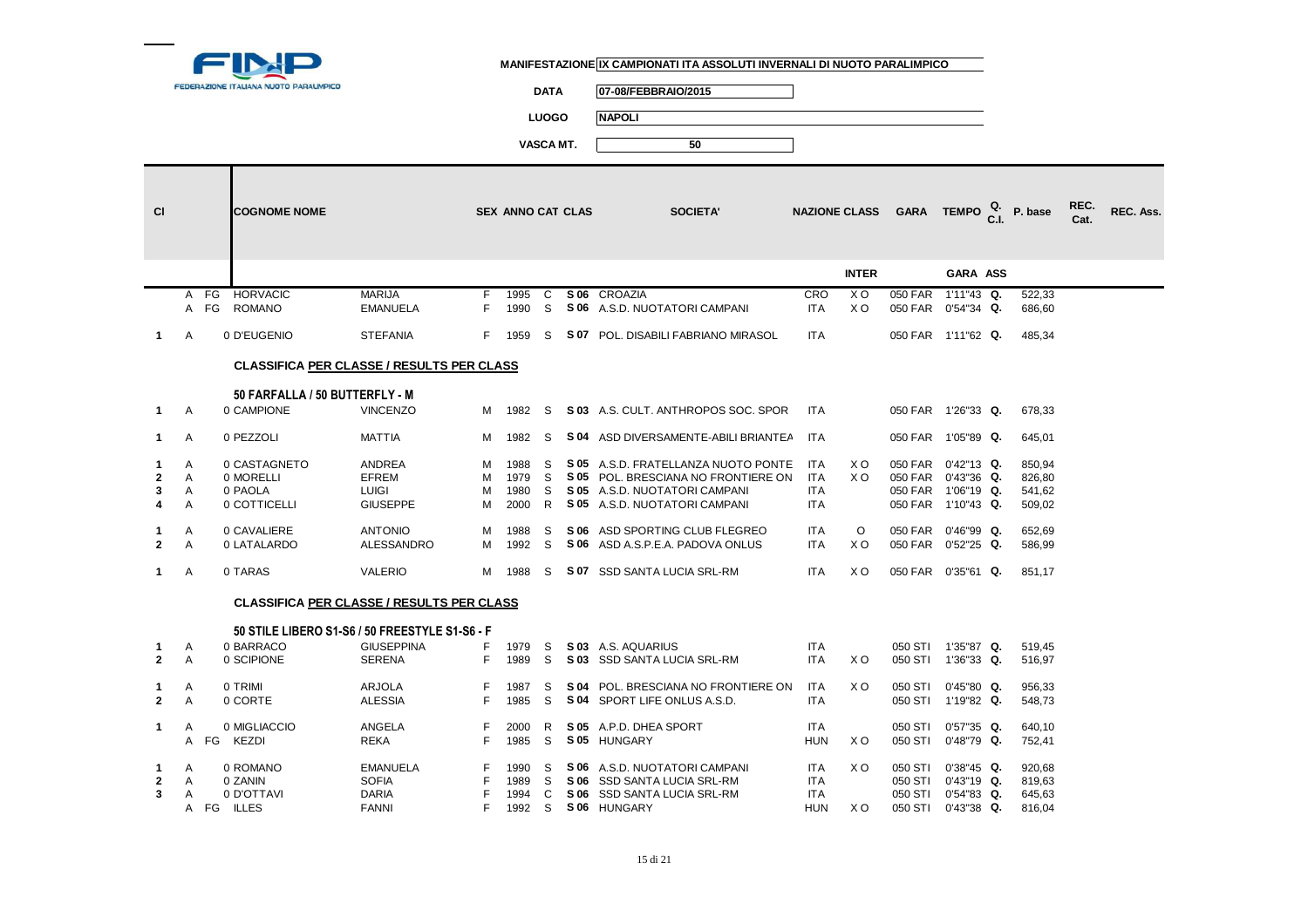

**DATA 07-08/FEBBRAIO/2015**

**LUOGO NAPOLI**

| <b>CI</b>    |                |      | <b>COGNOME NOME</b>                              |                   |    | <b>SEX ANNO CAT CLAS</b> |          |      | <b>SOCIETA'</b>                            | <b>NAZIONE CLASS</b> |                | <b>GARA</b>        | <b>TEMPO</b>       | C <sub>1</sub> | P. base | REC.<br>Cat. | <b>REC. Ass.</b> |
|--------------|----------------|------|--------------------------------------------------|-------------------|----|--------------------------|----------|------|--------------------------------------------|----------------------|----------------|--------------------|--------------------|----------------|---------|--------------|------------------|
|              |                |      |                                                  |                   |    |                          |          |      |                                            |                      | <b>INTER</b>   |                    | GARA ASS           |                |         |              |                  |
|              | A              | FG   | HORVACIC                                         | <b>MARIJA</b>     | F. | 1995                     | C        | S 06 | CROAZIA                                    | CRO                  | X <sub>O</sub> | 050 FAR            | 1'11"43 Q.         |                | 522,33  |              |                  |
|              |                | A FG | <b>ROMANO</b>                                    | <b>EMANUELA</b>   | F. | 1990                     | <b>S</b> |      | S 06 A.S.D. NUOTATORI CAMPANI              | <b>ITA</b>           | X <sub>O</sub> | 050 FAR 0'54"34 Q. |                    |                | 686,60  |              |                  |
| $\mathbf 1$  | Α              |      | 0 D'EUGENIO                                      | <b>STEFANIA</b>   | F. | 1959                     | S.       |      | S 07 POL. DISABILI FABRIANO MIRASOL        | <b>ITA</b>           |                |                    | 050 FAR 1'11"62 Q. |                | 485,34  |              |                  |
|              |                |      | <b>CLASSIFICA PER CLASSE / RESULTS PER CLASS</b> |                   |    |                          |          |      |                                            |                      |                |                    |                    |                |         |              |                  |
|              |                |      | 50 FARFALLA / 50 BUTTERFLY - M                   |                   |    |                          |          |      |                                            |                      |                |                    |                    |                |         |              |                  |
| $\mathbf 1$  | A              |      | 0 CAMPIONE                                       | <b>VINCENZO</b>   | M  | 1982                     | S        |      | <b>S 03</b> A.S. CULT. ANTHROPOS SOC. SPOR | <b>ITA</b>           |                | 050 FAR 1'26"33 Q. |                    |                | 678.33  |              |                  |
| $\mathbf 1$  | A              |      | 0 PEZZOLI                                        | <b>MATTIA</b>     | M  | 1982                     | S        |      | S 04 ASD DIVERSAMENTE-ABILI BRIANTEA       | <b>ITA</b>           |                |                    | 050 FAR 1'05"89 Q. |                | 645,01  |              |                  |
| 1            | A              |      | 0 CASTAGNETO                                     | <b>ANDREA</b>     | м  | 1988                     | S        |      | S 05 A.S.D. FRATELLANZA NUOTO PONTE        | <b>ITA</b>           | X O            | 050 FAR 0'42"13 Q. |                    |                | 850.94  |              |                  |
| $\mathbf{2}$ | A              |      | 0 MORELLI                                        | EFREM             | м  | 1979                     | S        |      | S 05 POL. BRESCIANA NO FRONTIERE ON        | ITA                  | X <sub>O</sub> | 050 FAR 0'43"36 Q. |                    |                | 826,80  |              |                  |
| 3            | A              |      | 0 PAOLA                                          | <b>LUIGI</b>      | м  | 1980                     | S        |      | S 05 A.S.D. NUOTATORI CAMPANI              | <b>ITA</b>           |                | 050 FAR 1'06"19 Q. |                    |                | 541,62  |              |                  |
| 4            | A              |      | 0 COTTICELLI                                     | <b>GIUSEPPE</b>   | м  | 2000                     | R        |      | S 05 A.S.D. NUOTATORI CAMPANI              | <b>ITA</b>           |                |                    | 050 FAR 1'10"43 Q. |                | 509,02  |              |                  |
| 1            | Α              |      | 0 CAVALIERE                                      | <b>ANTONIO</b>    | м  | 1988                     | S        |      | S 06 ASD SPORTING CLUB FLEGREO             | <b>ITA</b>           | $\circ$        | 050 FAR 0'46"99 Q. |                    |                | 652,69  |              |                  |
| $\mathbf{2}$ | A              |      | 0 LATALARDO                                      | ALESSANDRO        | м  | 1992                     | S        |      | S 06 ASD A.S.P.E.A. PADOVA ONLUS           | <b>ITA</b>           | X O            | 050 FAR 0'52"25 Q. |                    |                | 586,99  |              |                  |
|              |                |      |                                                  |                   |    |                          |          |      |                                            |                      |                |                    |                    |                |         |              |                  |
| 1            | Α              |      | 0 TARAS                                          | <b>VALERIO</b>    | M  | 1988                     | S        |      | S 07 SSD SANTA LUCIA SRL-RM                | <b>ITA</b>           | X O            | 050 FAR 0'35"61 Q. |                    |                | 851,17  |              |                  |
|              |                |      | <b>CLASSIFICA PER CLASSE / RESULTS PER CLASS</b> |                   |    |                          |          |      |                                            |                      |                |                    |                    |                |         |              |                  |
|              |                |      | 50 STILE LIBERO S1-S6 / 50 FREESTYLE S1-S6 - F   |                   |    |                          |          |      |                                            |                      |                |                    |                    |                |         |              |                  |
| 1            | Α              |      | 0 BARRACO                                        | <b>GIUSEPPINA</b> | F  | 1979                     | S        |      | S 03 A.S. AQUARIUS                         | <b>ITA</b>           |                |                    | 050 STI 1'35"87 Q. |                | 519,45  |              |                  |
| $\mathbf{2}$ | $\overline{A}$ |      | 0 SCIPIONE                                       | <b>SERENA</b>     | F. | 1989                     | S        |      | S 03 SSD SANTA LUCIA SRL-RM                | <b>ITA</b>           | X O            |                    | 050 STI 1'36"33 Q. |                | 516,97  |              |                  |
| 1            | A              |      | 0 TRIMI                                          | <b>ARJOLA</b>     | F  | 1987                     | S        | S 04 | POL. BRESCIANA NO FRONTIERE ON             | <b>ITA</b>           | X <sub>O</sub> | 050 STI            | $0'45''80$ Q.      |                | 956,33  |              |                  |
| $\mathbf{2}$ | A              |      | 0 CORTE                                          | <b>ALESSIA</b>    | F  | 1985                     | S        |      | S 04 SPORT LIFE ONLUS A.S.D.               | <b>ITA</b>           |                |                    | 050 STI 1'19"82 Q. |                | 548,73  |              |                  |
| 1.           | A              |      | 0 MIGLIACCIO                                     | ANGELA            | F  | 2000                     | R        |      | S 05 A.P.D. DHEA SPORT                     | <b>ITA</b>           |                | 050 STI            | $0'57"35$ Q.       |                | 640,10  |              |                  |
|              |                |      | A FG KEZDI                                       | <b>REKA</b>       | F  | 1985                     | S        |      | S 05 HUNGARY                               | <b>HUN</b>           | X O            | 050 STI            | 0'48"79 Q.         |                | 752,41  |              |                  |
| -1           | $\overline{A}$ |      | 0 ROMANO                                         | <b>EMANUELA</b>   |    | 1990                     | S        |      | S 06 A.S.D. NUOTATORI CAMPANI              | <b>ITA</b>           | X O            | 050 STI            | $0'38''45$ Q.      |                | 920,68  |              |                  |
| $\mathbf{2}$ | A              |      | 0 ZANIN                                          | <b>SOFIA</b>      |    | 1989                     | S        |      | S 06 SSD SANTA LUCIA SRL-RM                | <b>ITA</b>           |                | 050 STI            | $0'43''19$ Q.      |                | 819.63  |              |                  |
| 3            | A              |      | 0 D'OTTAVI                                       | <b>DARIA</b>      |    | 1994                     | C        |      | S 06 SSD SANTA LUCIA SRL-RM                | <b>ITA</b>           |                | 050 STI            | $0'54''83$ Q.      |                | 645,63  |              |                  |
|              |                |      | A FG ILLES                                       | <b>FANNI</b>      |    | 1992                     | S        |      | S 06 HUNGARY                               | <b>HUN</b>           | X O            | 050 STI            | $0'43''38$ Q.      |                | 816,04  |              |                  |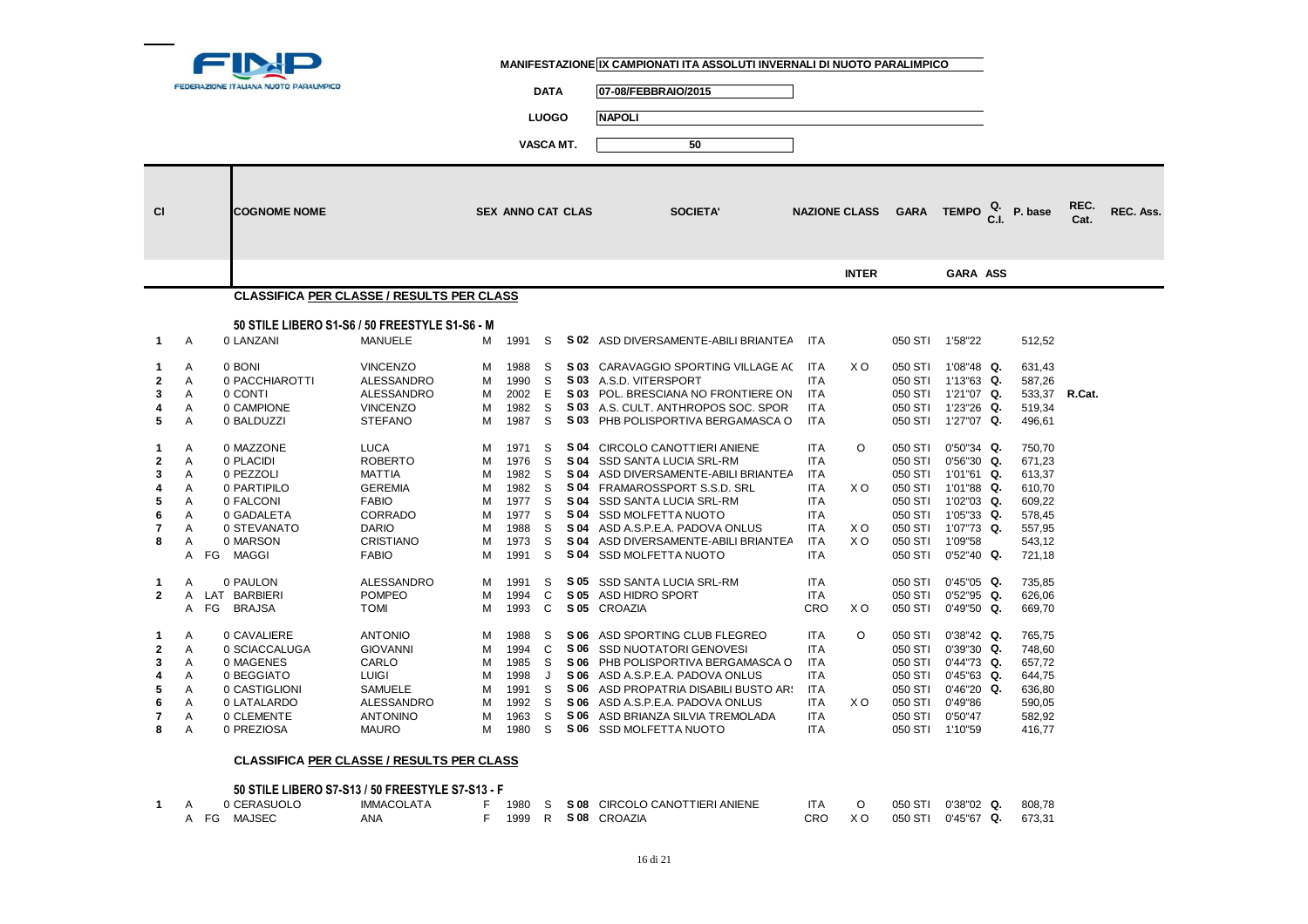

 $\overline{\phantom{0}}$ 

**DATA 07-08/FEBBRAIO/2015**

**LUOGO NAPOLI**

**VASCA MT. 50**

|                                                                                        |                                                               |                                                                                                                                                                                    |                                                                                                                                                                                                                     |                                                               |                                                                                                      | VASCA MI.                                                     |                      | ວບ                                                                                                                                                                                                                                                                                                                                                                                                                                                                |                                                                                                                                                                                    |                                                |                                                                                                                                          |                                                                                                                                                                                                                                               |                                                                                                                                       |              |           |
|----------------------------------------------------------------------------------------|---------------------------------------------------------------|------------------------------------------------------------------------------------------------------------------------------------------------------------------------------------|---------------------------------------------------------------------------------------------------------------------------------------------------------------------------------------------------------------------|---------------------------------------------------------------|------------------------------------------------------------------------------------------------------|---------------------------------------------------------------|----------------------|-------------------------------------------------------------------------------------------------------------------------------------------------------------------------------------------------------------------------------------------------------------------------------------------------------------------------------------------------------------------------------------------------------------------------------------------------------------------|------------------------------------------------------------------------------------------------------------------------------------------------------------------------------------|------------------------------------------------|------------------------------------------------------------------------------------------------------------------------------------------|-----------------------------------------------------------------------------------------------------------------------------------------------------------------------------------------------------------------------------------------------|---------------------------------------------------------------------------------------------------------------------------------------|--------------|-----------|
| <b>CI</b>                                                                              |                                                               | <b>COGNOME NOME</b>                                                                                                                                                                |                                                                                                                                                                                                                     |                                                               | <b>SEX ANNO CAT CLAS</b>                                                                             |                                                               |                      | <b>SOCIETA'</b>                                                                                                                                                                                                                                                                                                                                                                                                                                                   |                                                                                                                                                                                    | <b>NAZIONE CLASS</b>                           |                                                                                                                                          | GARA TEMPO <sup>Q.</sup>                                                                                                                                                                                                                      | P. base                                                                                                                               | REC.<br>Cat. | REC. Ass. |
|                                                                                        |                                                               |                                                                                                                                                                                    |                                                                                                                                                                                                                     |                                                               |                                                                                                      |                                                               |                      |                                                                                                                                                                                                                                                                                                                                                                                                                                                                   |                                                                                                                                                                                    | <b>INTER</b>                                   |                                                                                                                                          | GARA ASS                                                                                                                                                                                                                                      |                                                                                                                                       |              |           |
|                                                                                        |                                                               |                                                                                                                                                                                    | <b>CLASSIFICA PER CLASSE / RESULTS PER CLASS</b>                                                                                                                                                                    |                                                               |                                                                                                      |                                                               |                      |                                                                                                                                                                                                                                                                                                                                                                                                                                                                   |                                                                                                                                                                                    |                                                |                                                                                                                                          |                                                                                                                                                                                                                                               |                                                                                                                                       |              |           |
|                                                                                        |                                                               |                                                                                                                                                                                    |                                                                                                                                                                                                                     |                                                               |                                                                                                      |                                                               |                      |                                                                                                                                                                                                                                                                                                                                                                                                                                                                   |                                                                                                                                                                                    |                                                |                                                                                                                                          |                                                                                                                                                                                                                                               |                                                                                                                                       |              |           |
|                                                                                        |                                                               |                                                                                                                                                                                    | 50 STILE LIBERO S1-S6 / 50 FREESTYLE S1-S6 - M                                                                                                                                                                      |                                                               |                                                                                                      |                                                               |                      |                                                                                                                                                                                                                                                                                                                                                                                                                                                                   |                                                                                                                                                                                    |                                                |                                                                                                                                          |                                                                                                                                                                                                                                               |                                                                                                                                       |              |           |
| $\mathbf 1$                                                                            | A                                                             | 0 LANZANI                                                                                                                                                                          | <b>MANUELE</b>                                                                                                                                                                                                      | м                                                             | 1991                                                                                                 | S                                                             |                      | S 02 ASD DIVERSAMENTE-ABILI BRIANTEA                                                                                                                                                                                                                                                                                                                                                                                                                              | <b>ITA</b>                                                                                                                                                                         |                                                |                                                                                                                                          | 050 STI 1'58"22                                                                                                                                                                                                                               | 512,52                                                                                                                                |              |           |
| 1<br>$\mathbf{2}$<br>3<br>4<br>5<br>1<br>$\mathbf{2}$<br>3<br>5<br>6<br>7<br>8         | A<br>Α<br>A<br>Α<br>A<br>Α<br>A<br>A<br>A<br>A<br>A<br>A<br>A | 0 BONI<br>0 PACCHIAROTTI<br>0 CONTI<br>0 CAMPIONE<br>0 BALDUZZI<br>0 MAZZONE<br>0 PLACIDI<br>0 PEZZOLI<br>0 PARTIPILO<br>0 FALCONI<br>0 GADALETA<br>0 STEVANATO<br>0 MARSON        | <b>VINCENZO</b><br>ALESSANDRO<br>ALESSANDRO<br><b>VINCENZO</b><br><b>STEFANO</b><br><b>LUCA</b><br><b>ROBERTO</b><br><b>MATTIA</b><br><b>GEREMIA</b><br><b>FABIO</b><br>CORRADO<br><b>DARIO</b><br><b>CRISTIANO</b> | м<br>M<br>м<br>M<br>M<br>м<br>M<br>м<br>M<br>M<br>M<br>M<br>M | 1988<br>1990<br>2002<br>1982<br>1987<br>1971<br>1976<br>1982<br>1982<br>1977<br>1977<br>1988<br>1973 | S<br>S<br>E<br>S<br>S<br>S<br>S<br>S<br>S<br>S<br>S<br>S<br>S |                      | S 03 CARAVAGGIO SPORTING VILLAGE AC<br>S 03 A.S.D. VITERSPORT<br>S 03 POL. BRESCIANA NO FRONTIERE ON<br>S 03 A.S. CULT. ANTHROPOS SOC. SPOR<br>S 03 PHB POLISPORTIVA BERGAMASCA O<br>S 04 CIRCOLO CANOTTIERI ANIENE<br>S 04 SSD SANTA LUCIA SRL-RM<br>S 04 ASD DIVERSAMENTE-ABILI BRIANTEA<br>S 04 FRAMAROSSPORT S.S.D. SRL<br>S 04 SSD SANTA LUCIA SRL-RM<br>S 04 SSD MOLFETTA NUOTO<br>S 04 ASD A.S.P.E.A. PADOVA ONLUS<br>S 04 ASD DIVERSAMENTE-ABILI BRIANTEA | <b>ITA</b><br><b>ITA</b><br><b>ITA</b><br><b>ITA</b><br><b>ITA</b><br><b>ITA</b><br><b>ITA</b><br><b>ITA</b><br><b>ITA</b><br><b>ITA</b><br><b>ITA</b><br><b>ITA</b><br><b>ITA</b> | X O<br>$\circ$<br>X O<br>X O<br>X <sub>O</sub> | 050 STI<br>050 STI<br>050 STI<br>050 STI<br>050 STI<br>050 STI                                                                           | 050 STI 1'08"48 Q.<br>1'13"63 Q.<br>050 STI 1'21"07 Q.<br>050 STI 1'23"26 Q.<br>050 STI 1'27"07 Q.<br>$0'50''34$ Q.<br>$0'56''30$ Q.<br>050 STI 1'01"61 Q.<br>050 STI 1'01"88 Q.<br>1'02"03 Q.<br>050 STI 1'05"33 Q.<br>1'07"73 Q.<br>1'09"58 | 631,43<br>587,26<br>533,37 R.Cat.<br>519,34<br>496,61<br>750,70<br>671,23<br>613,37<br>610,70<br>609,22<br>578,45<br>557,95<br>543,12 |              |           |
| $\mathbf 1$<br>$\overline{2}$<br>$\mathbf{1}$<br>$\mathbf{2}$<br>3<br>5<br>6<br>7<br>8 | A<br>A<br>A<br>A<br>A<br>A<br>A<br>A<br>A<br>A<br>Α<br>Α      | FG MAGGI<br>0 PAULON<br>LAT BARBIERI<br>FG<br><b>BRAJSA</b><br>0 CAVALIERE<br>0 SCIACCALUGA<br>0 MAGENES<br>0 BEGGIATO<br>0 CASTIGLIONI<br>0 LATALARDO<br>0 CLEMENTE<br>0 PREZIOSA | <b>FABIO</b><br><b>ALESSANDRO</b><br><b>POMPEO</b><br><b>TOMI</b><br><b>ANTONIO</b><br><b>GIOVANNI</b><br>CARLO<br>LUIGI<br><b>SAMUELE</b><br>ALESSANDRO<br><b>ANTONINO</b><br><b>MAURO</b>                         | м<br>м<br>M<br>M<br>м<br>M<br>M<br>M<br>м<br>м<br>M<br>М      | 1991<br>1991<br>1994<br>1993<br>1988<br>1994<br>1985<br>1998<br>1991<br>1992<br>1963<br>1980         | S<br>S<br>C<br>C<br>S<br>C<br>S<br>J<br>S<br>S<br>S<br>S      | S 05<br>S 06<br>S 06 | S 04 SSD MOLFETTA NUOTO<br>SSD SANTA LUCIA SRL-RM<br>S 05 ASD HIDRO SPORT<br>S 05 CROAZIA<br>S 06 ASD SPORTING CLUB FLEGREO<br>S 06 SSD NUOTATORI GENOVESI<br>S 06 PHB POLISPORTIVA BERGAMASCA O<br>S 06 ASD A.S.P.E.A. PADOVA ONLUS<br>ASD PROPATRIA DISABILI BUSTO AR!<br>S 06 ASD A.S.P.E.A. PADOVA ONLUS<br>ASD BRIANZA SILVIA TREMOLADA<br>S 06 SSD MOLFETTA NUOTO                                                                                           | <b>ITA</b><br><b>ITA</b><br><b>ITA</b><br>CRO<br><b>ITA</b><br><b>ITA</b><br><b>ITA</b><br><b>ITA</b><br><b>ITA</b><br><b>ITA</b><br><b>ITA</b><br><b>ITA</b>                      | X O<br>O<br>X O                                | 050 STI<br>050 STI<br>050 STI<br>050 STI<br>050 STI<br>050 STI<br>050 STI<br>050 STI<br>050 STI<br>050 STI<br>050 STI<br>050 STI 1'10"59 | $0'52''40$ Q.<br>$0'45"05$ Q.<br>$0'52''95$ Q.<br>$0'49''50$ Q.<br>$0'38''42$ Q.<br>$0'39''30$ Q.<br>$0'44''73$ Q.<br>$0'45''63$ Q.<br>$0'46''20$ Q.<br>0'49"86<br>0'50"47                                                                    | 721,18<br>735,85<br>626,06<br>669,70<br>765,75<br>748,60<br>657,72<br>644,75<br>636,80<br>590,05<br>582,92<br>416,77                  |              |           |

## **CLASSIFICA PER CLASSE / RESULTS PER CLASS**

## **50 STILE LIBERO S7-S13 / 50 FREESTYLE S7-S13 - F**

|  | 0 CERASUOLO | <b>IMMACOLATA</b> |  |  | 1980 S S 08 CIRCOLO CANOTTIERI ANIENE | ITA O |  | 050 STI 0'38"02 Q. 808,78         |  |
|--|-------------|-------------------|--|--|---------------------------------------|-------|--|-----------------------------------|--|
|  | A FG MAJSEC | ANA               |  |  | 1999 R SI08 CROAZIA                   |       |  | CRO X O 050 STI 0'45"67 Q. 673,31 |  |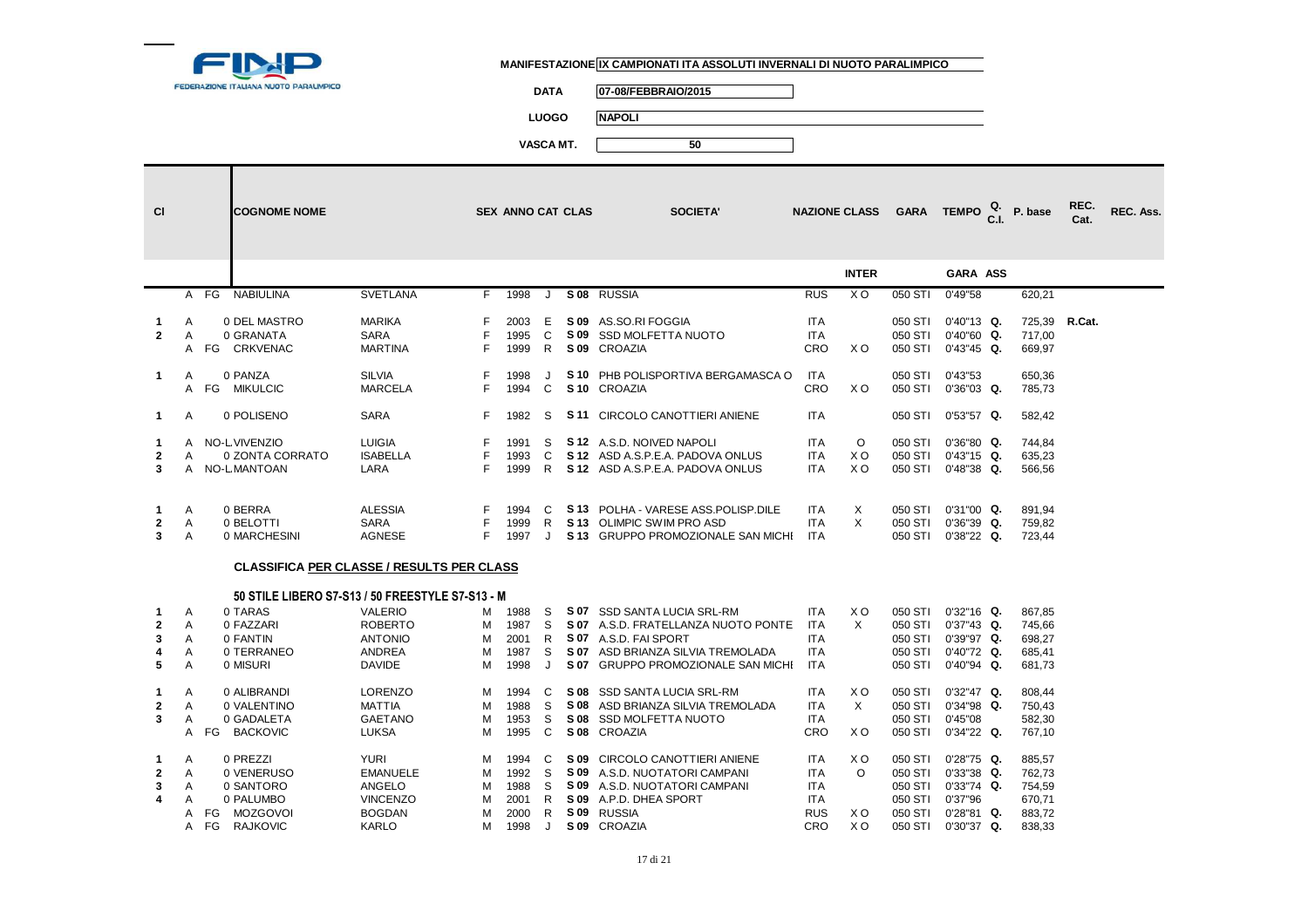

A FG RAJKOVIC

#### **MANIFESTAZIONE IX CAMPIONATI ITA ASSOLUTI INVERNALI DI NUOTO PARALIMPICO**

**DATA 07-08/FEBBRAIO/2015**

**LUOGO NAPOLI**

**VASCA MT. 50**

| <b>CI</b>                        |                       | <b>COGNOME NOME</b>                                               |                                                                                      |                       | <b>SEX ANNO CAT CLAS</b>              |                       | <b>SOCIETA'</b>                                                                                                                                                        | <b>NAZIONE CLASS</b>                                          |                              |                                          | GARA TEMPO $_{\rm C.I.}^{\rm Q.}$                                                        | P. base                                        | REC.<br>Cat. | REC. Ass. |
|----------------------------------|-----------------------|-------------------------------------------------------------------|--------------------------------------------------------------------------------------|-----------------------|---------------------------------------|-----------------------|------------------------------------------------------------------------------------------------------------------------------------------------------------------------|---------------------------------------------------------------|------------------------------|------------------------------------------|------------------------------------------------------------------------------------------|------------------------------------------------|--------------|-----------|
|                                  |                       |                                                                   |                                                                                      |                       |                                       |                       |                                                                                                                                                                        |                                                               | <b>INTER</b>                 |                                          | <b>GARA ASS</b>                                                                          |                                                |              |           |
|                                  |                       | A FG<br><b>NABIULINA</b>                                          | <b>SVETLANA</b>                                                                      | F.                    | 1998                                  | J                     | S 08 RUSSIA                                                                                                                                                            | <b>RUS</b>                                                    | $X$ O                        |                                          | 050 STI 0'49"58                                                                          | 620,21                                         |              |           |
| 1<br>$\mathbf{2}$<br>$\mathbf 1$ | A<br>A<br>Α           | 0 DEL MASTRO<br>0 GRANATA<br>A FG CRKVENAC<br>0 PANZA             | <b>MARIKA</b><br>SARA<br><b>MARTINA</b><br><b>SILVIA</b>                             | F<br>F.<br>F          | 2003<br>1995<br>1999<br>1998          | Е<br>C<br>R.          | S 09 AS.SO.RI FOGGIA<br>S 09 SSD MOLFETTA NUOTO<br>S 09 CROAZIA<br>S 10 PHB POLISPORTIVA BERGAMASCA O                                                                  | <b>ITA</b><br><b>ITA</b><br>CRO<br><b>ITA</b>                 | X O                          | 050 STI<br>050 STI<br>050 STI<br>050 STI | $0'40"13$ Q.<br>$0'40''60$ Q.<br>$0'43''45$ Q.<br>0'43"53                                | 725,39 R.Cat.<br>717,00<br>669,97<br>650,36    |              |           |
|                                  |                       | A FG<br><b>MIKULCIC</b>                                           | <b>MARCELA</b>                                                                       | F.                    | 1994                                  | C                     | S <sub>10</sub> CROAZIA                                                                                                                                                | CRO                                                           | X O                          | 050 STI                                  | $0'36''03$ Q.                                                                            | 785,73                                         |              |           |
| $\mathbf{1}$                     | A                     | 0 POLISENO                                                        | <b>SARA</b>                                                                          | F.                    | 1982                                  | S                     | <b>S11 CIRCOLO CANOTTIERI ANIENE</b>                                                                                                                                   | <b>ITA</b>                                                    |                              |                                          | 050 STI 0'53"57 Q.                                                                       | 582,42                                         |              |           |
| 1.<br>$\mathbf{2}$<br>3          | A<br>A                | NO-L VIVENZIO<br>0 ZONTA CORRATO<br>A NO-LMANTOAN                 | <b>LUIGIA</b><br><b>ISABELLA</b><br>LARA                                             | F<br>F.               | 1991<br>1993<br>1999                  | S<br>C                | S 12 A.S.D. NOIVED NAPOLI<br>S 12 ASD A.S.P.E.A. PADOVA ONLUS<br>R S 12 ASD A.S.P.E.A. PADOVA ONLUS                                                                    | <b>ITA</b><br><b>ITA</b><br><b>ITA</b>                        | O<br>X <sub>O</sub><br>X O   | 050 STI                                  | $0'36''80$ Q.<br>050 STI 0'43"15 Q.<br>050 STI 0'48"38 Q.                                | 744,84<br>635,23<br>566,56                     |              |           |
| $\mathbf 1$<br>$\mathbf{2}$<br>3 | A<br>Α<br>A           | 0 BERRA<br>0 BELOTTI<br>0 MARCHESINI                              | <b>ALESSIA</b><br><b>SARA</b><br><b>AGNESE</b>                                       | F<br>F.               | 1994<br>1999<br>1997                  | C<br>R<br>$\cdot$     | S 13 POLHA - VARESE ASS. POLISP. DILE<br>S 13 OLIMPIC SWIM PRO ASD<br>S 13 GRUPPO PROMOZIONALE SAN MICHI ITA                                                           | <b>ITA</b><br><b>ITA</b>                                      | X<br>X                       | 050 STI<br>050 STI                       | $0'31"00$ Q.<br>$0'36''39$ Q.<br>050 STI 0'38"22 Q.                                      | 891.94<br>759,82<br>723,44                     |              |           |
|                                  |                       | <b>CLASSIFICA PER CLASSE / RESULTS PER CLASS</b>                  |                                                                                      |                       |                                       |                       |                                                                                                                                                                        |                                                               |                              |                                          |                                                                                          |                                                |              |           |
|                                  |                       | 50 STILE LIBERO S7-S13 / 50 FREESTYLE S7-S13 - M                  |                                                                                      |                       |                                       |                       |                                                                                                                                                                        |                                                               |                              |                                          |                                                                                          |                                                |              |           |
| 1<br>$\mathbf 2$<br>3<br>4<br>5  | A<br>Α<br>A<br>Α<br>A | 0 TARAS<br>0 FAZZARI<br>0 FANTIN<br>0 TERRANEO<br>0 MISURI        | <b>VALERIO</b><br><b>ROBERTO</b><br><b>ANTONIO</b><br><b>ANDREA</b><br><b>DAVIDE</b> | м<br>м<br>м<br>м<br>M | 1988<br>1987<br>2001<br>1987<br>1998  | S<br>S<br>R<br>S<br>J | S 07 SSD SANTA LUCIA SRL-RM<br>S 07 A.S.D. FRATELLANZA NUOTO PONTE<br>S 07 A.S.D. FAI SPORT<br>S 07 ASD BRIANZA SILVIA TREMOLADA<br>S 07 GRUPPO PROMOZIONALE SAN MICHI | ITA<br><b>ITA</b><br><b>ITA</b><br><b>ITA</b><br><b>ITA</b>   | X O<br>X                     | 050 STI<br>050 STI<br>050 STI            | 050 STI 0'32"16 Q.<br>050 STI 0'37"43 Q.<br>0'39"97 Q.<br>$0'40''72$ Q.<br>$0'40''94$ Q. | 867,85<br>745,66<br>698,27<br>685,41<br>681,73 |              |           |
| 1<br>$\mathbf{2}$<br>3           | Α<br>A<br>Α<br>A      | 0 ALIBRANDI<br>0 VALENTINO<br>0 GADALETA<br><b>BACKOVIC</b><br>FG | <b>LORENZO</b><br><b>MATTIA</b><br><b>GAETANO</b><br><b>LUKSA</b>                    | м<br>м<br>м<br>м      | 1994<br>1988<br>1953<br>1995          | C<br>S<br>S<br>C      | S 08 SSD SANTA LUCIA SRL-RM<br>S 08 ASD BRIANZA SILVIA TREMOLADA<br>S 08 SSD MOLFETTA NUOTO<br>S 08 CROAZIA                                                            | <b>ITA</b><br><b>ITA</b><br><b>ITA</b><br><b>CRO</b>          | X O<br>$\times$<br>X O       | 050 STI<br>050 STI<br>050 STI            | $0'32''47$ Q.<br>$0'34''98$ Q.<br>050 STI 0'45"08<br>$0'34''22$ Q.                       | 808,44<br>750,43<br>582,30<br>767,10           |              |           |
| 1<br>$\mathbf 2$<br>3<br>4       | Α<br>A<br>A<br>A      | 0 PREZZI<br>0 VENERUSO<br>0 SANTORO<br>0 PALUMBO                  | <b>YURI</b><br><b>EMANUELE</b><br>ANGELO<br><b>VINCENZO</b>                          | м<br>м<br>м<br>м      | 1994<br>1992<br>1988<br>2001<br>0.000 | C<br>S<br>S<br>R      | S 09 CIRCOLO CANOTTIERI ANIENE<br>S 09 A.S.D. NUOTATORI CAMPANI<br>S 09 A.S.D. NUOTATORI CAMPANI<br>S 09 A.P.D. DHEA SPORT                                             | ITA<br><b>ITA</b><br><b>ITA</b><br><b>ITA</b><br>$\mathbf{D}$ | X O<br>$\circ$<br>$\sqrt{2}$ | 050 STI<br>050 STI<br>050 STI<br>0.000   | $0'28"75$ Q.<br>$0'33''38$ Q.<br>$0'33''74$ Q.<br>050 STI 0'37"96                        | 885,57<br>762,73<br>754,59<br>670,71<br>0.0072 |              |           |

M 1998 J **S 09 CROAZIA** 

**S 09** RUSSIA RUS X O 050 STI 0'28"81 **Q.** 883,72

CROAZIA CRO X O 050 STI 0'30"37 **Q.** 838,33

A FG MOZGOVOI BOGDAN M 2000 R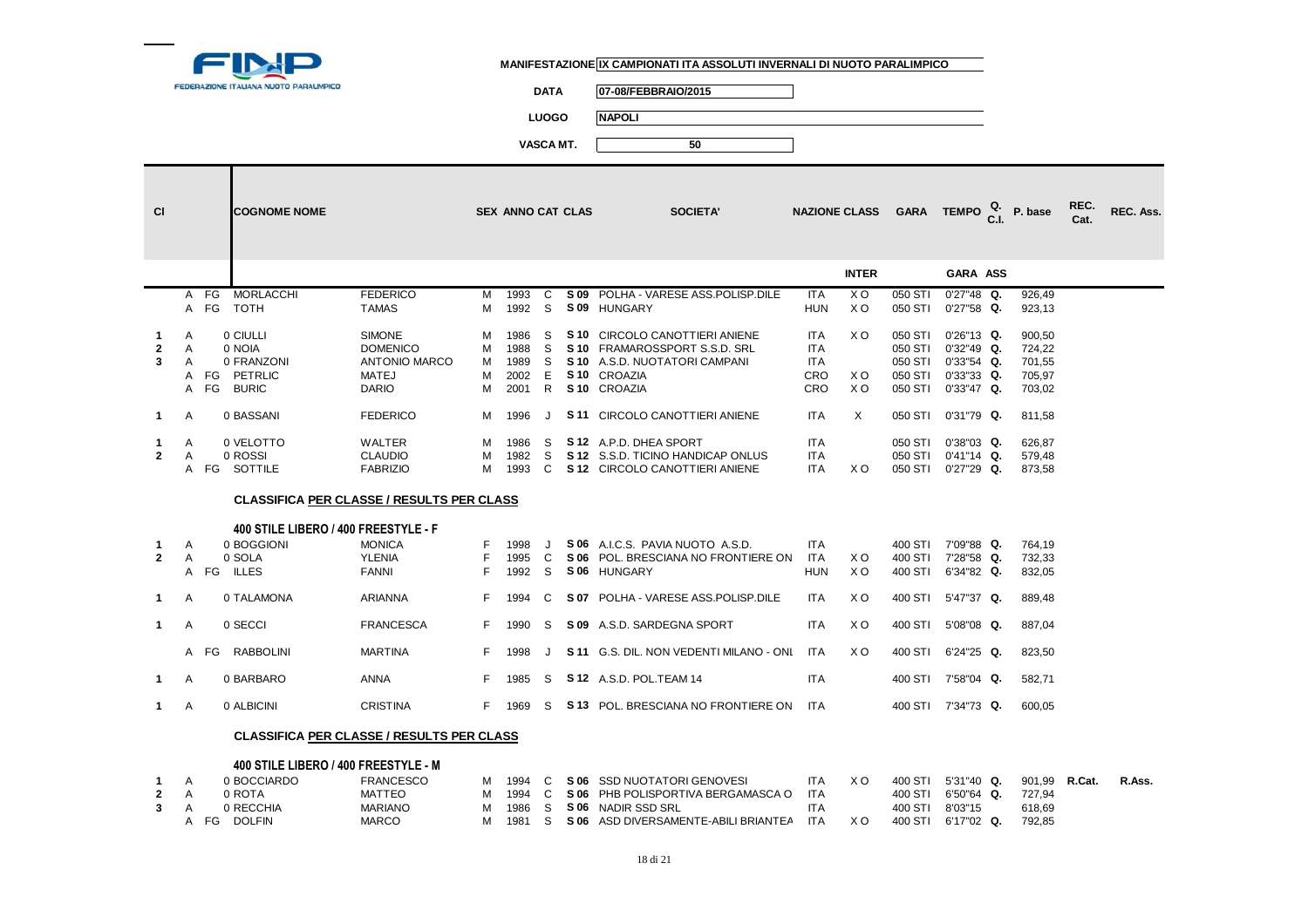

**DATA 07-08/FEBBRAIO/2015**

**LUOGO NAPOLI**

| <b>CI</b>      |                |      | <b>COGNOME NOME</b>                              |                  |    | <b>SEX ANNO CAT CLAS</b> |         |      | <b>SOCIETA'</b>                               |            |                | NAZIONE CLASS GARA TEMPO |                    | P. base       | REC.<br>Cat. | REC. Ass. |
|----------------|----------------|------|--------------------------------------------------|------------------|----|--------------------------|---------|------|-----------------------------------------------|------------|----------------|--------------------------|--------------------|---------------|--------------|-----------|
|                |                |      |                                                  |                  |    |                          |         |      |                                               |            | <b>INTER</b>   |                          | <b>GARA ASS</b>    |               |              |           |
|                |                |      | A FG MORLACCHI                                   | <b>FEDERICO</b>  | M  | 1993                     | C       | S 09 | POLHA - VARESE ASS.POLISP.DILE                | <b>ITA</b> | X <sub>O</sub> | 050 STI                  | $0'27''48$ Q.      | 926,49        |              |           |
|                |                |      | A FG TOTH                                        | <b>TAMAS</b>     | м  | 1992                     | - S     |      | S 09 HUNGARY                                  | <b>HUN</b> | X O            | 050 STI                  | $0'27"58$ Q.       | 923,13        |              |           |
|                |                |      |                                                  |                  |    |                          |         |      |                                               |            |                |                          |                    |               |              |           |
| 1              | Α              |      | 0 CIULLI                                         | <b>SIMONE</b>    | M  | 1986                     | S       |      | S 10 CIRCOLO CANOTTIERI ANIENE                | <b>ITA</b> | ΧO             | 050 STI                  | $0'26"13$ Q.       | 900,50        |              |           |
| $\mathbf{2}$   | A              |      | 0 NOIA                                           | <b>DOMENICO</b>  | м  | 1988                     | S       |      | S 10 FRAMAROSSPORT S.S.D. SRL                 | <b>ITA</b> |                | 050 STI                  | $0'32''49$ Q.      | 724,22        |              |           |
| 3              | A              |      | 0 FRANZONI                                       | ANTONIO MARCO    | м  | 1989                     | S       |      | S 10 A.S.D. NUOTATORI CAMPANI                 | <b>ITA</b> |                | 050 STI                  | $0'33"54$ Q.       | 701,55        |              |           |
|                | A              |      | FG PETRLIC                                       | <b>MATEJ</b>     | м  | 2002                     | E       |      | S <sub>10</sub> CROAZIA                       | CRO        | X <sub>O</sub> | 050 STI                  | $0'33''33$ Q.      | 705,97        |              |           |
|                | A              | FG   | <b>BURIC</b>                                     | <b>DARIO</b>     | м  | 2001                     | R       |      | S <sub>10</sub> CROAZIA                       | CRO        | X <sub>O</sub> | 050 STI                  | $0'33''47$ Q.      | 703,02        |              |           |
|                |                |      |                                                  |                  |    |                          |         |      |                                               |            |                |                          |                    |               |              |           |
| $\mathbf 1$    | Α              |      | 0 BASSANI                                        | <b>FEDERICO</b>  | м  | 1996                     | J       |      | S 11 CIRCOLO CANOTTIERI ANIENE                | <b>ITA</b> | $\times$       | 050 STI                  | $0'31''79$ Q.      | 811,58        |              |           |
|                |                |      |                                                  |                  |    |                          |         |      |                                               |            |                |                          |                    |               |              |           |
| 1              | Α              |      | 0 VELOTTO                                        | <b>WALTER</b>    | м  | 1986                     | S       |      | S 12 A.P.D. DHEA SPORT                        | <b>ITA</b> |                | 050 STI                  | $0'38"03$ Q.       | 626,87        |              |           |
| $\overline{2}$ | $\overline{A}$ |      | 0 ROSSI                                          | <b>CLAUDIO</b>   | м  | 1982                     | S       |      | S 12 S.S.D. TICINO HANDICAP ONLUS             | <b>ITA</b> |                | 050 STI                  | $0'41''14$ Q.      | 579,48        |              |           |
|                |                |      | A FG SOTTILE                                     | <b>FABRIZIO</b>  | м  | 1993                     |         |      | C S 12 CIRCOLO CANOTTIERI ANIENE              | <b>ITA</b> | X O            | 050 STI                  | $0'27"29$ Q.       | 873,58        |              |           |
|                |                |      | <b>CLASSIFICA PER CLASSE / RESULTS PER CLASS</b> |                  |    |                          |         |      |                                               |            |                |                          |                    |               |              |           |
|                |                |      |                                                  |                  |    |                          |         |      |                                               |            |                |                          |                    |               |              |           |
|                |                |      | 400 STILE LIBERO / 400 FREESTYLE - F             |                  |    |                          |         |      |                                               |            |                |                          |                    |               |              |           |
| 1              | Α              |      | 0 BOGGIONI                                       | <b>MONICA</b>    |    | 1998                     |         |      | S 06 A.I.C.S. PAVIA NUOTO A.S.D.              | ITA        |                | 400 STI                  | 7'09"88 Q.         | 764,19        |              |           |
| $\mathbf{2}$   | Α              |      | 0 SOLA                                           | <b>YLENIA</b>    | F. | 1995                     | C.      |      | S 06 POL. BRESCIANA NO FRONTIERE ON           | <b>ITA</b> | X O            | 400 STI                  | 7'28"58 Q.         | 732,33        |              |           |
|                |                |      | A FG ILLES                                       | <b>FANNI</b>     | F. | 1992                     | -S      |      | S06 HUNGARY                                   | <b>HUN</b> | X O            | 400 STI                  | 6'34"82 Q.         | 832,05        |              |           |
|                |                |      |                                                  |                  |    |                          |         |      |                                               |            |                |                          |                    |               |              |           |
| $\mathbf 1$    | Α              |      | 0 TALAMONA                                       | <b>ARIANNA</b>   | F. | 1994                     | C       |      | S 07 POLHA - VARESE ASS.POLISP.DILE           | <b>ITA</b> | X O            | 400 STI                  | 5'47"37 Q.         | 889,48        |              |           |
|                |                |      |                                                  |                  |    |                          |         |      |                                               |            |                |                          |                    |               |              |           |
| $\mathbf{1}$   | Α              |      | 0 SECCI                                          | <b>FRANCESCA</b> | F. | 1990                     | S       |      | S 09 A.S.D. SARDEGNA SPORT                    | <b>ITA</b> | X <sub>O</sub> | 400 STI                  | 5'08"08 Q.         | 887,04        |              |           |
|                |                | A FG | RABBOLINI                                        | <b>MARTINA</b>   | F. | 1998                     | $\cdot$ |      | <b>S11 G.S. DIL. NON VEDENTI MILANO - ONL</b> | <b>ITA</b> | X <sub>O</sub> | 400 STI                  | $6'24''25$ Q.      | 823,50        |              |           |
|                |                |      |                                                  |                  |    |                          |         |      |                                               |            |                |                          |                    |               |              |           |
| $\mathbf 1$    | A              |      | 0 BARBARO                                        | <b>ANNA</b>      | F. | 1985                     | S.      |      | <b>S 12</b> A.S.D. POL.TEAM 14                | <b>ITA</b> |                | 400 STI                  | 7'58"04 Q.         | 582,71        |              |           |
|                |                |      |                                                  |                  |    | F 1969                   |         |      |                                               |            |                |                          |                    |               |              |           |
| $\mathbf{1}$   | Α              |      | 0 ALBICINI                                       | <b>CRISTINA</b>  |    |                          |         |      | S S 13 POL. BRESCIANA NO FRONTIERE ON ITA     |            |                |                          | 400 STI 7'34"73 Q. | 600,05        |              |           |
|                |                |      | <b>CLASSIFICA PER CLASSE / RESULTS PER CLASS</b> |                  |    |                          |         |      |                                               |            |                |                          |                    |               |              |           |
|                |                |      |                                                  |                  |    |                          |         |      |                                               |            |                |                          |                    |               |              |           |
|                |                |      | 400 STILE LIBERO / 400 FREESTYLE - M             |                  |    |                          |         |      |                                               |            |                |                          |                    |               |              |           |
|                | A              |      | 0 BOCCIARDO                                      | <b>FRANCESCO</b> |    |                          |         |      | M 1994 C S 06 SSD NUOTATORI GENOVESI          | ITA        | X O            | 400 STI 5'31"40 Q.       |                    | 901,99 R.Cat. |              | R.Ass.    |

|  |    | 0 BOCCIARDO       | FRANCESCO      |          |  | M 1994 C S 06 SSD NUOTATORI GENOVESI       | <b>ITA</b> | X O | 400 STI 5'31"40 Q. |  | 901.99 <b>R.Cat.</b> | R.Ass. |
|--|----|-------------------|----------------|----------|--|--------------------------------------------|------------|-----|--------------------|--|----------------------|--------|
|  |    | <sub>0</sub> ROTA | MATTEO         |          |  | M 1994 C SO6 PHB POLISPORTIVA BERGAMASCA O | <b>ITA</b> |     | 400 STI 6'50"64 Q. |  | 727.94               |        |
|  |    | 0 RECCHIA         | <b>MARIANO</b> |          |  | I 1986 S SIO6 NADIR SSD SRL                | <b>ITA</b> |     | 400 STI 8'03"15    |  | 618.69               |        |
|  | FG | <b>DOLFIN</b>     | <b>MARCO</b>   | M 1981 S |  | S 06 ASD DIVERSAMENTE-ABILI BRIANTEA       | <b>ITA</b> | X O | 400 STI 6'17"02 Q. |  | 792.85               |        |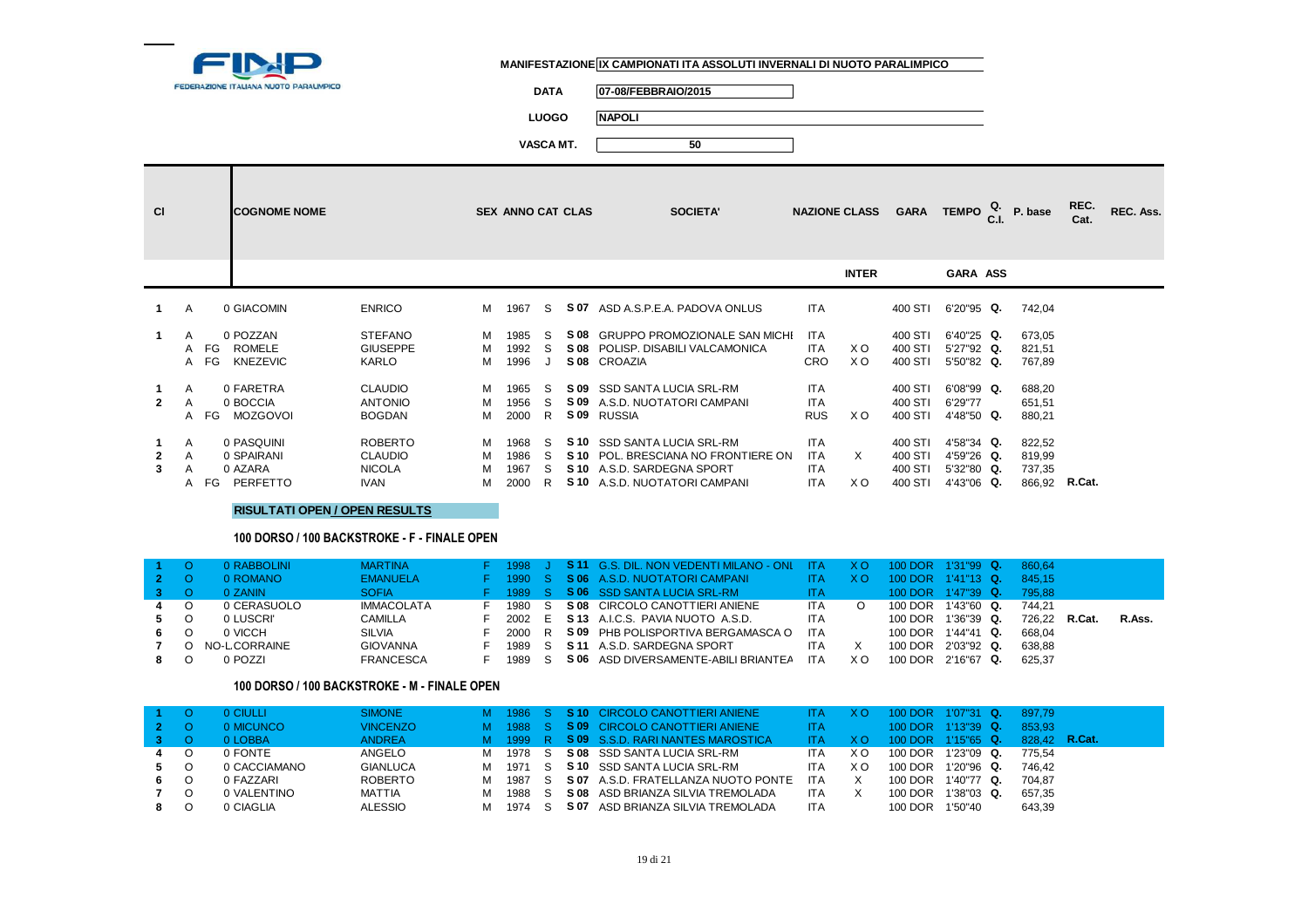

**DATA 07-08/FEBBRAIO/2015**

**LUOGO NAPOLI**

**VASCA MT. 50**

| <b>CI</b>         |             |              | <b>COGNOME NOME</b>                             |                                                                  |                  | <b>SEX ANNO CAT CLAS</b>     |                    | <b>SOCIETA'</b>                                                                                                                         |                                        | <b>NAZIONE CLASS</b> | <b>GARA</b>                              |                                                         | TEMPO $_{\text{C.I.}}^{\text{Q.}}$ P. base  | REC.<br>Cat. | REC. Ass. |
|-------------------|-------------|--------------|-------------------------------------------------|------------------------------------------------------------------|------------------|------------------------------|--------------------|-----------------------------------------------------------------------------------------------------------------------------------------|----------------------------------------|----------------------|------------------------------------------|---------------------------------------------------------|---------------------------------------------|--------------|-----------|
|                   |             |              |                                                 |                                                                  |                  |                              |                    |                                                                                                                                         |                                        | <b>INTER</b>         |                                          | GARA ASS                                                |                                             |              |           |
|                   | A           |              | 0 GIACOMIN                                      | <b>ENRICO</b>                                                    |                  | M 1967                       | S.                 | S 07 ASD A.S.P.E.A. PADOVA ONLUS                                                                                                        | <b>ITA</b>                             |                      | 400 STI                                  | 6'20"95 Q.                                              | 742,04                                      |              |           |
| 1.                | A           | A FG<br>A FG | 0 POZZAN<br><b>ROMELE</b><br>KNEZEVIC           | <b>STEFANO</b><br><b>GIUSEPPE</b><br>KARLO                       | M<br>M<br>M      | 1985<br>1992<br>1996         | S.<br>S.<br>J      | S 08 GRUPPO PROMOZIONALE SAN MICHI<br>S 08 POLISP. DISABILI VALCAMONICA<br>S 08 CROAZIA                                                 | <b>ITA</b><br>ITA<br><b>CRO</b>        | X O<br>X O           | 400 STI<br>400 STI<br>400 STI            | 6'40"25 Q.<br>5'27"92 Q.<br>5'50"82 Q.                  | 673,05<br>821,51<br>767,89                  |              |           |
| $\mathbf{2}$      | A<br>A      | A FG         | 0 FARETRA<br>0 BOCCIA<br>MOZGOVOI               | <b>CLAUDIO</b><br><b>ANTONIO</b><br><b>BOGDAN</b>                | M<br>м           | 1965<br>1956<br>M 2000       | S.<br>S<br>R.      | S 09 SSD SANTA LUCIA SRL-RM<br><b>S 09</b> A.S.D. NUOTATORI CAMPANI<br>S 09 RUSSIA                                                      | <b>ITA</b><br><b>ITA</b><br><b>RUS</b> | X O                  | 400 STI<br>400 STI<br>400 STI            | 6'08"99 Q.<br>6'29"77<br>4'48"50 Q.                     | 688,20<br>651,51<br>880,21                  |              |           |
| $\mathbf{2}$<br>3 | A<br>A<br>A | A FG         | 0 PASQUINI<br>0 SPAIRANI<br>0 AZARA<br>PERFETTO | <b>ROBERTO</b><br><b>CLAUDIO</b><br><b>NICOLA</b><br><b>IVAN</b> | M<br>м<br>м<br>м | 1968<br>1986<br>1967<br>2000 | S.<br>S<br>S.<br>R | S 10 SSD SANTA LUCIA SRL-RM<br><b>S10 POL. BRESCIANA NO FRONTIERE ON</b><br>S 10 A.S.D. SARDEGNA SPORT<br>S 10 A.S.D. NUOTATORI CAMPANI | <b>ITA</b><br>ITA<br>ITA<br><b>ITA</b> | X<br>X O             | 400 STI<br>400 STI<br>400 STI<br>400 STI | 4'58"34 Q.<br>4'59"26 Q.<br>$5'32''80$ Q.<br>4'43"06 Q. | 822,52<br>819,99<br>737,35<br>866,92 R.Cat. |              |           |

**RISULTATI OPEN / OPEN RESULTS**

#### **100 DORSO / 100 BACKSTROKE - F - FINALE OPEN**

|     | 0 RABBOLINI  | <b>MARTINA</b>    | F 1998 J |  | <b>S11 G.S. DIL. NON VEDENTI MILANO - ONL ITA XO</b> |            |         |         | 100 DOR 1'31"99 Q. | 860.64        |        |
|-----|--------------|-------------------|----------|--|------------------------------------------------------|------------|---------|---------|--------------------|---------------|--------|
|     | 0 ROMANO     | <b>EMANUELA</b>   |          |  | F 1990 S S 06 A.S.D. NUOTATORI CAMPANI               | <b>ITA</b> | X O.    |         | 100 DOR 1'41"13 Q. | 845.15        |        |
|     | 0 ZANIN      | <b>SOFIA</b>      |          |  | F 1989 S S 06 SSD SANTA LUCIA SRL-RM                 | ITA.       |         |         | 100 DOR 1'47"39 Q. | 795.88        |        |
| 4 0 | 0 CERASUOLO  | <b>IMMACOLATA</b> | 1980 S   |  | S 08 CIRCOLO CANOTTIERI ANIENE                       | <b>ITA</b> | $\circ$ | 100 DOR | 1'43"60 Q.         | 744.21        |        |
| 5 O | 0 LUSCRI'    | CAMILLA           |          |  | 2002 E SI13 A.I.C.S. PAVIA NUOTO A.S.D.              | <b>ITA</b> |         | 100 DOR | 1'36"39 Q.         | 726.22 R.Cat. | R.Ass. |
| 6.  | 0 VICCH      | SILVIA            | 2000 R   |  | S 09 PHB POLISPORTIVA BERGAMASCA O                   | ITA        |         | 100 DOR | 1'44"41 Q.         | 668.04        |        |
|     | NO-LCORRAINE | GIOVANNA          | 1989 S   |  | <b>S11</b> A.S.D. SARDEGNA SPORT                     | ITA        |         | 100 DOR | 2'03"92 Q.         | 638.88        |        |
|     | 0 POZZI      | FRANCESCA         | 1989 S   |  | S 06 ASD DIVERSAMENTE-ABILI BRIANTEA ITA             |            | X O     |         | 100 DOR 2'16"67 Q. | 625.37        |        |

#### **100 DORSO / 100 BACKSTROKE - M - FINALE OPEN**

|    | <b>O CIULLIT</b> | <b>SIMONE</b>   |        |  | 1986 S S 10 CIRCOLO CANOTTIERI ANIENE | ITA.       |     |         | 100 DOR 1'07"31 Q.  | 897.79        |  |
|----|------------------|-----------------|--------|--|---------------------------------------|------------|-----|---------|---------------------|---------------|--|
|    | 0 MICUNCO        | <b>VINCENZO</b> |        |  | 1988 S S 09 CIRCOLO CANOTTIERI ANIENE | <b>ITA</b> |     |         | 100 DOR 1'13"39 Q.  | 853.93        |  |
|    | 0 LOBBA          | <b>ANDREA</b>   | 1999   |  | R S 09 S.S.D. RARI NANTES MAROSTICA   | <b>ITA</b> |     |         | 100 DOR  1'15"65 Q. | 828.42 R.Cat. |  |
|    | 0 FONTE          | ANGELO          | 1978 S |  | S 08 SSD SANTA LUCIA SRL-RM           | ITA        | X O | 100 DOR | 1'23"09 Q.          | 775.54        |  |
| 5  | 0 CACCIAMANO     | <b>GIANLUCA</b> | 1971 S |  | S 10 SSD SANTA LUCIA SRL-RM           | ITA        | xс  | 100 DOR | 1'20"96 Q.          | 746.42        |  |
| 6. | 0 FAZZARI        | <b>ROBERTO</b>  | 1987 S |  | S 07 A.S.D. FRATELLANZA NUOTO PONTE   | <b>ITA</b> | X   | 100 DOR | 1'40"77 Q.          | 704.87        |  |
|    | 0 VALENTINO      | MATTIA          | 1988 S |  | S 08 ASD BRIANZA SILVIA TREMOLADA     | ITA        | X   | 100 DOR | $1'38''03$ Q.       | 657.35        |  |
|    | 0 CIAGLIA        | <b>ALESSIO</b>  | 1974   |  | S 07 ASD BRIANZA SILVIA TREMOLADA     | ITA        |     | 100 DOR | 1'50"40             | 643.39        |  |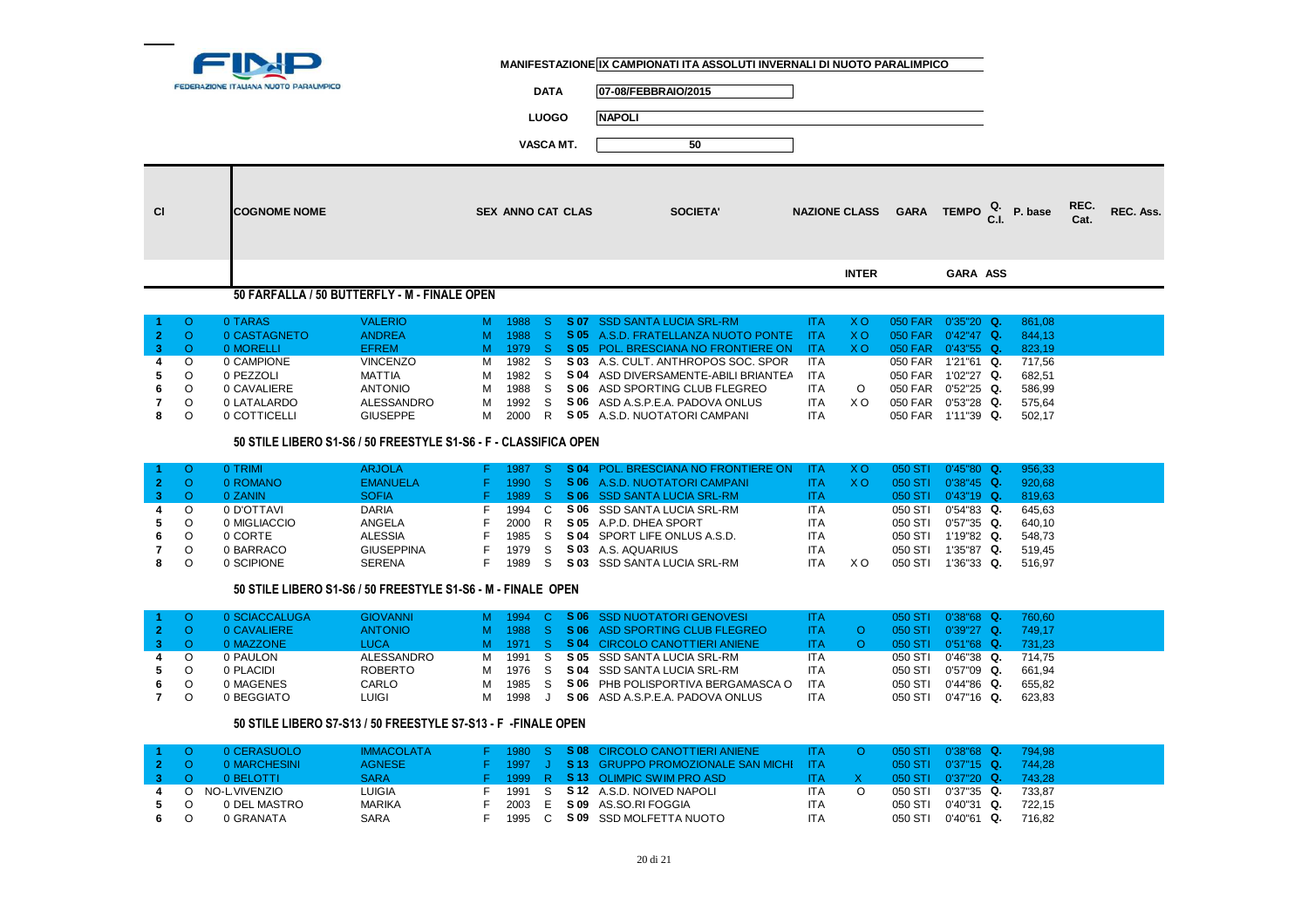

**DATA 07-08/FEBBRAIO/2015**

**LUOGO NAPOLI**

**VASCA MT. 50**

| <b>CI</b> | <b>ICOGNOME NOME</b>                         | <b>SEX ANNO CAT CLAS</b> | <b>SOCIETA'</b> |              | NAZIONE CLASS GARA TEMPO $_{\text{C.I.}}^{\text{Q.}}$ P. base REC. REC. Ass. |  |
|-----------|----------------------------------------------|--------------------------|-----------------|--------------|------------------------------------------------------------------------------|--|
|           |                                              |                          |                 | <b>INTER</b> | <b>GARA ASS</b>                                                              |  |
|           | 50 FARFALLA / 50 BUTTERFLY - M - FINALE OPEN |                          |                 |              |                                                                              |  |

|       |         | 0 TARAS      | <b>VALERIO</b>  |    |        |  | 1988 S S 07 SSD SANTA LUCIA SRL-RM         | ITA.       | XO.  |         | $050$ FAR $0'35"20$ Q. | 861.08 |  |
|-------|---------|--------------|-----------------|----|--------|--|--------------------------------------------|------------|------|---------|------------------------|--------|--|
| $2 -$ |         | 0 CASTAGNETO | <b>ANDREA</b>   | M. |        |  | 1988 S S 05 A.S.D. FRATELLANZA NUOTO PONTE | - ITA      | X O. | 050 FAR | $0'42''47$ Q.          | 844.13 |  |
|       |         | 0 MORELLI    | <b>EFREM</b>    | M. |        |  | 1979 S S 05 POL. BRESCIANA NO FRONTIERE ON | ITA.       | X O  | 050 FAR | $0'43"55$ Q.           | 823.19 |  |
| 4     |         | 0 CAMPIONE   | <b>VINCENZO</b> | M  |        |  | 1982 S S 03 A.S. CULT. ANTHROPOS SOC. SPOR | <b>ITA</b> |      | 050 FAR | 1'21"61<br>Q.          | 717.56 |  |
| 5.    |         | 0 PEZZOLI    | MATTIA          | M  | 1982 S |  | S 04 ASD DIVERSAMENTE-ABILI BRIANTEA       | <b>ITA</b> |      | 050 FAR | 1'02"27 Q.             | 682.51 |  |
| 6.    |         | 0 CAVALIERE  | <b>ANTONIO</b>  | м  | 1988 S |  | S 06 ASD SPORTING CLUB FLEGREO             | <b>ITA</b> |      | 050 FAR | $0'52"25$ Q.           | 586.99 |  |
| 7     | $\circ$ | 0 LATALARDO  | ALESSANDRO      | м  | 1992 S |  | S 06 ASD A.S.P.E.A. PADOVA ONLUS           | <b>ITA</b> | xο   | 050 FAR | $0'53''28$ Q.          | 575.64 |  |
| 8     |         | 0 COTTICELLI | <b>GIUSEPPE</b> |    | 2000 R |  | S 05 A.S.D. NUOTATORI CAMPANI              | <b>ITA</b> |      | 050 FAR | $1'11''39$ Q.          | 502.17 |  |

#### **50 STILE LIBERO S1-S6 / 50 FREESTYLE S1-S6 - F - CLASSIFICA OPEN**

|    |         | 0 TRIMI      | <b>ARJOLA</b>     |      |     | 1987 S S 04 POL. BRESCIANA NO FRONTIERE ON | -ITA       | - X O | 050 STI        | $0'45"80$ Q.  | 956.33 |
|----|---------|--------------|-------------------|------|-----|--------------------------------------------|------------|-------|----------------|---------------|--------|
|    |         | 0 ROMANO     | <b>EMANUELA</b>   | 1990 |     | S S 06 A.S.D. NUOTATORI CAMPANI            | <b>ITA</b> | X O   | <b>050 STI</b> | $0'38"45$ Q.  | 920.68 |
|    |         | 0 ZANIN      | <b>SOFIA</b>      | 1989 |     | S S 06 SSD SANTA LUCIA SRL-RM              | <b>ITA</b> |       | 050 STI        | $0'43"19$ Q.  | 819.63 |
| 4  | $\circ$ | 0 D'OTTAVI   | <b>DARIA</b>      | 1994 |     | S 06 SSD SANTA LUCIA SRL-RM                | ITA        |       | 050 STI        | 0'54"83 Q.    | 645.63 |
| 5. |         | 0 MIGLIACCIO | ANGELA            | 2000 | - R | S 05 A.P.D. DHEA SPORT                     | <b>ITA</b> |       | 050 STI        | $0'57"35$ Q.  | 640.10 |
| 6. |         | 0 CORTE      | <b>ALESSIA</b>    | 1985 | - S | <b>S 04 SPORT LIFE ONLUS A.S.D.</b>        | <b>ITA</b> |       | 050 STI        | 1'19"82 Q.    | 548.73 |
|    |         | 0 BARRACO    | <b>GIUSEPPINA</b> | 1979 |     | S 03 A.S. AQUARIUS                         | ITA        |       | 050 ST         | $1'35"87$ Q.  | 519.45 |
|    |         | 0 SCIPIONE   | <b>SERENA</b>     | 1989 |     | S 03 SSD SANTA LUCIA SRL-RM                | <b>ITA</b> | X O   | 050 STI        | $1'36''33$ Q. | 516.97 |

#### **50 STILE LIBERO S1-S6 / 50 FREESTYLE S1-S6 - M - FINALE OPEN**

|     | 0 SCIACCALUGA | <b>GIOVANNI</b> |   |        |  | M 1994 C S 06 SSD NUOTATORI GENOVESI    | ITA.       |         | 050 STI 0'38"68 Q.      | 760.60 |
|-----|---------------|-----------------|---|--------|--|-----------------------------------------|------------|---------|-------------------------|--------|
|     | 0 CAVALIERE   | <b>ANTONIO</b>  |   |        |  | M 1988 S S 06 ASD SPORTING CLUB FLEGREO | <b>ITA</b> |         | $050$ STI $0'39''27$ Q. | 749.17 |
|     | 0 MAZZONE     | LUCA            |   |        |  | M 1971 S S 04 CIRCOLO CANOTTIERI ANIENE |            |         | $050$ STI $0'51''68$ Q. | 731.23 |
| 4 O | 0 PAULON      | ALESSANDRO      |   |        |  | M 1991 S S 05 SSD SANTA LUCIA SRL-RM    | ITA        | 050 STI | 0'46"38 Q.              | 714.75 |
| 5 0 | 0 PLACIDI     | ROBERTO         | M |        |  | 1976 S S 04 SSD SANTA LUCIA SRL-RM      | <b>ITA</b> | 050 STI | 0'57"09 Q.              | 661.94 |
| 6 0 | 0 MAGENES     | CARLO           | M | 1985 S |  | S 06 PHB POLISPORTIVA BERGAMASCA O      | ITA        | 050 STI | $0'44"86$ Q.            | 655.82 |
| 7 O | 0 BEGGIATO    | <b>LUIGI</b>    | M | 1998   |  | S 06 ASD A.S.P.E.A. PADOVA ONLUS        | ITA        |         | 050 STI 0'47"16 Q.      | 623.83 |

#### **50 STILE LIBERO S7-S13 / 50 FREESTYLE S7-S13 - F -FINALE OPEN**

|         |               | 0 CERASUOLO      | <b>IMMACOLATA</b> |        |  | F 1980 S SO8 CIRCOLO CANOTTIERI ANIENE TA O     |            |         | 050 STI 0'38"68 Q. 794.98 |        |
|---------|---------------|------------------|-------------------|--------|--|-------------------------------------------------|------------|---------|---------------------------|--------|
|         | $2^{\circ}$ O | 0 MARCHESINI     | AGNESE            |        |  | F 1997 J SI13 GRUPPO PROMOZIONALE SAN MICHI ITA |            |         | $050$ STI $0'37"15$ Q.    | 744.28 |
| $3 - 1$ |               | 0 BELOTTI        | <b>SARA</b>       |        |  | F 1999 R S 13 OLIMPIC SWIM PRO ASD              | ITA.       |         | $050$ STI $0'37"20$ Q.    | 743.28 |
|         |               | 4 O NO-LVIVENZIO | <b>LUIGIA</b>     |        |  | F 1991 S SI2 A.S.D. NOIVED NAPOLI               | ITA        |         | 050 STI 0'37"35 Q.        | 733.87 |
|         | 5 0           | 0 DEL MASTRO     | <b>MARIKA</b>     |        |  | F 2003 E S 09 AS.SO.RIFOGGIA                    | <b>ITA</b> | 050 STI | 0'40"31 Q.                | 722.15 |
| 6 0     |               | 0 GRANATA        | <b>SARA</b>       | 1995 C |  | S 09 SSD MOLFETTA NUOTO                         | <b>ITA</b> | 050 STI | 0'40"61 Q.                | 716.82 |